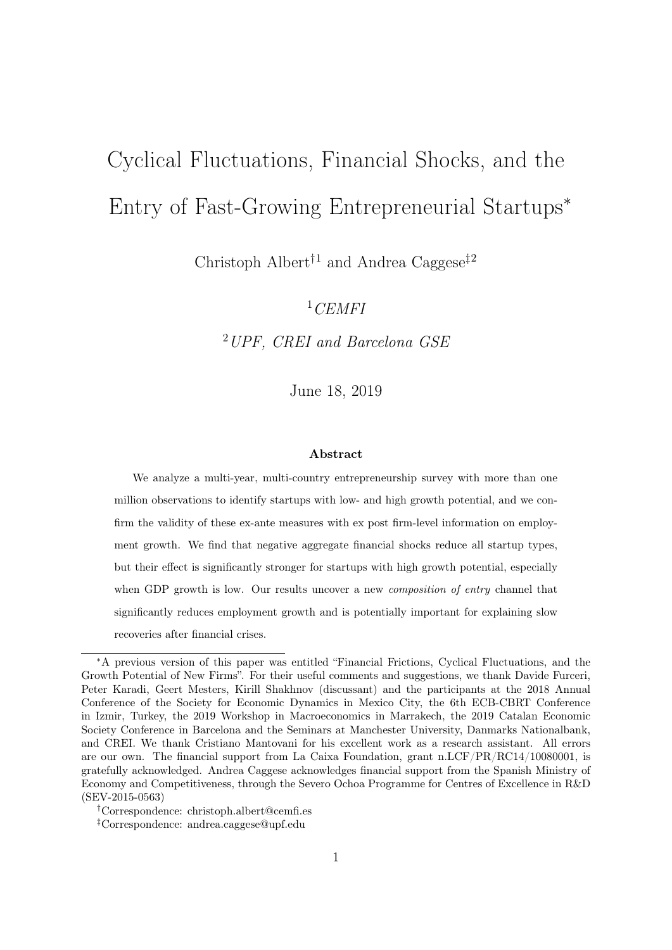# Cyclical Fluctuations, Financial Shocks, and the Entry of Fast-Growing Entrepreneurial Startups<sup>∗</sup>

Christoph Albert<sup>†1</sup> and Andrea Caggese<sup>‡2</sup>

 $1$ CEMFI

<sup>2</sup>UPF, CREI and Barcelona GSE

June 18, 2019

#### Abstract

We analyze a multi-year, multi-country entrepreneurship survey with more than one million observations to identify startups with low- and high growth potential, and we confirm the validity of these ex-ante measures with ex post firm-level information on employment growth. We find that negative aggregate financial shocks reduce all startup types, but their effect is significantly stronger for startups with high growth potential, especially when GDP growth is low. Our results uncover a new *composition of entry* channel that significantly reduces employment growth and is potentially important for explaining slow recoveries after financial crises.

†Correspondence: christoph.albert@cemfi.es

<sup>∗</sup>A previous version of this paper was entitled "Financial Frictions, Cyclical Fluctuations, and the Growth Potential of New Firms". For their useful comments and suggestions, we thank Davide Furceri, Peter Karadi, Geert Mesters, Kirill Shakhnov (discussant) and the participants at the 2018 Annual Conference of the Society for Economic Dynamics in Mexico City, the 6th ECB-CBRT Conference in Izmir, Turkey, the 2019 Workshop in Macroeconomics in Marrakech, the 2019 Catalan Economic Society Conference in Barcelona and the Seminars at Manchester University, Danmarks Nationalbank, and CREI. We thank Cristiano Mantovani for his excellent work as a research assistant. All errors are our own. The financial support from La Caixa Foundation, grant n.LCF/PR/RC14/10080001, is gratefully acknowledged. Andrea Caggese acknowledges financial support from the Spanish Ministry of Economy and Competitiveness, through the Severo Ochoa Programme for Centres of Excellence in R&D (SEV-2015-0563)

<sup>‡</sup>Correspondence: andrea.caggese@upf.edu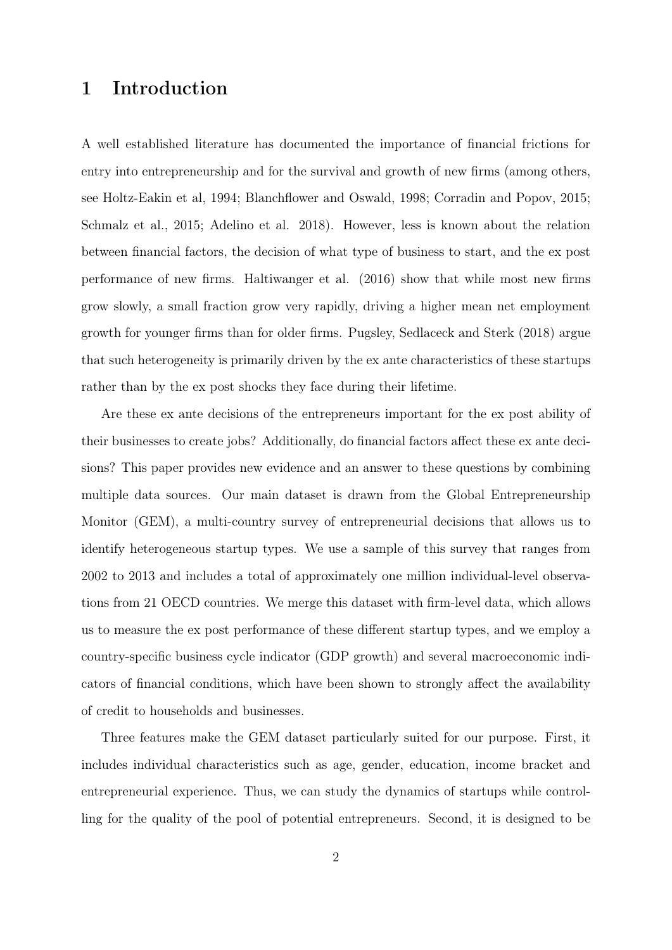# 1 Introduction

A well established literature has documented the importance of financial frictions for entry into entrepreneurship and for the survival and growth of new firms (among others, see Holtz-Eakin et al, 1994; Blanchflower and Oswald, 1998; Corradin and Popov, 2015; Schmalz et al., 2015; Adelino et al. 2018). However, less is known about the relation between financial factors, the decision of what type of business to start, and the ex post performance of new firms. Haltiwanger et al. (2016) show that while most new firms grow slowly, a small fraction grow very rapidly, driving a higher mean net employment growth for younger firms than for older firms. Pugsley, Sedlaceck and Sterk (2018) argue that such heterogeneity is primarily driven by the ex ante characteristics of these startups rather than by the ex post shocks they face during their lifetime.

Are these ex ante decisions of the entrepreneurs important for the ex post ability of their businesses to create jobs? Additionally, do financial factors affect these ex ante decisions? This paper provides new evidence and an answer to these questions by combining multiple data sources. Our main dataset is drawn from the Global Entrepreneurship Monitor (GEM), a multi-country survey of entrepreneurial decisions that allows us to identify heterogeneous startup types. We use a sample of this survey that ranges from 2002 to 2013 and includes a total of approximately one million individual-level observations from 21 OECD countries. We merge this dataset with firm-level data, which allows us to measure the ex post performance of these different startup types, and we employ a country-specific business cycle indicator (GDP growth) and several macroeconomic indicators of financial conditions, which have been shown to strongly affect the availability of credit to households and businesses.

Three features make the GEM dataset particularly suited for our purpose. First, it includes individual characteristics such as age, gender, education, income bracket and entrepreneurial experience. Thus, we can study the dynamics of startups while controlling for the quality of the pool of potential entrepreneurs. Second, it is designed to be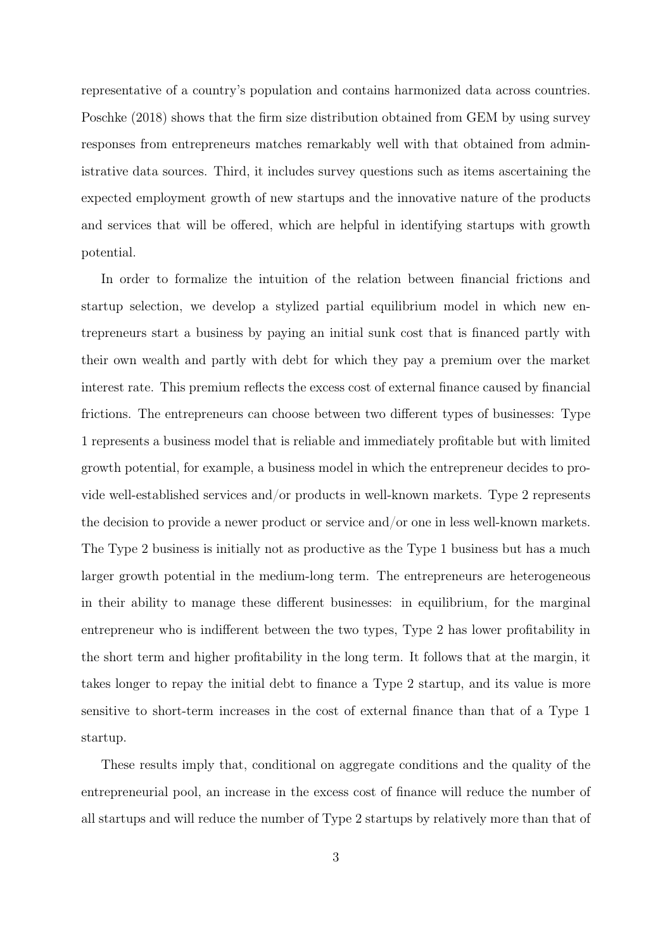representative of a country's population and contains harmonized data across countries. Poschke (2018) shows that the firm size distribution obtained from GEM by using survey responses from entrepreneurs matches remarkably well with that obtained from administrative data sources. Third, it includes survey questions such as items ascertaining the expected employment growth of new startups and the innovative nature of the products and services that will be offered, which are helpful in identifying startups with growth potential.

In order to formalize the intuition of the relation between financial frictions and startup selection, we develop a stylized partial equilibrium model in which new entrepreneurs start a business by paying an initial sunk cost that is financed partly with their own wealth and partly with debt for which they pay a premium over the market interest rate. This premium reflects the excess cost of external finance caused by financial frictions. The entrepreneurs can choose between two different types of businesses: Type 1 represents a business model that is reliable and immediately profitable but with limited growth potential, for example, a business model in which the entrepreneur decides to provide well-established services and/or products in well-known markets. Type 2 represents the decision to provide a newer product or service and/or one in less well-known markets. The Type 2 business is initially not as productive as the Type 1 business but has a much larger growth potential in the medium-long term. The entrepreneurs are heterogeneous in their ability to manage these different businesses: in equilibrium, for the marginal entrepreneur who is indifferent between the two types, Type 2 has lower profitability in the short term and higher profitability in the long term. It follows that at the margin, it takes longer to repay the initial debt to finance a Type 2 startup, and its value is more sensitive to short-term increases in the cost of external finance than that of a Type 1 startup.

These results imply that, conditional on aggregate conditions and the quality of the entrepreneurial pool, an increase in the excess cost of finance will reduce the number of all startups and will reduce the number of Type 2 startups by relatively more than that of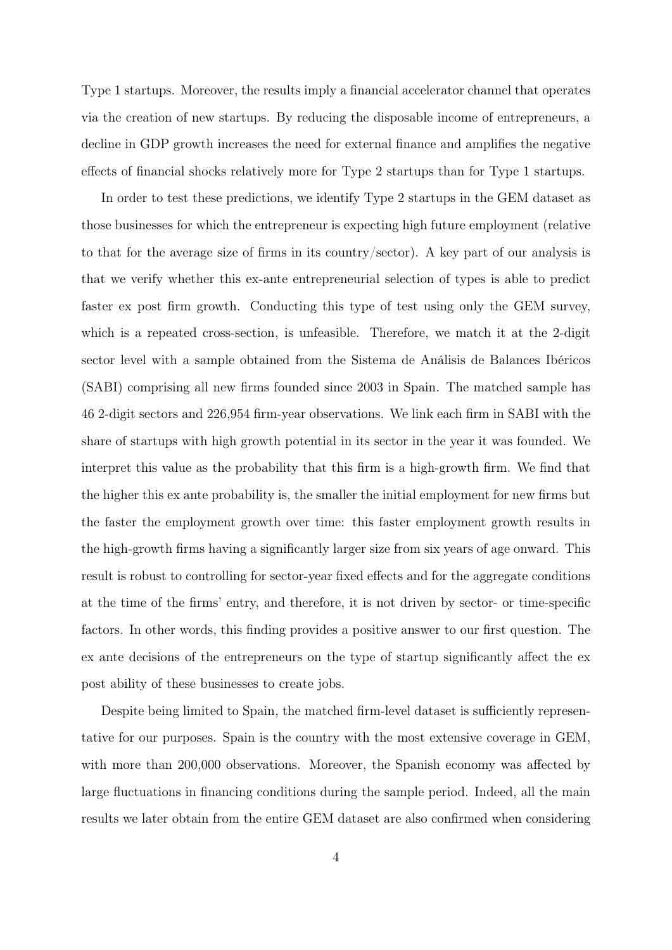Type 1 startups. Moreover, the results imply a financial accelerator channel that operates via the creation of new startups. By reducing the disposable income of entrepreneurs, a decline in GDP growth increases the need for external finance and amplifies the negative effects of financial shocks relatively more for Type 2 startups than for Type 1 startups.

In order to test these predictions, we identify Type 2 startups in the GEM dataset as those businesses for which the entrepreneur is expecting high future employment (relative to that for the average size of firms in its country/sector). A key part of our analysis is that we verify whether this ex-ante entrepreneurial selection of types is able to predict faster ex post firm growth. Conducting this type of test using only the GEM survey, which is a repeated cross-section, is unfeasible. Therefore, we match it at the 2-digit sector level with a sample obtained from the Sistema de Análisis de Balances Ibéricos (SABI) comprising all new firms founded since 2003 in Spain. The matched sample has 46 2-digit sectors and 226,954 firm-year observations. We link each firm in SABI with the share of startups with high growth potential in its sector in the year it was founded. We interpret this value as the probability that this firm is a high-growth firm. We find that the higher this ex ante probability is, the smaller the initial employment for new firms but the faster the employment growth over time: this faster employment growth results in the high-growth firms having a significantly larger size from six years of age onward. This result is robust to controlling for sector-year fixed effects and for the aggregate conditions at the time of the firms' entry, and therefore, it is not driven by sector- or time-specific factors. In other words, this finding provides a positive answer to our first question. The ex ante decisions of the entrepreneurs on the type of startup significantly affect the ex post ability of these businesses to create jobs.

Despite being limited to Spain, the matched firm-level dataset is sufficiently representative for our purposes. Spain is the country with the most extensive coverage in GEM, with more than 200,000 observations. Moreover, the Spanish economy was affected by large fluctuations in financing conditions during the sample period. Indeed, all the main results we later obtain from the entire GEM dataset are also confirmed when considering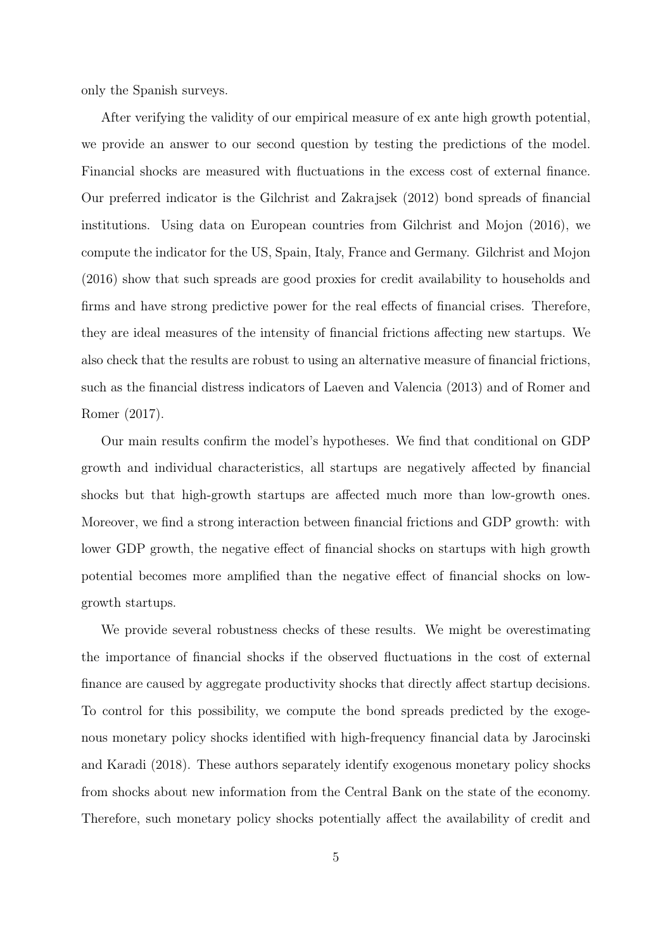only the Spanish surveys.

After verifying the validity of our empirical measure of ex ante high growth potential, we provide an answer to our second question by testing the predictions of the model. Financial shocks are measured with fluctuations in the excess cost of external finance. Our preferred indicator is the Gilchrist and Zakrajsek (2012) bond spreads of financial institutions. Using data on European countries from Gilchrist and Mojon (2016), we compute the indicator for the US, Spain, Italy, France and Germany. Gilchrist and Mojon (2016) show that such spreads are good proxies for credit availability to households and firms and have strong predictive power for the real effects of financial crises. Therefore, they are ideal measures of the intensity of financial frictions affecting new startups. We also check that the results are robust to using an alternative measure of financial frictions, such as the financial distress indicators of Laeven and Valencia (2013) and of Romer and Romer (2017).

Our main results confirm the model's hypotheses. We find that conditional on GDP growth and individual characteristics, all startups are negatively affected by financial shocks but that high-growth startups are affected much more than low-growth ones. Moreover, we find a strong interaction between financial frictions and GDP growth: with lower GDP growth, the negative effect of financial shocks on startups with high growth potential becomes more amplified than the negative effect of financial shocks on lowgrowth startups.

We provide several robustness checks of these results. We might be overestimating the importance of financial shocks if the observed fluctuations in the cost of external finance are caused by aggregate productivity shocks that directly affect startup decisions. To control for this possibility, we compute the bond spreads predicted by the exogenous monetary policy shocks identified with high-frequency financial data by Jarocinski and Karadi (2018). These authors separately identify exogenous monetary policy shocks from shocks about new information from the Central Bank on the state of the economy. Therefore, such monetary policy shocks potentially affect the availability of credit and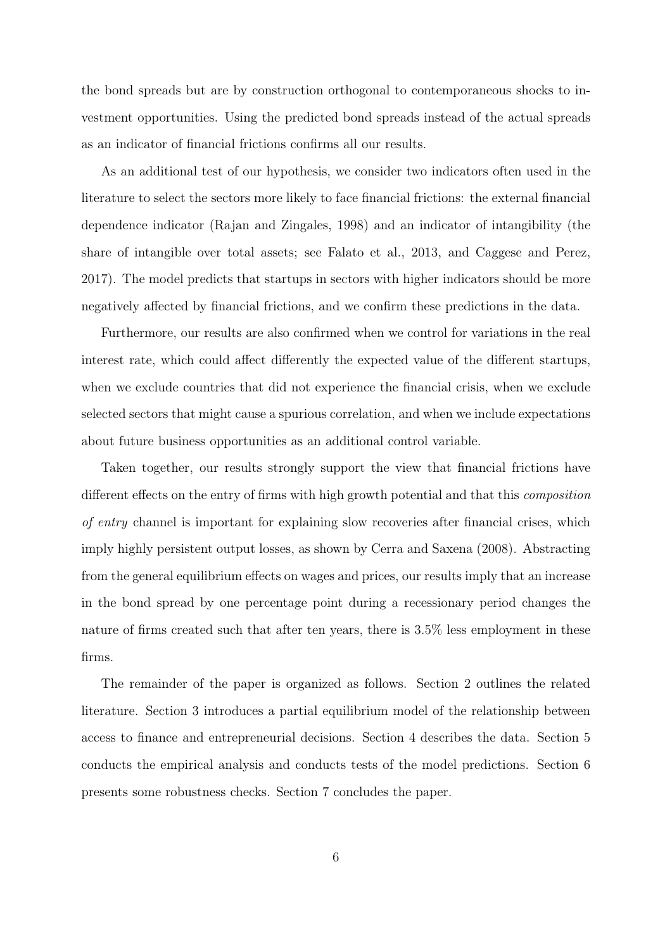the bond spreads but are by construction orthogonal to contemporaneous shocks to investment opportunities. Using the predicted bond spreads instead of the actual spreads as an indicator of financial frictions confirms all our results.

As an additional test of our hypothesis, we consider two indicators often used in the literature to select the sectors more likely to face financial frictions: the external financial dependence indicator (Rajan and Zingales, 1998) and an indicator of intangibility (the share of intangible over total assets; see Falato et al., 2013, and Caggese and Perez, 2017). The model predicts that startups in sectors with higher indicators should be more negatively affected by financial frictions, and we confirm these predictions in the data.

Furthermore, our results are also confirmed when we control for variations in the real interest rate, which could affect differently the expected value of the different startups, when we exclude countries that did not experience the financial crisis, when we exclude selected sectors that might cause a spurious correlation, and when we include expectations about future business opportunities as an additional control variable.

Taken together, our results strongly support the view that financial frictions have different effects on the entry of firms with high growth potential and that this *composition* of entry channel is important for explaining slow recoveries after financial crises, which imply highly persistent output losses, as shown by Cerra and Saxena (2008). Abstracting from the general equilibrium effects on wages and prices, our results imply that an increase in the bond spread by one percentage point during a recessionary period changes the nature of firms created such that after ten years, there is 3.5% less employment in these firms.

The remainder of the paper is organized as follows. Section 2 outlines the related literature. Section 3 introduces a partial equilibrium model of the relationship between access to finance and entrepreneurial decisions. Section 4 describes the data. Section 5 conducts the empirical analysis and conducts tests of the model predictions. Section 6 presents some robustness checks. Section 7 concludes the paper.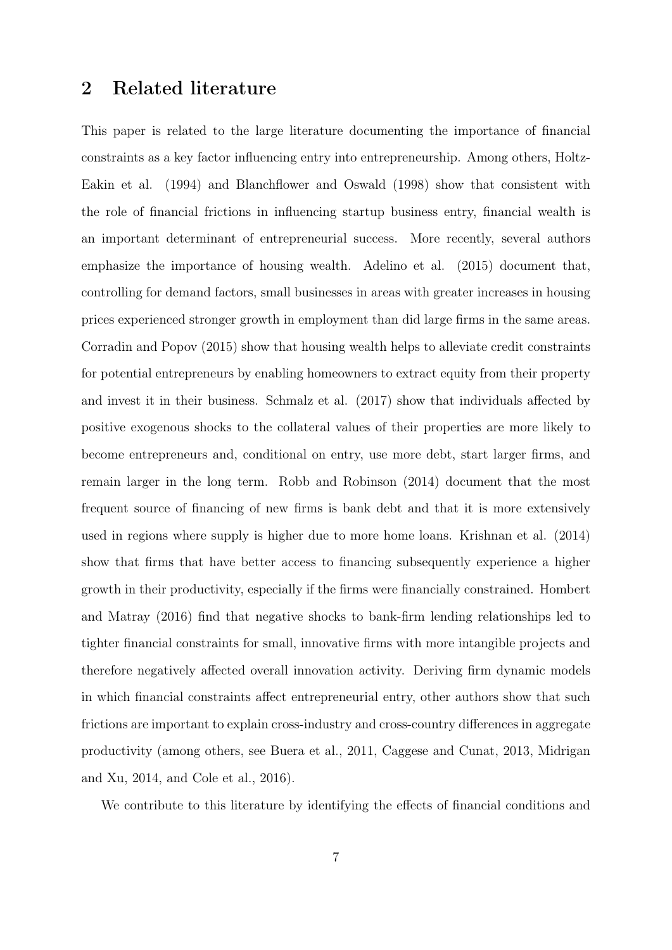# <span id="page-6-0"></span>2 Related literature

This paper is related to the large literature documenting the importance of financial constraints as a key factor influencing entry into entrepreneurship. Among others, Holtz-Eakin et al. (1994) and Blanchflower and Oswald (1998) show that consistent with the role of financial frictions in influencing startup business entry, financial wealth is an important determinant of entrepreneurial success. More recently, several authors emphasize the importance of housing wealth. Adelino et al. (2015) document that, controlling for demand factors, small businesses in areas with greater increases in housing prices experienced stronger growth in employment than did large firms in the same areas. Corradin and Popov (2015) show that housing wealth helps to alleviate credit constraints for potential entrepreneurs by enabling homeowners to extract equity from their property and invest it in their business. Schmalz et al. (2017) show that individuals affected by positive exogenous shocks to the collateral values of their properties are more likely to become entrepreneurs and, conditional on entry, use more debt, start larger firms, and remain larger in the long term. Robb and Robinson (2014) document that the most frequent source of financing of new firms is bank debt and that it is more extensively used in regions where supply is higher due to more home loans. Krishnan et al. (2014) show that firms that have better access to financing subsequently experience a higher growth in their productivity, especially if the firms were financially constrained. Hombert and Matray (2016) find that negative shocks to bank-firm lending relationships led to tighter financial constraints for small, innovative firms with more intangible projects and therefore negatively affected overall innovation activity. Deriving firm dynamic models in which financial constraints affect entrepreneurial entry, other authors show that such frictions are important to explain cross-industry and cross-country differences in aggregate productivity (among others, see Buera et al., 2011, Caggese and Cunat, 2013, Midrigan and Xu, 2014, and Cole et al., 2016).

We contribute to this literature by identifying the effects of financial conditions and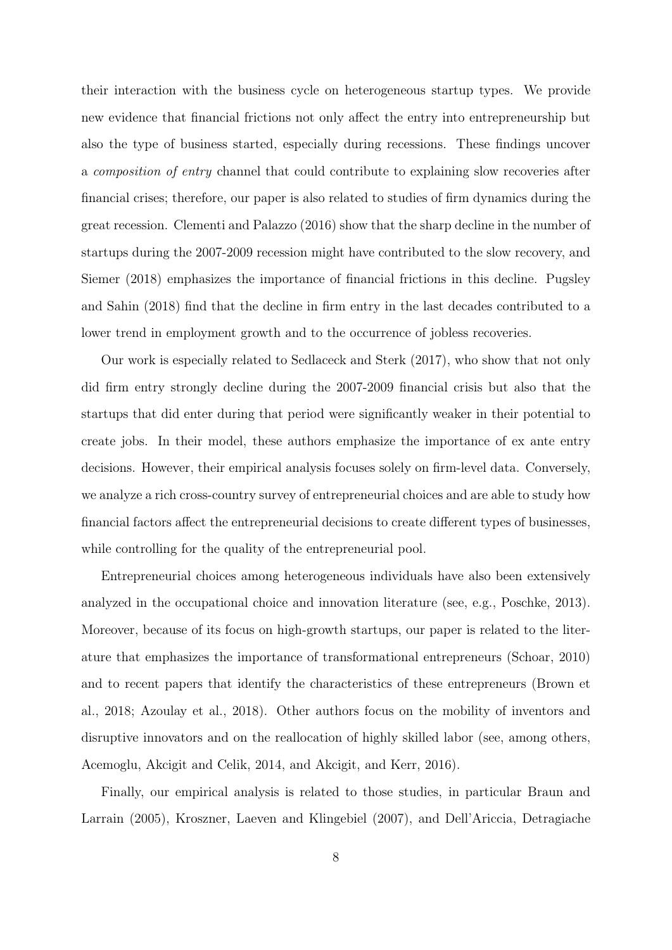their interaction with the business cycle on heterogeneous startup types. We provide new evidence that financial frictions not only affect the entry into entrepreneurship but also the type of business started, especially during recessions. These findings uncover a composition of entry channel that could contribute to explaining slow recoveries after financial crises; therefore, our paper is also related to studies of firm dynamics during the great recession. Clementi and Palazzo (2016) show that the sharp decline in the number of startups during the 2007-2009 recession might have contributed to the slow recovery, and Siemer (2018) emphasizes the importance of financial frictions in this decline. Pugsley and Sahin (2018) find that the decline in firm entry in the last decades contributed to a lower trend in employment growth and to the occurrence of jobless recoveries.

Our work is especially related to Sedlaceck and Sterk (2017), who show that not only did firm entry strongly decline during the 2007-2009 financial crisis but also that the startups that did enter during that period were significantly weaker in their potential to create jobs. In their model, these authors emphasize the importance of ex ante entry decisions. However, their empirical analysis focuses solely on firm-level data. Conversely, we analyze a rich cross-country survey of entrepreneurial choices and are able to study how financial factors affect the entrepreneurial decisions to create different types of businesses, while controlling for the quality of the entrepreneurial pool.

Entrepreneurial choices among heterogeneous individuals have also been extensively analyzed in the occupational choice and innovation literature (see, e.g., Poschke, 2013). Moreover, because of its focus on high-growth startups, our paper is related to the literature that emphasizes the importance of transformational entrepreneurs (Schoar, 2010) and to recent papers that identify the characteristics of these entrepreneurs (Brown et al., 2018; Azoulay et al., 2018). Other authors focus on the mobility of inventors and disruptive innovators and on the reallocation of highly skilled labor (see, among others, Acemoglu, Akcigit and Celik, 2014, and Akcigit, and Kerr, 2016).

Finally, our empirical analysis is related to those studies, in particular Braun and Larrain (2005), Kroszner, Laeven and Klingebiel (2007), and Dell'Ariccia, Detragiache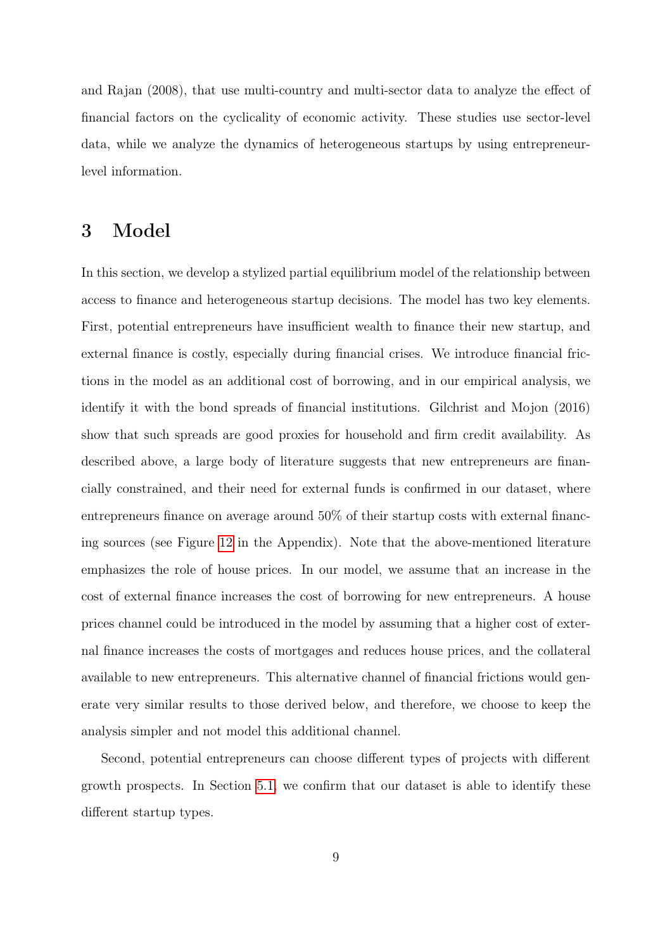and Rajan (2008), that use multi-country and multi-sector data to analyze the effect of financial factors on the cyclicality of economic activity. These studies use sector-level data, while we analyze the dynamics of heterogeneous startups by using entrepreneurlevel information.

# 3 Model

In this section, we develop a stylized partial equilibrium model of the relationship between access to finance and heterogeneous startup decisions. The model has two key elements. First, potential entrepreneurs have insufficient wealth to finance their new startup, and external finance is costly, especially during financial crises. We introduce financial frictions in the model as an additional cost of borrowing, and in our empirical analysis, we identify it with the bond spreads of financial institutions. Gilchrist and Mojon (2016) show that such spreads are good proxies for household and firm credit availability. As described above, a large body of literature suggests that new entrepreneurs are financially constrained, and their need for external funds is confirmed in our dataset, where entrepreneurs finance on average around 50% of their startup costs with external financing sources (see Figure [12](#page-68-0) in the Appendix). Note that the above-mentioned literature emphasizes the role of house prices. In our model, we assume that an increase in the cost of external finance increases the cost of borrowing for new entrepreneurs. A house prices channel could be introduced in the model by assuming that a higher cost of external finance increases the costs of mortgages and reduces house prices, and the collateral available to new entrepreneurs. This alternative channel of financial frictions would generate very similar results to those derived below, and therefore, we choose to keep the analysis simpler and not model this additional channel.

Second, potential entrepreneurs can choose different types of projects with different growth prospects. In Section [5.1,](#page-25-0) we confirm that our dataset is able to identify these different startup types.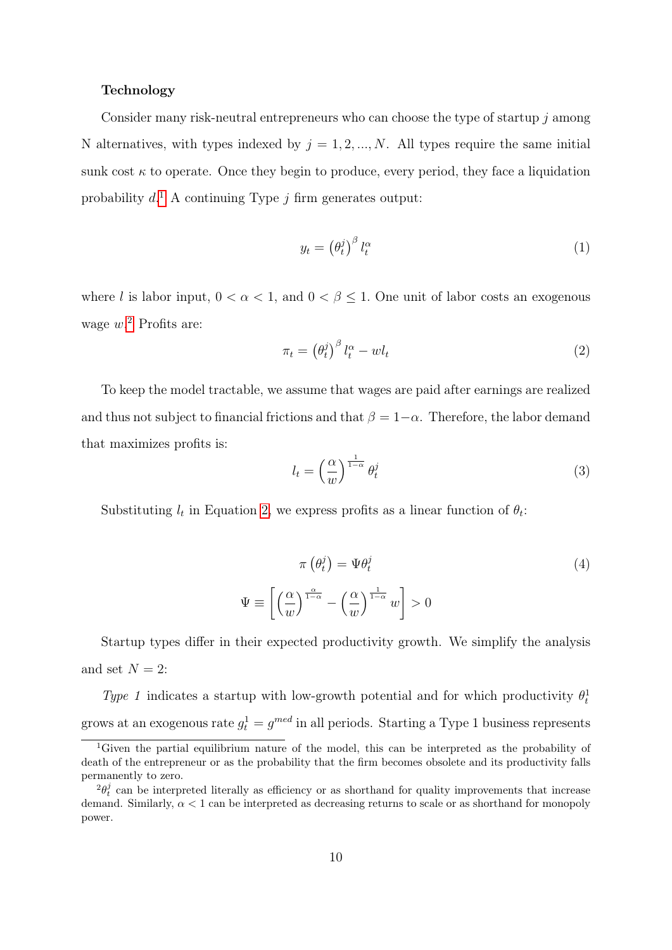#### Technology

Consider many risk-neutral entrepreneurs who can choose the type of startup  $j$  among N alternatives, with types indexed by  $j = 1, 2, ..., N$ . All types require the same initial sunk cost  $\kappa$  to operate. Once they begin to produce, every period, they face a liquidation probability  $d<sup>1</sup>$  $d<sup>1</sup>$  $d<sup>1</sup>$  A continuing Type j firm generates output:

$$
y_t = \left(\theta_t^j\right)^{\beta} l_t^{\alpha} \tag{1}
$$

where l is labor input,  $0 < \alpha < 1$ , and  $0 < \beta \leq 1$ . One unit of labor costs an exogenous wage  $w^2$  $w^2$  Profits are:

<span id="page-9-2"></span>
$$
\pi_t = \left(\theta_t^j\right)^{\beta} l_t^{\alpha} - w l_t \tag{2}
$$

To keep the model tractable, we assume that wages are paid after earnings are realized and thus not subject to financial frictions and that  $\beta = 1-\alpha$ . Therefore, the labor demand that maximizes profits is:

$$
l_t = \left(\frac{\alpha}{w}\right)^{\frac{1}{1-\alpha}} \theta_t^j \tag{3}
$$

Substituting  $l_t$  in Equation [2,](#page-9-2) we express profits as a linear function of  $\theta_t$ :

$$
\pi \left( \theta_t^j \right) = \Psi \theta_t^j
$$
\n
$$
\Psi \equiv \left[ \left( \frac{\alpha}{w} \right)^{\frac{\alpha}{1-\alpha}} - \left( \frac{\alpha}{w} \right)^{\frac{1}{1-\alpha}} w \right] > 0
$$
\n(4)

Startup types differ in their expected productivity growth. We simplify the analysis and set  $N = 2$ :

Type 1 indicates a startup with low-growth potential and for which productivity  $\theta_t^1$ grows at an exogenous rate  $g_t^1 = g^{med}$  in all periods. Starting a Type 1 business represents

<span id="page-9-0"></span><sup>&</sup>lt;sup>1</sup>Given the partial equilibrium nature of the model, this can be interpreted as the probability of death of the entrepreneur or as the probability that the firm becomes obsolete and its productivity falls permanently to zero.

<span id="page-9-1"></span> $^{2}\theta_{t}^{j}$  can be interpreted literally as efficiency or as shorthand for quality improvements that increase demand. Similarly,  $\alpha < 1$  can be interpreted as decreasing returns to scale or as shorthand for monopoly power.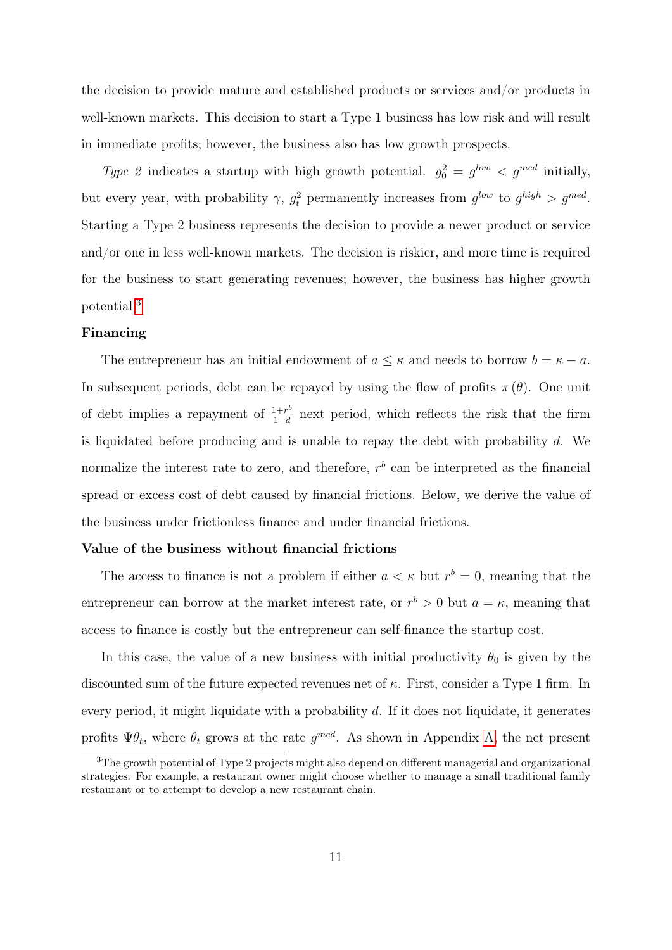the decision to provide mature and established products or services and/or products in well-known markets. This decision to start a Type 1 business has low risk and will result in immediate profits; however, the business also has low growth prospects.

Type 2 indicates a startup with high growth potential.  $g_0^2 = g^{low} < g^{med}$  initially, but every year, with probability  $\gamma$ ,  $g_t^2$  permanently increases from  $g^{low}$  to  $g^{high} > g^{med}$ . Starting a Type 2 business represents the decision to provide a newer product or service and/or one in less well-known markets. The decision is riskier, and more time is required for the business to start generating revenues; however, the business has higher growth potential.[3](#page-10-0)

#### Financing

The entrepreneur has an initial endowment of  $a \leq \kappa$  and needs to borrow  $b = \kappa - a$ . In subsequent periods, debt can be repayed by using the flow of profits  $\pi(\theta)$ . One unit of debt implies a repayment of  $\frac{1+r^b}{1-d}$  $\frac{1+r^{\circ}}{1-d}$  next period, which reflects the risk that the firm is liquidated before producing and is unable to repay the debt with probability  $d$ . We normalize the interest rate to zero, and therefore,  $r<sup>b</sup>$  can be interpreted as the financial spread or excess cost of debt caused by financial frictions. Below, we derive the value of the business under frictionless finance and under financial frictions.

#### Value of the business without financial frictions

The access to finance is not a problem if either  $a < \kappa$  but  $r^b = 0$ , meaning that the entrepreneur can borrow at the market interest rate, or  $r^b > 0$  but  $a = \kappa$ , meaning that access to finance is costly but the entrepreneur can self-finance the startup cost.

In this case, the value of a new business with initial productivity  $\theta_0$  is given by the discounted sum of the future expected revenues net of  $\kappa$ . First, consider a Type 1 firm. In every period, it might liquidate with a probability  $d$ . If it does not liquidate, it generates profits  $\Psi \theta_t$ , where  $\theta_t$  grows at the rate  $g^{med}$ . As shown in Appendix [A,](#page-58-0) the net present

<span id="page-10-0"></span><sup>&</sup>lt;sup>3</sup>The growth potential of Type 2 projects might also depend on different managerial and organizational strategies. For example, a restaurant owner might choose whether to manage a small traditional family restaurant or to attempt to develop a new restaurant chain.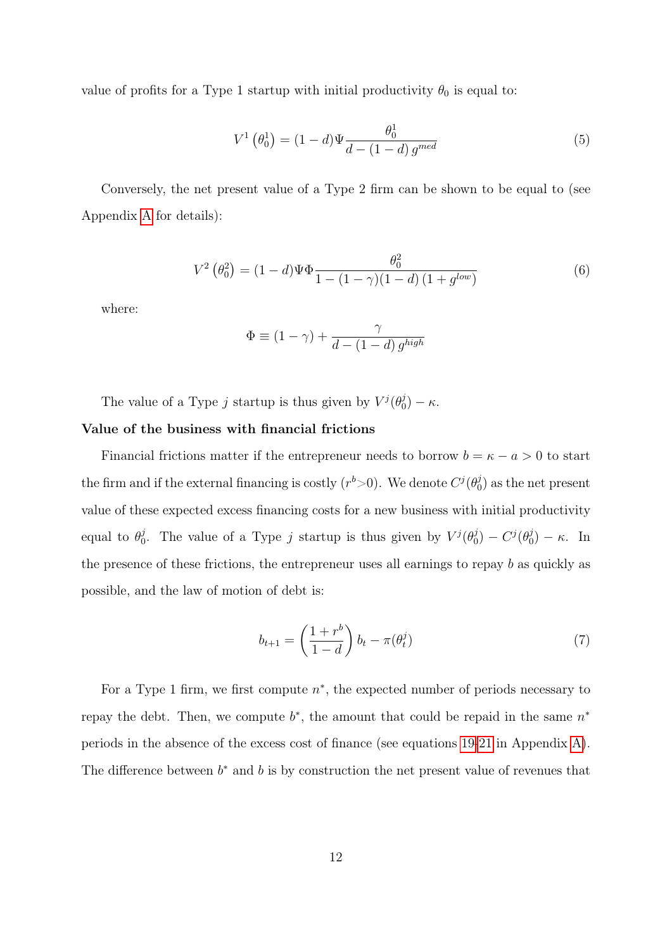value of profits for a Type 1 startup with initial productivity  $\theta_0$  is equal to:

<span id="page-11-0"></span>
$$
V^{1}(\theta_{0}^{1}) = (1 - d)\Psi \frac{\theta_{0}^{1}}{d - (1 - d) g^{med}} \tag{5}
$$

Conversely, the net present value of a Type 2 firm can be shown to be equal to (see Appendix [A](#page-58-0) for details):

<span id="page-11-1"></span>
$$
V^{2}(\theta_{0}^{2}) = (1-d)\Psi\Phi \frac{\theta_{0}^{2}}{1 - (1-\gamma)(1-d)(1+g^{low})}
$$
(6)

where:

$$
\Phi \equiv (1 - \gamma) + \frac{\gamma}{d - (1 - d) g^{high}}
$$

The value of a Type j startup is thus given by  $V^{j}(\theta_{0}^{j})$  $\binom{J}{0} - \kappa.$ 

#### Value of the business with financial frictions

Financial frictions matter if the entrepreneur needs to borrow  $b = \kappa - a > 0$  to start the firm and if the external financing is costly  $(r<sup>b</sup> > 0)$ . We denote  $C<sup>j</sup>(\theta_0<sup>j</sup>)$  $\binom{0}{0}$  as the net present value of these expected excess financing costs for a new business with initial productivity equal to  $\theta_0^j$ <sup>j</sup><sub>0</sub>. The value of a Type j startup is thus given by  $V^j(\theta_0^j)$  $\binom{d}{0} - C^j(\theta_0^j)$  $\binom{0}{0} - \kappa$ . In the presence of these frictions, the entrepreneur uses all earnings to repay b as quickly as possible, and the law of motion of debt is:

$$
b_{t+1} = \left(\frac{1+r^b}{1-d}\right)b_t - \pi(\theta_t^j) \tag{7}
$$

For a Type 1 firm, we first compute  $n^*$ , the expected number of periods necessary to repay the debt. Then, we compute  $b^*$ , the amount that could be repaid in the same  $n^*$ periods in the absence of the excess cost of finance (see equations [19-](#page-59-0)[21](#page-59-1) in Appendix [A\)](#page-58-0). The difference between  $b^*$  and  $b$  is by construction the net present value of revenues that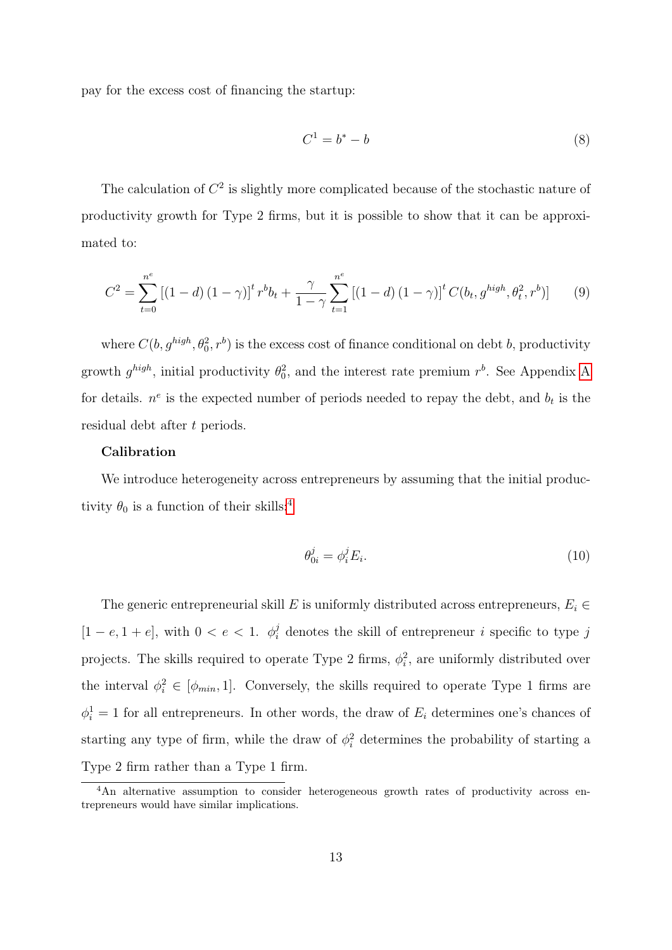pay for the excess cost of financing the startup:

$$
C^1 = b^* - b \tag{8}
$$

The calculation of  $C<sup>2</sup>$  is slightly more complicated because of the stochastic nature of productivity growth for Type 2 firms, but it is possible to show that it can be approximated to:

$$
C^{2} = \sum_{t=0}^{n^{e}} \left[ (1-d) (1-\gamma) \right]^{t} r^{b} b_{t} + \frac{\gamma}{1-\gamma} \sum_{t=1}^{n^{e}} \left[ (1-d) (1-\gamma) \right]^{t} C(b_{t}, g^{high}, \theta_{t}^{2}, r^{b}) \right] \tag{9}
$$

where  $C(b, g^{high}, \theta_0^2, r^b)$  is the excess cost of finance conditional on debt b, productivity growth  $g^{high}$ , initial productivity  $\theta_0^2$ , and the interest rate premium  $r^b$ . See [A](#page-58-0)ppendix A for details.  $n^e$  is the expected number of periods needed to repay the debt, and  $b_t$  is the residual debt after t periods.

#### Calibration

We introduce heterogeneity across entrepreneurs by assuming that the initial productivity  $\theta_0$  is a function of their skills:<sup>[4](#page-12-0)</sup>

<span id="page-12-1"></span>
$$
\theta_{0i}^j = \phi_i^j E_i. \tag{10}
$$

The generic entrepreneurial skill E is uniformly distributed across entrepreneurs,  $E_i \in$  $[1-e, 1+e]$ , with  $0 < e < 1$ .  $\phi_i^j$  denotes the skill of entrepreneur *i* specific to type *j* projects. The skills required to operate Type 2 firms,  $\phi_i^2$ , are uniformly distributed over the interval  $\phi_i^2 \in [\phi_{min}, 1]$ . Conversely, the skills required to operate Type 1 firms are  $\phi_i^1 = 1$  for all entrepreneurs. In other words, the draw of  $E_i$  determines one's chances of starting any type of firm, while the draw of  $\phi_i^2$  determines the probability of starting a Type 2 firm rather than a Type 1 firm.

<span id="page-12-0"></span><sup>&</sup>lt;sup>4</sup>An alternative assumption to consider heterogeneous growth rates of productivity across entrepreneurs would have similar implications.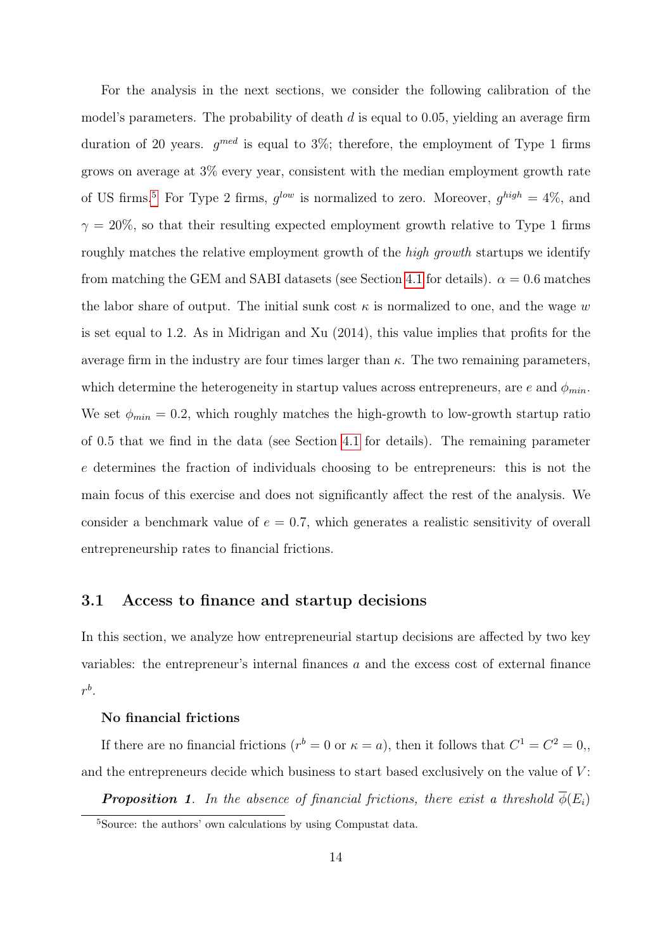For the analysis in the next sections, we consider the following calibration of the model's parameters. The probability of death  $d$  is equal to 0.05, yielding an average firm duration of 20 years.  $g^{med}$  is equal to 3%; therefore, the employment of Type 1 firms grows on average at 3% every year, consistent with the median employment growth rate of US firms.<sup>[5](#page-13-0)</sup> For Type 2 firms,  $g^{low}$  is normalized to zero. Moreover,  $g^{high} = 4\%$ , and  $\gamma = 20\%$ , so that their resulting expected employment growth relative to Type 1 firms roughly matches the relative employment growth of the *high growth* startups we identify from matching the GEM and SABI datasets (see Section [4.1](#page-20-0) for details).  $\alpha = 0.6$  matches the labor share of output. The initial sunk cost  $\kappa$  is normalized to one, and the wage w is set equal to 1.2. As in Midrigan and Xu (2014), this value implies that profits for the average firm in the industry are four times larger than  $\kappa$ . The two remaining parameters, which determine the heterogeneity in startup values across entrepreneurs, are e and  $\phi_{min}$ . We set  $\phi_{min} = 0.2$ , which roughly matches the high-growth to low-growth startup ratio of 0.5 that we find in the data (see Section [4.1](#page-20-0) for details). The remaining parameter e determines the fraction of individuals choosing to be entrepreneurs: this is not the main focus of this exercise and does not significantly affect the rest of the analysis. We consider a benchmark value of  $e = 0.7$ , which generates a realistic sensitivity of overall entrepreneurship rates to financial frictions.

## <span id="page-13-1"></span>3.1 Access to finance and startup decisions

In this section, we analyze how entrepreneurial startup decisions are affected by two key variables: the entrepreneur's internal finances a and the excess cost of external finance  $r^b$ .

#### No financial frictions

If there are no financial frictions ( $r^b = 0$  or  $\kappa = a$ ), then it follows that  $C^1 = C^2 = 0$ , and the entrepreneurs decide which business to start based exclusively on the value of  $V$ :

**Proposition 1.** In the absence of financial frictions, there exist a threshold  $\overline{\phi}(E_i)$ 

<span id="page-13-0"></span><sup>5</sup>Source: the authors' own calculations by using Compustat data.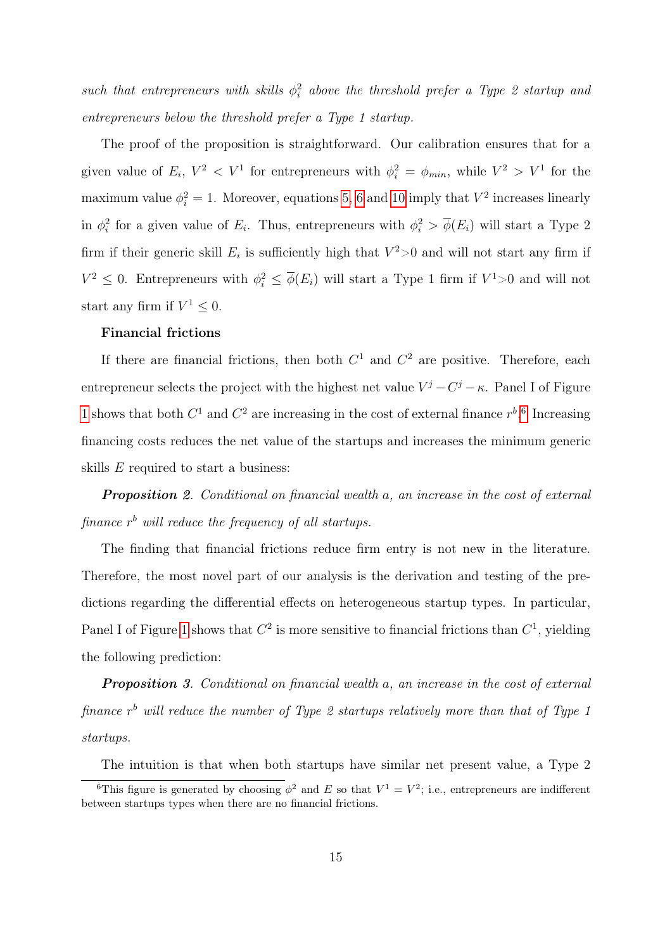such that entrepreneurs with skills  $\phi_i^2$  above the threshold prefer a Type 2 startup and entrepreneurs below the threshold prefer a Type 1 startup.

The proof of the proposition is straightforward. Our calibration ensures that for a given value of  $E_i$ ,  $V^2 < V^1$  for entrepreneurs with  $\phi_i^2 = \phi_{min}$ , while  $V^2 > V^1$  for the maximum value  $\phi_i^2 = 1$ . Moreover, equations [5,](#page-11-0) [6](#page-11-1) and [10](#page-12-1) imply that  $V^2$  increases linearly in  $\phi_i^2$  for a given value of  $E_i$ . Thus, entrepreneurs with  $\phi_i^2 > \overline{\phi}(E_i)$  will start a Type 2 firm if their generic skill  $E_i$  is sufficiently high that  $V^2>0$  and will not start any firm if  $V^2 \leq 0$ . Entrepreneurs with  $\phi_i^2 \leq \overline{\phi}(E_i)$  will start a Type 1 firm if  $V^1 > 0$  and will not start any firm if  $V^1 \leq 0$ .

#### Financial frictions

If there are financial frictions, then both  $C<sup>1</sup>$  and  $C<sup>2</sup>$  are positive. Therefore, each entrepreneur selects the project with the highest net value  $V^j - C^j - \kappa$ . Panel I of Figure [1](#page-15-0) shows that both  $C^1$  and  $C^2$  are increasing in the cost of external finance  $r^{b}$ .<sup>[6](#page-14-0)</sup> Increasing financing costs reduces the net value of the startups and increases the minimum generic skills E required to start a business:

**Proposition 2.** Conditional on financial wealth a, an increase in the cost of external finance  $r<sup>b</sup>$  will reduce the frequency of all startups.

The finding that financial frictions reduce firm entry is not new in the literature. Therefore, the most novel part of our analysis is the derivation and testing of the predictions regarding the differential effects on heterogeneous startup types. In particular, Panel I of Figure [1](#page-15-0) shows that  $C^2$  is more sensitive to financial frictions than  $C^1$ , yielding the following prediction:

**Proposition** 3. Conditional on financial wealth a, an increase in the cost of external finance  $r<sup>b</sup>$  will reduce the number of Type 2 startups relatively more than that of Type 1 startups.

<span id="page-14-0"></span>The intuition is that when both startups have similar net present value, a Type 2

<sup>&</sup>lt;sup>6</sup>This figure is generated by choosing  $\phi^2$  and E so that  $V^1 = V^2$ ; i.e., entrepreneurs are indifferent between startups types when there are no financial frictions.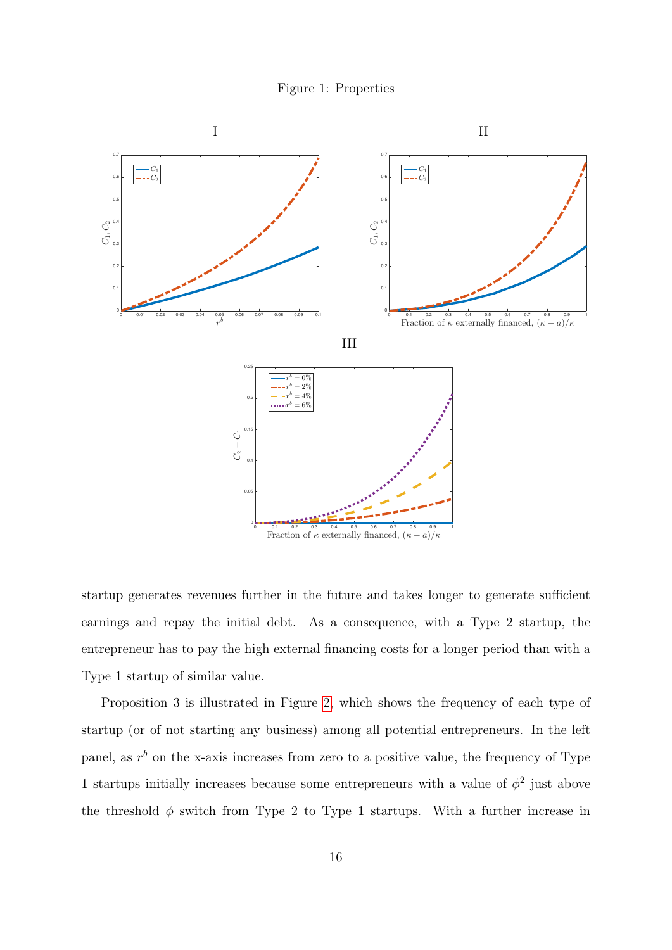

<span id="page-15-0"></span>

startup generates revenues further in the future and takes longer to generate sufficient earnings and repay the initial debt. As a consequence, with a Type 2 startup, the entrepreneur has to pay the high external financing costs for a longer period than with a Type 1 startup of similar value.

Proposition 3 is illustrated in Figure [2,](#page-16-0) which shows the frequency of each type of startup (or of not starting any business) among all potential entrepreneurs. In the left panel, as  $r<sup>b</sup>$  on the x-axis increases from zero to a positive value, the frequency of Type 1 startups initially increases because some entrepreneurs with a value of  $\phi^2$  just above the threshold  $\overline{\phi}$  switch from Type 2 to Type 1 startups. With a further increase in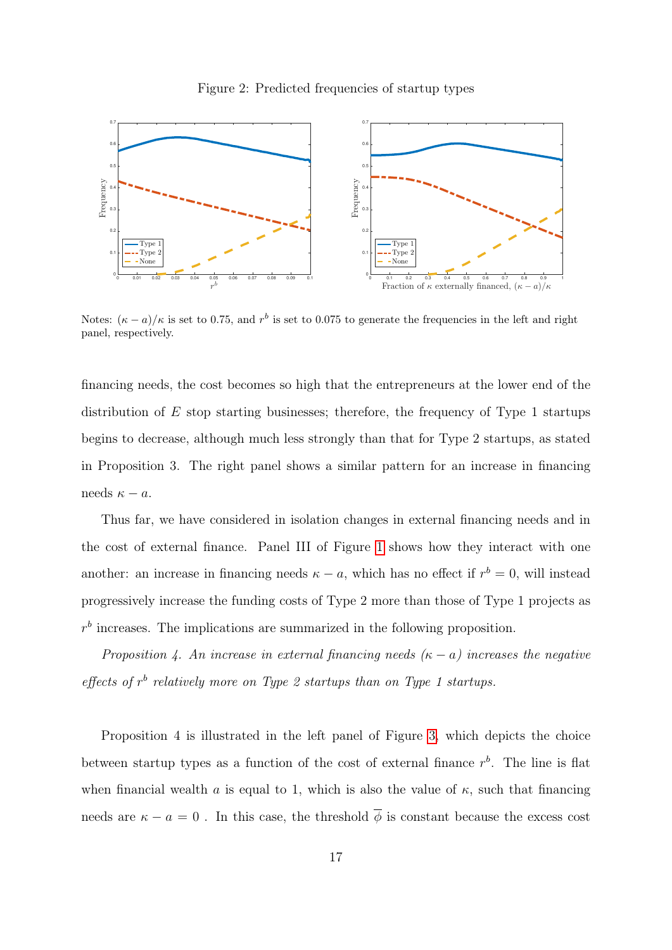<span id="page-16-0"></span>

Notes:  $(\kappa - a)/\kappa$  is set to 0.75, and r<sup>b</sup> is set to 0.075 to generate the frequencies in the left and right panel, respectively.

financing needs, the cost becomes so high that the entrepreneurs at the lower end of the distribution of  $E$  stop starting businesses; therefore, the frequency of Type 1 startups begins to decrease, although much less strongly than that for Type 2 startups, as stated in Proposition 3. The right panel shows a similar pattern for an increase in financing needs  $\kappa - a$ .

Thus far, we have considered in isolation changes in external financing needs and in the cost of external finance. Panel III of Figure [1](#page-15-0) shows how they interact with one another: an increase in financing needs  $\kappa - a$ , which has no effect if  $r^b = 0$ , will instead progressively increase the funding costs of Type 2 more than those of Type 1 projects as  $r<sup>b</sup>$  increases. The implications are summarized in the following proposition.

Proposition 4. An increase in external financing needs  $(\kappa - a)$  increases the negative effects of  $r<sup>b</sup>$  relatively more on Type 2 startups than on Type 1 startups.

Proposition 4 is illustrated in the left panel of Figure [3,](#page-17-0) which depicts the choice between startup types as a function of the cost of external finance  $r<sup>b</sup>$ . The line is flat when financial wealth a is equal to 1, which is also the value of  $\kappa$ , such that financing needs are  $\kappa - a = 0$ . In this case, the threshold  $\overline{\phi}$  is constant because the excess cost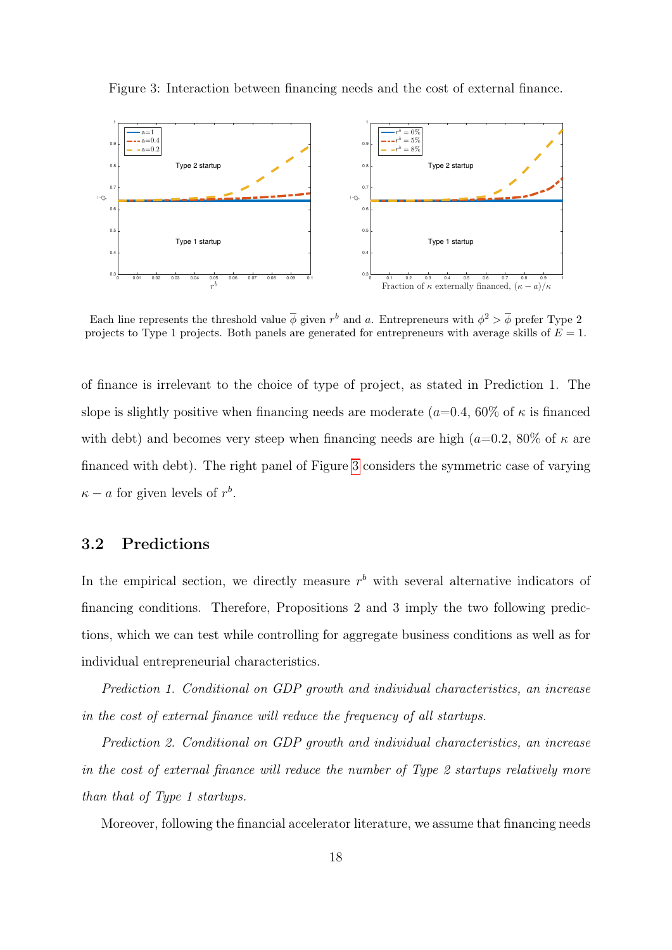

<span id="page-17-0"></span>Figure 3: Interaction between financing needs and the cost of external finance.

Each line represents the threshold value  $\overline{\phi}$  given  $r^b$  and a. Entrepreneurs with  $\phi^2 > \overline{\phi}$  prefer Type 2 projects to Type 1 projects. Both panels are generated for entrepreneurs with average skills of  $E = 1$ .

of finance is irrelevant to the choice of type of project, as stated in Prediction 1. The slope is slightly positive when financing needs are moderate ( $a=0.4$ , 60% of  $\kappa$  is financed with debt) and becomes very steep when financing needs are high ( $a=0.2$ ,  $80\%$  of  $\kappa$  are financed with debt). The right panel of Figure [3](#page-17-0) considers the symmetric case of varying  $\kappa - a$  for given levels of  $r^b$ .

# 3.2 Predictions

In the empirical section, we directly measure  $r<sup>b</sup>$  with several alternative indicators of financing conditions. Therefore, Propositions 2 and 3 imply the two following predictions, which we can test while controlling for aggregate business conditions as well as for individual entrepreneurial characteristics.

Prediction 1. Conditional on GDP growth and individual characteristics, an increase in the cost of external finance will reduce the frequency of all startups.

Prediction 2. Conditional on GDP growth and individual characteristics, an increase in the cost of external finance will reduce the number of Type 2 startups relatively more than that of Type 1 startups.

Moreover, following the financial accelerator literature, we assume that financing needs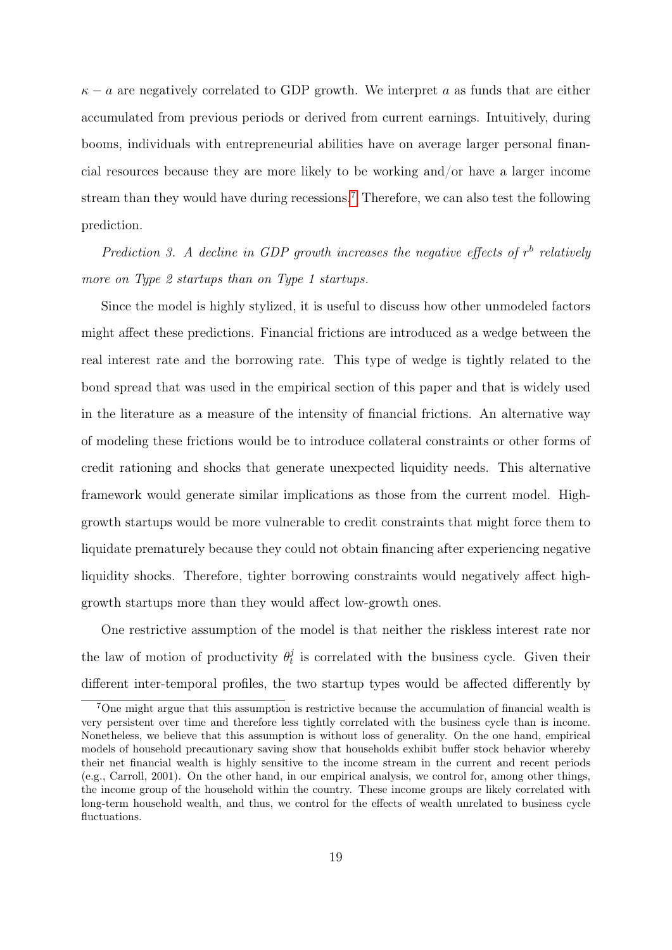$\kappa - a$  are negatively correlated to GDP growth. We interpret a as funds that are either accumulated from previous periods or derived from current earnings. Intuitively, during booms, individuals with entrepreneurial abilities have on average larger personal financial resources because they are more likely to be working and/or have a larger income stream than they would have during recessions.<sup>[7](#page-18-0)</sup> Therefore, we can also test the following prediction.

Prediction 3. A decline in GDP growth increases the negative effects of  $r<sup>b</sup>$  relatively more on Type 2 startups than on Type 1 startups.

Since the model is highly stylized, it is useful to discuss how other unmodeled factors might affect these predictions. Financial frictions are introduced as a wedge between the real interest rate and the borrowing rate. This type of wedge is tightly related to the bond spread that was used in the empirical section of this paper and that is widely used in the literature as a measure of the intensity of financial frictions. An alternative way of modeling these frictions would be to introduce collateral constraints or other forms of credit rationing and shocks that generate unexpected liquidity needs. This alternative framework would generate similar implications as those from the current model. Highgrowth startups would be more vulnerable to credit constraints that might force them to liquidate prematurely because they could not obtain financing after experiencing negative liquidity shocks. Therefore, tighter borrowing constraints would negatively affect highgrowth startups more than they would affect low-growth ones.

One restrictive assumption of the model is that neither the riskless interest rate nor the law of motion of productivity  $\theta_t^j$  $t<sub>t</sub><sup>j</sup>$  is correlated with the business cycle. Given their different inter-temporal profiles, the two startup types would be affected differently by

<span id="page-18-0"></span><sup>7</sup>One might argue that this assumption is restrictive because the accumulation of financial wealth is very persistent over time and therefore less tightly correlated with the business cycle than is income. Nonetheless, we believe that this assumption is without loss of generality. On the one hand, empirical models of household precautionary saving show that households exhibit buffer stock behavior whereby their net financial wealth is highly sensitive to the income stream in the current and recent periods (e.g., Carroll, 2001). On the other hand, in our empirical analysis, we control for, among other things, the income group of the household within the country. These income groups are likely correlated with long-term household wealth, and thus, we control for the effects of wealth unrelated to business cycle fluctuations.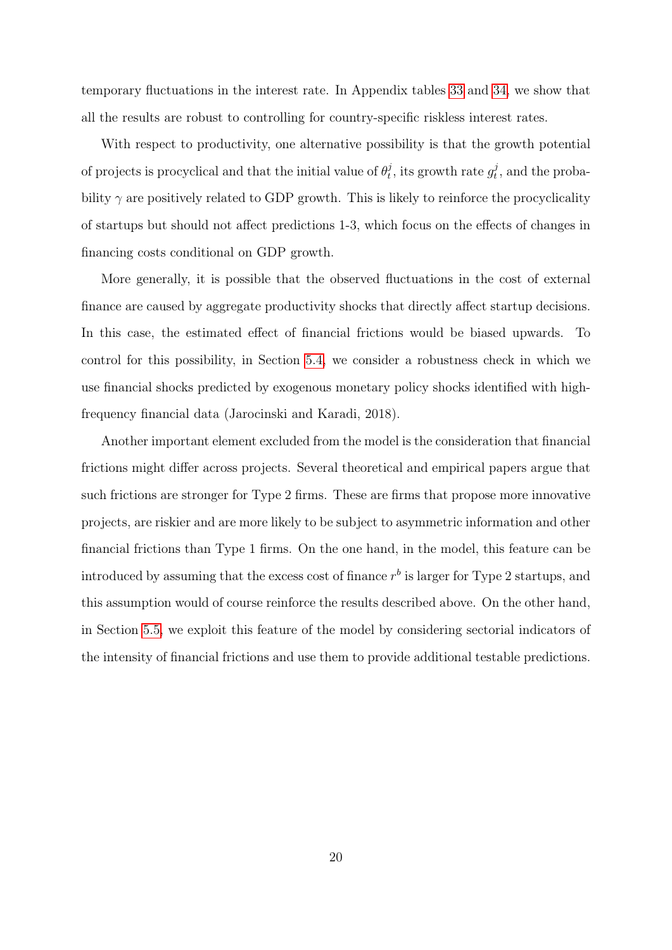temporary fluctuations in the interest rate. In Appendix tables [33](#page-78-0) and [34,](#page-78-1) we show that all the results are robust to controlling for country-specific riskless interest rates.

With respect to productivity, one alternative possibility is that the growth potential of projects is procyclical and that the initial value of  $\theta_t^j$  $y_t^j$ , its growth rate  $g_t^j$  $t_t^j$ , and the probability  $\gamma$  are positively related to GDP growth. This is likely to reinforce the procyclicality of startups but should not affect predictions 1-3, which focus on the effects of changes in financing costs conditional on GDP growth.

More generally, it is possible that the observed fluctuations in the cost of external finance are caused by aggregate productivity shocks that directly affect startup decisions. In this case, the estimated effect of financial frictions would be biased upwards. To control for this possibility, in Section [5.4,](#page-37-0) we consider a robustness check in which we use financial shocks predicted by exogenous monetary policy shocks identified with highfrequency financial data (Jarocinski and Karadi, 2018).

Another important element excluded from the model is the consideration that financial frictions might differ across projects. Several theoretical and empirical papers argue that such frictions are stronger for Type 2 firms. These are firms that propose more innovative projects, are riskier and are more likely to be subject to asymmetric information and other financial frictions than Type 1 firms. On the one hand, in the model, this feature can be introduced by assuming that the excess cost of finance  $r^b$  is larger for Type 2 startups, and this assumption would of course reinforce the results described above. On the other hand, in Section [5.5,](#page-41-0) we exploit this feature of the model by considering sectorial indicators of the intensity of financial frictions and use them to provide additional testable predictions.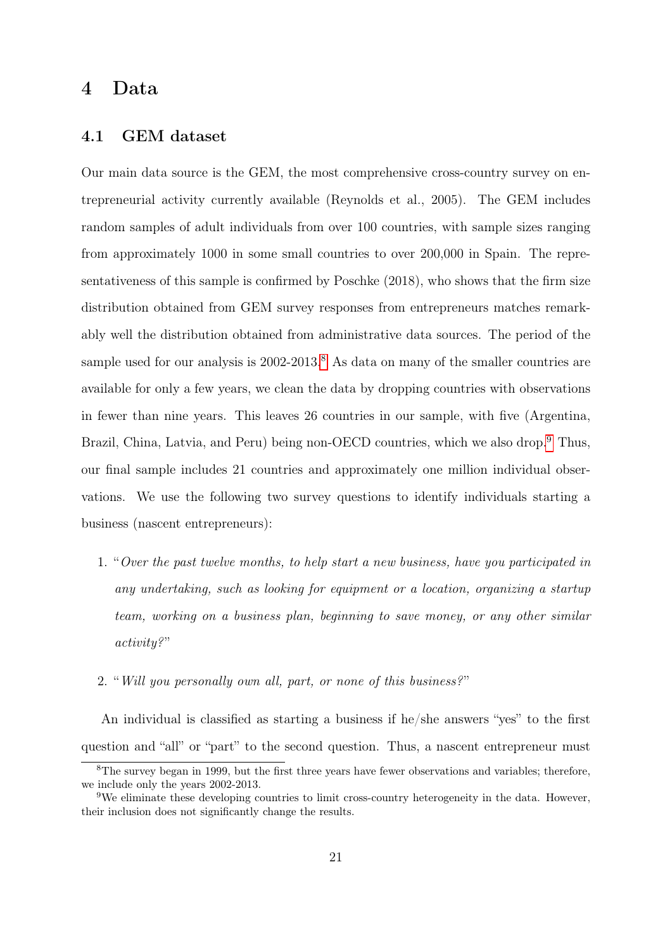# 4 Data

## <span id="page-20-0"></span>4.1 GEM dataset

Our main data source is the GEM, the most comprehensive cross-country survey on entrepreneurial activity currently available (Reynolds et al., 2005). The GEM includes random samples of adult individuals from over 100 countries, with sample sizes ranging from approximately 1000 in some small countries to over 200,000 in Spain. The representativeness of this sample is confirmed by Poschke (2018), who shows that the firm size distribution obtained from GEM survey responses from entrepreneurs matches remarkably well the distribution obtained from administrative data sources. The period of the sample used for our analysis is 2002-2013.<sup>[8](#page-20-1)</sup> As data on many of the smaller countries are available for only a few years, we clean the data by dropping countries with observations in fewer than nine years. This leaves 26 countries in our sample, with five (Argentina, Brazil, China, Latvia, and Peru) being non-OECD countries, which we also drop.<sup>[9](#page-20-2)</sup> Thus, our final sample includes 21 countries and approximately one million individual observations. We use the following two survey questions to identify individuals starting a business (nascent entrepreneurs):

- 1. "Over the past twelve months, to help start a new business, have you participated in any undertaking, such as looking for equipment or a location, organizing a startup team, working on a business plan, beginning to save money, or any other similar activity?"
- 2. "Will you personally own all, part, or none of this business?"

An individual is classified as starting a business if he/she answers "yes" to the first question and "all" or "part" to the second question. Thus, a nascent entrepreneur must

<span id="page-20-1"></span><sup>&</sup>lt;sup>8</sup>The survey began in 1999, but the first three years have fewer observations and variables; therefore, we include only the years 2002-2013.

<span id="page-20-2"></span><sup>&</sup>lt;sup>9</sup>We eliminate these developing countries to limit cross-country heterogeneity in the data. However, their inclusion does not significantly change the results.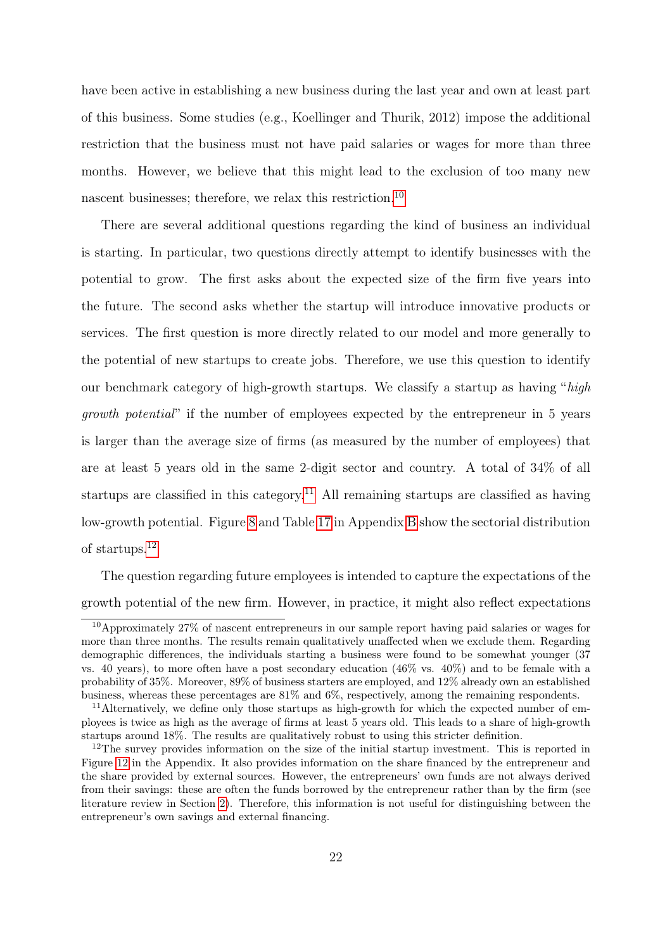have been active in establishing a new business during the last year and own at least part of this business. Some studies (e.g., Koellinger and Thurik, 2012) impose the additional restriction that the business must not have paid salaries or wages for more than three months. However, we believe that this might lead to the exclusion of too many new nascent businesses; therefore, we relax this restriction.<sup>[10](#page-21-0)</sup>

There are several additional questions regarding the kind of business an individual is starting. In particular, two questions directly attempt to identify businesses with the potential to grow. The first asks about the expected size of the firm five years into the future. The second asks whether the startup will introduce innovative products or services. The first question is more directly related to our model and more generally to the potential of new startups to create jobs. Therefore, we use this question to identify our benchmark category of high-growth startups. We classify a startup as having "high growth potential" if the number of employees expected by the entrepreneur in 5 years is larger than the average size of firms (as measured by the number of employees) that are at least 5 years old in the same 2-digit sector and country. A total of 34% of all startups are classified in this category.<sup>[11](#page-21-1)</sup> All remaining startups are classified as having low-growth potential. Figure [8](#page-62-0) and Table [17](#page-67-0) in Appendix [B](#page-60-0) show the sectorial distribution of startups.[12](#page-21-2)

The question regarding future employees is intended to capture the expectations of the growth potential of the new firm. However, in practice, it might also reflect expectations

<span id="page-21-0"></span><sup>&</sup>lt;sup>10</sup>Approximately 27% of nascent entrepreneurs in our sample report having paid salaries or wages for more than three months. The results remain qualitatively unaffected when we exclude them. Regarding demographic differences, the individuals starting a business were found to be somewhat younger (37 vs. 40 years), to more often have a post secondary education (46% vs. 40%) and to be female with a probability of 35%. Moreover, 89% of business starters are employed, and 12% already own an established business, whereas these percentages are 81% and 6%, respectively, among the remaining respondents.

<span id="page-21-1"></span><sup>&</sup>lt;sup>11</sup>Alternatively, we define only those startups as high-growth for which the expected number of employees is twice as high as the average of firms at least 5 years old. This leads to a share of high-growth startups around 18%. The results are qualitatively robust to using this stricter definition.

<span id="page-21-2"></span><sup>&</sup>lt;sup>12</sup>The survey provides information on the size of the initial startup investment. This is reported in Figure [12](#page-68-0) in the Appendix. It also provides information on the share financed by the entrepreneur and the share provided by external sources. However, the entrepreneurs' own funds are not always derived from their savings: these are often the funds borrowed by the entrepreneur rather than by the firm (see literature review in Section [2\)](#page-6-0). Therefore, this information is not useful for distinguishing between the entrepreneur's own savings and external financing.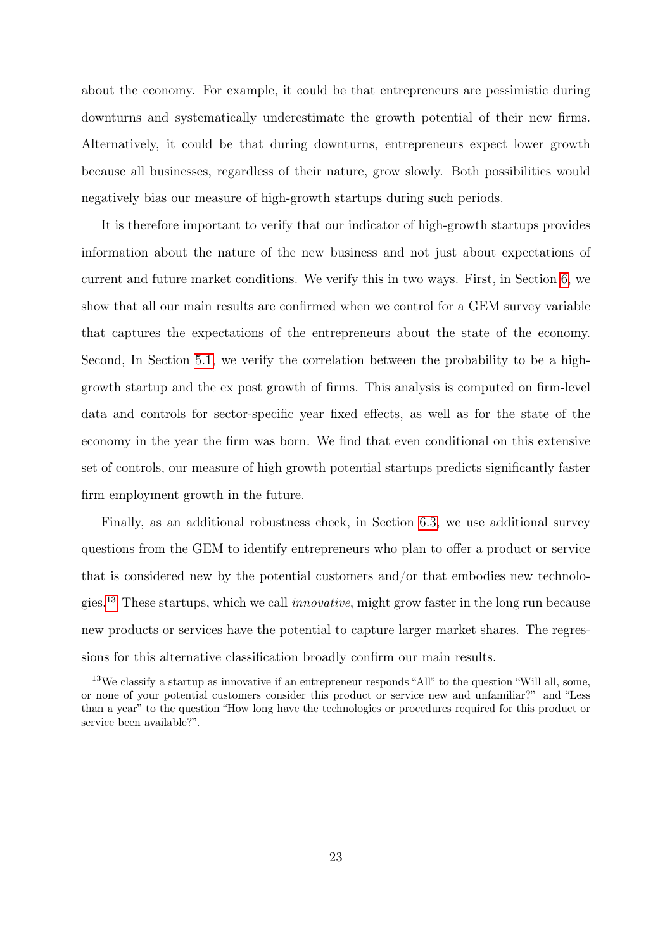about the economy. For example, it could be that entrepreneurs are pessimistic during downturns and systematically underestimate the growth potential of their new firms. Alternatively, it could be that during downturns, entrepreneurs expect lower growth because all businesses, regardless of their nature, grow slowly. Both possibilities would negatively bias our measure of high-growth startups during such periods.

It is therefore important to verify that our indicator of high-growth startups provides information about the nature of the new business and not just about expectations of current and future market conditions. We verify this in two ways. First, in Section [6,](#page-44-0) we show that all our main results are confirmed when we control for a GEM survey variable that captures the expectations of the entrepreneurs about the state of the economy. Second, In Section [5.1,](#page-25-0) we verify the correlation between the probability to be a highgrowth startup and the ex post growth of firms. This analysis is computed on firm-level data and controls for sector-specific year fixed effects, as well as for the state of the economy in the year the firm was born. We find that even conditional on this extensive set of controls, our measure of high growth potential startups predicts significantly faster firm employment growth in the future.

Finally, as an additional robustness check, in Section [6.3,](#page-48-0) we use additional survey questions from the GEM to identify entrepreneurs who plan to offer a product or service that is considered new by the potential customers and/or that embodies new technolo-gies.<sup>[13](#page-22-0)</sup> These startups, which we call *innovative*, might grow faster in the long run because new products or services have the potential to capture larger market shares. The regressions for this alternative classification broadly confirm our main results.

<span id="page-22-0"></span><sup>13</sup>We classify a startup as innovative if an entrepreneur responds "All" to the question "Will all, some, or none of your potential customers consider this product or service new and unfamiliar?" and "Less than a year" to the question "How long have the technologies or procedures required for this product or service been available?".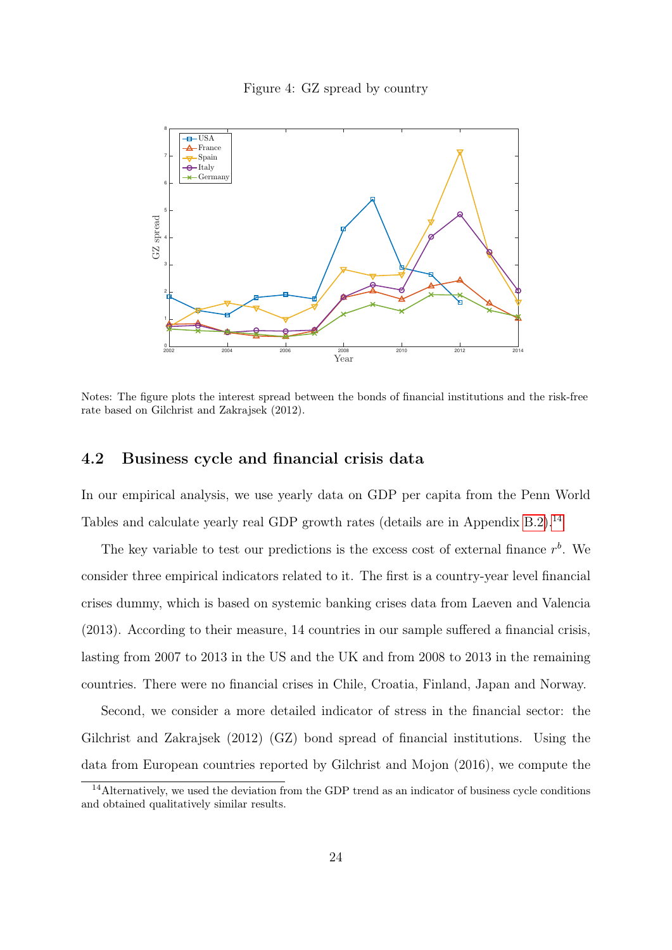#### Figure 4: GZ spread by country

<span id="page-23-1"></span>

Notes: The figure plots the interest spread between the bonds of financial institutions and the risk-free rate based on Gilchrist and Zakrajsek (2012).

## <span id="page-23-2"></span>4.2 Business cycle and financial crisis data

In our empirical analysis, we use yearly data on GDP per capita from the Penn World Tables and calculate yearly real GDP growth rates (details are in Appendix [B.2\)](#page-62-1).<sup>[14](#page-23-0)</sup>

The key variable to test our predictions is the excess cost of external finance  $r<sup>b</sup>$ . We consider three empirical indicators related to it. The first is a country-year level financial crises dummy, which is based on systemic banking crises data from Laeven and Valencia (2013). According to their measure, 14 countries in our sample suffered a financial crisis, lasting from 2007 to 2013 in the US and the UK and from 2008 to 2013 in the remaining countries. There were no financial crises in Chile, Croatia, Finland, Japan and Norway.

Second, we consider a more detailed indicator of stress in the financial sector: the Gilchrist and Zakrajsek (2012) (GZ) bond spread of financial institutions. Using the data from European countries reported by Gilchrist and Mojon (2016), we compute the

<span id="page-23-0"></span><sup>&</sup>lt;sup>14</sup>Alternatively, we used the deviation from the GDP trend as an indicator of business cycle conditions and obtained qualitatively similar results.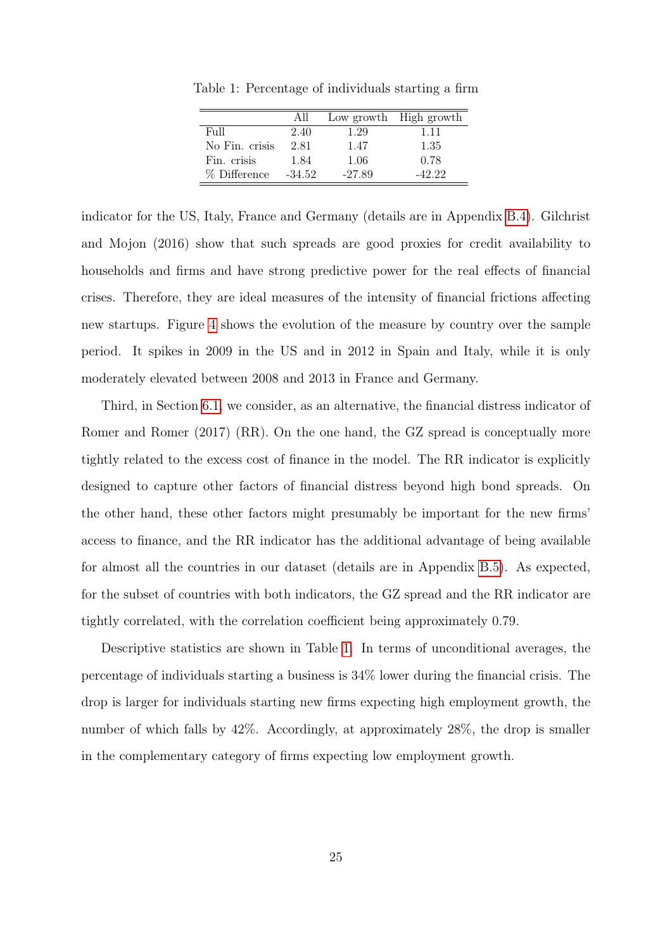|                | AII      |          | Low growth High growth |
|----------------|----------|----------|------------------------|
| F <sub>U</sub> | 2.40     | 1.29     | 1.11                   |
| No Fin. crisis | 2.81     | 1.47     | 1.35                   |
| Fin. crisis    | 1.84     | 1.06     | 0.78                   |
| % Difference   | $-34.52$ | $-27.89$ | $-42.22$               |

<span id="page-24-0"></span>Table 1: Percentage of individuals starting a firm

indicator for the US, Italy, France and Germany (details are in Appendix [B.4\)](#page-63-0). Gilchrist and Mojon (2016) show that such spreads are good proxies for credit availability to households and firms and have strong predictive power for the real effects of financial crises. Therefore, they are ideal measures of the intensity of financial frictions affecting new startups. Figure [4](#page-23-1) shows the evolution of the measure by country over the sample period. It spikes in 2009 in the US and in 2012 in Spain and Italy, while it is only moderately elevated between 2008 and 2013 in France and Germany.

Third, in Section [6.1,](#page-45-0) we consider, as an alternative, the financial distress indicator of Romer and Romer (2017) (RR). On the one hand, the GZ spread is conceptually more tightly related to the excess cost of finance in the model. The RR indicator is explicitly designed to capture other factors of financial distress beyond high bond spreads. On the other hand, these other factors might presumably be important for the new firms' access to finance, and the RR indicator has the additional advantage of being available for almost all the countries in our dataset (details are in Appendix [B.5\)](#page-64-0). As expected, for the subset of countries with both indicators, the GZ spread and the RR indicator are tightly correlated, with the correlation coefficient being approximately 0.79.

Descriptive statistics are shown in Table [1.](#page-24-0) In terms of unconditional averages, the percentage of individuals starting a business is 34% lower during the financial crisis. The drop is larger for individuals starting new firms expecting high employment growth, the number of which falls by 42%. Accordingly, at approximately 28%, the drop is smaller in the complementary category of firms expecting low employment growth.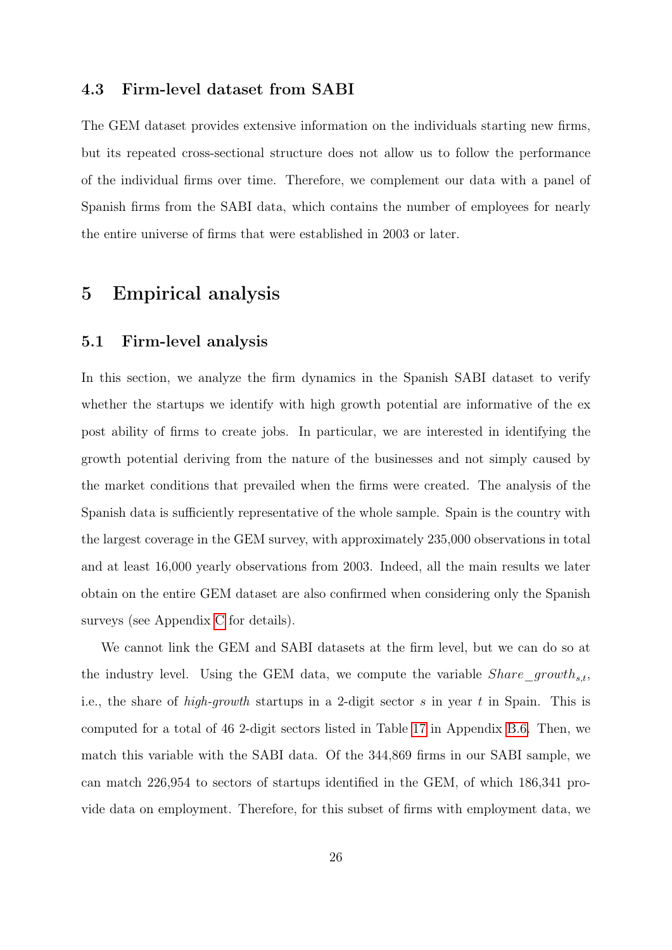## 4.3 Firm-level dataset from SABI

The GEM dataset provides extensive information on the individuals starting new firms, but its repeated cross-sectional structure does not allow us to follow the performance of the individual firms over time. Therefore, we complement our data with a panel of Spanish firms from the SABI data, which contains the number of employees for nearly the entire universe of firms that were established in 2003 or later.

# 5 Empirical analysis

## <span id="page-25-0"></span>5.1 Firm-level analysis

In this section, we analyze the firm dynamics in the Spanish SABI dataset to verify whether the startups we identify with high growth potential are informative of the expost ability of firms to create jobs. In particular, we are interested in identifying the growth potential deriving from the nature of the businesses and not simply caused by the market conditions that prevailed when the firms were created. The analysis of the Spanish data is sufficiently representative of the whole sample. Spain is the country with the largest coverage in the GEM survey, with approximately 235,000 observations in total and at least 16,000 yearly observations from 2003. Indeed, all the main results we later obtain on the entire GEM dataset are also confirmed when considering only the Spanish surveys (see Appendix [C](#page-68-1) for details).

We cannot link the GEM and SABI datasets at the firm level, but we can do so at the industry level. Using the GEM data, we compute the variable  $Share\_growth_{s,t}$ , i.e., the share of *high-growth* startups in a 2-digit sector s in year t in Spain. This is computed for a total of 46 2-digit sectors listed in Table [17](#page-67-0) in Appendix [B.6.](#page-65-0) Then, we match this variable with the SABI data. Of the 344,869 firms in our SABI sample, we can match 226,954 to sectors of startups identified in the GEM, of which 186,341 provide data on employment. Therefore, for this subset of firms with employment data, we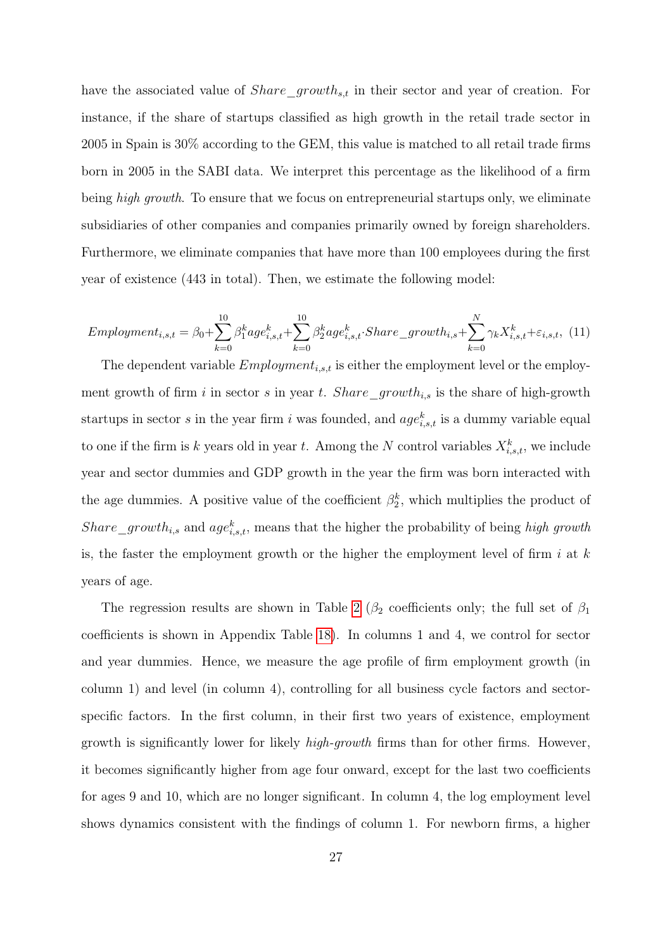have the associated value of  $Share\_growth_{s,t}$  in their sector and year of creation. For instance, if the share of startups classified as high growth in the retail trade sector in 2005 in Spain is 30% according to the GEM, this value is matched to all retail trade firms born in 2005 in the SABI data. We interpret this percentage as the likelihood of a firm being *high growth*. To ensure that we focus on entrepreneurial startups only, we eliminate subsidiaries of other companies and companies primarily owned by foreign shareholders. Furthermore, we eliminate companies that have more than 100 employees during the first year of existence (443 in total). Then, we estimate the following model:

<span id="page-26-0"></span>
$$
Emplogment_{i,s,t} = \beta_0 + \sum_{k=0}^{10} \beta_1^k age_{i,s,t}^k + \sum_{k=0}^{10} \beta_2^k age_{i,s,t}^k \cdot share\_growth_{i,s} + \sum_{k=0}^{N} \gamma_k X_{i,s,t}^k + \varepsilon_{i,s,t},
$$
(11)

The dependent variable  $Emplogment_{i,s,t}$  is either the employment level or the employment growth of firm i in sector s in year t. Share\_growth<sub>i,s</sub> is the share of high-growth startups in sector s in the year firm i was founded, and  $age_{i,s,t}^k$  is a dummy variable equal to one if the firm is k years old in year t. Among the N control variables  $X_{i,s,t}^k$ , we include year and sector dummies and GDP growth in the year the firm was born interacted with the age dummies. A positive value of the coefficient  $\beta_2^k$ , which multiplies the product of Share growth<sub>is</sub> and age<sub>iss,t</sub>, means that the higher the probability of being high growth is, the faster the employment growth or the higher the employment level of firm  $i$  at  $k$ years of age.

The regression results are shown in Table [2](#page-27-0) ( $\beta_2$  coefficients only; the full set of  $\beta_1$ coefficients is shown in Appendix Table [18\)](#page-69-0). In columns 1 and 4, we control for sector and year dummies. Hence, we measure the age profile of firm employment growth (in column 1) and level (in column 4), controlling for all business cycle factors and sectorspecific factors. In the first column, in their first two years of existence, employment growth is significantly lower for likely high-growth firms than for other firms. However, it becomes significantly higher from age four onward, except for the last two coefficients for ages 9 and 10, which are no longer significant. In column 4, the log employment level shows dynamics consistent with the findings of column 1. For newborn firms, a higher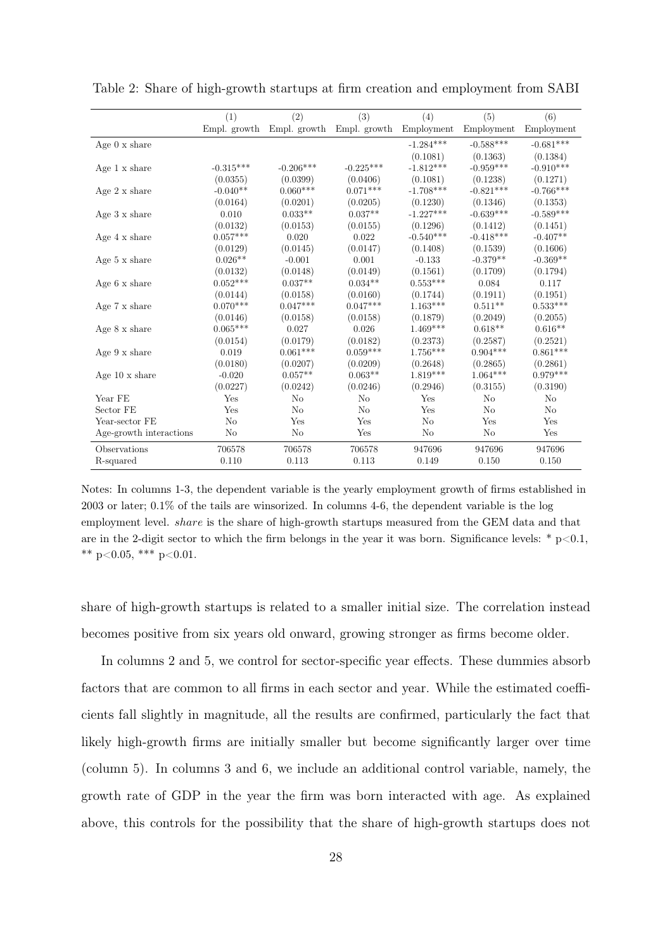|                              | (1)            | (2)            | (3)            | (4)            | (5)         | (6)            |
|------------------------------|----------------|----------------|----------------|----------------|-------------|----------------|
|                              | Empl. growth   | Empl. growth   | Empl. growth   | Employment     | Employment  | Employment     |
| Age $0 \times$ share         |                |                |                | $-1.284***$    | $-0.588***$ | $-0.681***$    |
|                              |                |                |                | (0.1081)       | (0.1363)    | (0.1384)       |
| Age 1 x share                | $-0.315***$    | $-0.206***$    | $-0.225***$    | $-1.812***$    | $-0.959***$ | $-0.910***$    |
|                              | (0.0355)       | (0.0399)       | (0.0406)       | (0.1081)       | (0.1238)    | (0.1271)       |
| Age $2 \times \text{share}$  | $-0.040**$     | $0.060***$     | $0.071***$     | $-1.708***$    | $-0.821***$ | $-0.766***$    |
|                              | (0.0164)       | (0.0201)       | (0.0205)       | (0.1230)       | (0.1346)    | (0.1353)       |
| Age $3 \times$ share         | 0.010          | $0.033**$      | $0.037**$      | $-1.227***$    | $-0.639***$ | $-0.589***$    |
|                              | (0.0132)       | (0.0153)       | (0.0155)       | (0.1296)       | (0.1412)    | (0.1451)       |
| Age 4 x share                | $0.057***$     | 0.020          | 0.022          | $-0.540***$    | $-0.418***$ | $-0.407**$     |
|                              | (0.0129)       | (0.0145)       | (0.0147)       | (0.1408)       | (0.1539)    | (0.1606)       |
| Age $5 \times \text{share}$  | $0.026**$      | $-0.001$       | 0.001          | $-0.133$       | $-0.379**$  | $-0.369**$     |
|                              | (0.0132)       | (0.0148)       | (0.0149)       | (0.1561)       | (0.1709)    | (0.1794)       |
| Age $6 \times \text{share}$  | $0.052***$     | $0.037**$      | $0.034**$      | $0.553***$     | 0.084       | 0.117          |
|                              | (0.0144)       | (0.0158)       | (0.0160)       | (0.1744)       | (0.1911)    | (0.1951)       |
| Age $7 \times \text{share}$  | $0.070***$     | $0.047***$     | $0.047***$     | $1.163***$     | $0.511**$   | $0.533***$     |
|                              | (0.0146)       | (0.0158)       | (0.0158)       | (0.1879)       | (0.2049)    | (0.2055)       |
| Age $8 \times$ share         | $0.065***$     | 0.027          | 0.026          | $1.469***$     | $0.618**$   | $0.616**$      |
|                              | (0.0154)       | (0.0179)       | (0.0182)       | (0.2373)       | (0.2587)    | (0.2521)       |
| Age $9 \times \text{share}$  | 0.019          | $0.061***$     | $0.059***$     | $1.756***$     | $0.904***$  | $0.861***$     |
|                              | (0.0180)       | (0.0207)       | (0.0209)       | (0.2648)       | (0.2865)    | (0.2861)       |
| Age $10 \times \text{share}$ | $-0.020$       | $0.057**$      | $0.063**$      | $1.819***$     | $1.064***$  | $0.979***$     |
|                              | (0.0227)       | (0.0242)       | (0.0246)       | (0.2946)       | (0.3155)    | (0.3190)       |
| Year FE                      | Yes            | N <sub>o</sub> | No             | Yes            | No          | N <sub>o</sub> |
| Sector FE                    | Yes            | N <sub>o</sub> | N <sub>o</sub> | Yes            | No          | N <sub>o</sub> |
| Year-sector FE               | N <sub>o</sub> | Yes            | Yes            | N <sub>o</sub> | Yes         | Yes            |
| Age-growth interactions      | No             | No             | Yes            | No             | No          | Yes            |
| Observations                 | 706578         | 706578         | 706578         | 947696         | 947696      | 947696         |
| R-squared                    | 0.110          | 0.113          | 0.113          | 0.149          | 0.150       | 0.150          |

<span id="page-27-0"></span>Table 2: Share of high-growth startups at firm creation and employment from SABI

Notes: In columns 1-3, the dependent variable is the yearly employment growth of firms established in 2003 or later; 0.1% of the tails are winsorized. In columns 4-6, the dependent variable is the log employment level. share is the share of high-growth startups measured from the GEM data and that are in the 2-digit sector to which the firm belongs in the year it was born. Significance levels: \*  $p<0.1$ , \*\* p<0.05, \*\*\* p<0.01.

share of high-growth startups is related to a smaller initial size. The correlation instead becomes positive from six years old onward, growing stronger as firms become older.

In columns 2 and 5, we control for sector-specific year effects. These dummies absorb factors that are common to all firms in each sector and year. While the estimated coefficients fall slightly in magnitude, all the results are confirmed, particularly the fact that likely high-growth firms are initially smaller but become significantly larger over time (column 5). In columns 3 and 6, we include an additional control variable, namely, the growth rate of GDP in the year the firm was born interacted with age. As explained above, this controls for the possibility that the share of high-growth startups does not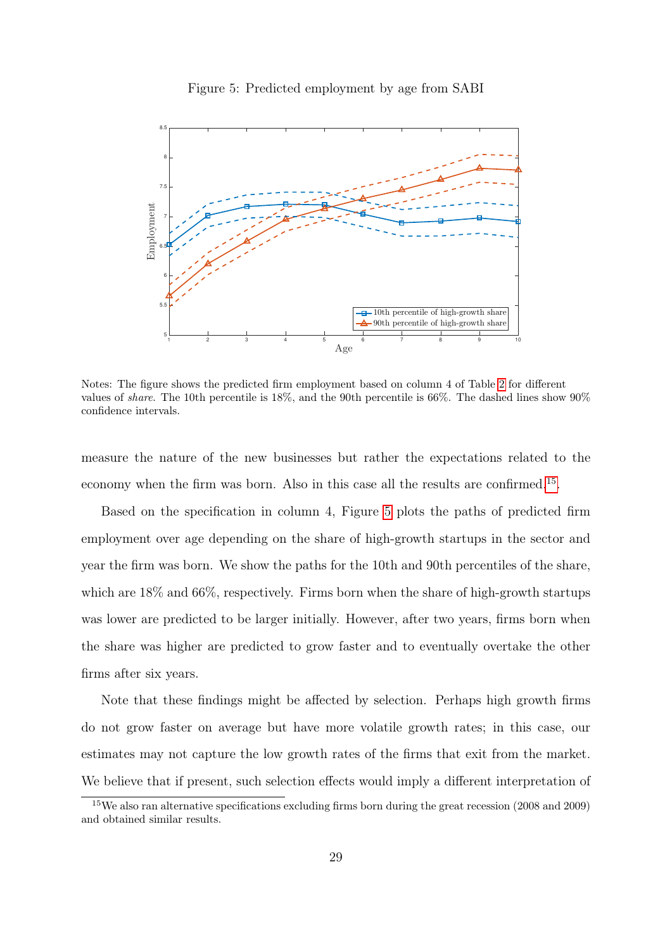<span id="page-28-1"></span>

Figure 5: Predicted employment by age from SABI

Notes: The figure shows the predicted firm employment based on column 4 of Table [2](#page-27-0) for different values of share. The 10th percentile is 18%, and the 90th percentile is 66%. The dashed lines show 90% confidence intervals.

measure the nature of the new businesses but rather the expectations related to the economy when the firm was born. Also in this case all the results are confirmed.<sup>[15](#page-28-0)</sup>.

Based on the specification in column 4, Figure [5](#page-28-1) plots the paths of predicted firm employment over age depending on the share of high-growth startups in the sector and year the firm was born. We show the paths for the 10th and 90th percentiles of the share, which are  $18\%$  and  $66\%$ , respectively. Firms born when the share of high-growth startups was lower are predicted to be larger initially. However, after two years, firms born when the share was higher are predicted to grow faster and to eventually overtake the other firms after six years.

Note that these findings might be affected by selection. Perhaps high growth firms do not grow faster on average but have more volatile growth rates; in this case, our estimates may not capture the low growth rates of the firms that exit from the market. We believe that if present, such selection effects would imply a different interpretation of

<span id="page-28-0"></span><sup>15</sup>We also ran alternative specifications excluding firms born during the great recession (2008 and 2009) and obtained similar results.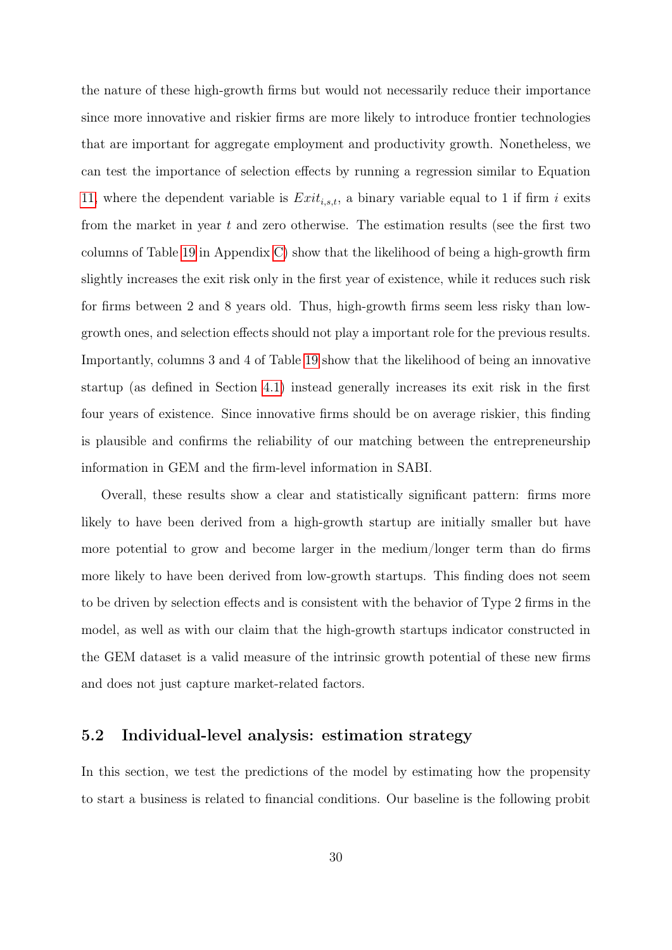the nature of these high-growth firms but would not necessarily reduce their importance since more innovative and riskier firms are more likely to introduce frontier technologies that are important for aggregate employment and productivity growth. Nonetheless, we can test the importance of selection effects by running a regression similar to Equation [11,](#page-26-0) where the dependent variable is  $Exit_{i,s,t}$ , a binary variable equal to 1 if firm i exits from the market in year t and zero otherwise. The estimation results (see the first two columns of Table [19](#page-70-0) in Appendix [C\)](#page-68-1) show that the likelihood of being a high-growth firm slightly increases the exit risk only in the first year of existence, while it reduces such risk for firms between 2 and 8 years old. Thus, high-growth firms seem less risky than lowgrowth ones, and selection effects should not play a important role for the previous results. Importantly, columns 3 and 4 of Table [19](#page-70-0) show that the likelihood of being an innovative startup (as defined in Section [4.1\)](#page-20-0) instead generally increases its exit risk in the first four years of existence. Since innovative firms should be on average riskier, this finding is plausible and confirms the reliability of our matching between the entrepreneurship information in GEM and the firm-level information in SABI.

Overall, these results show a clear and statistically significant pattern: firms more likely to have been derived from a high-growth startup are initially smaller but have more potential to grow and become larger in the medium/longer term than do firms more likely to have been derived from low-growth startups. This finding does not seem to be driven by selection effects and is consistent with the behavior of Type 2 firms in the model, as well as with our claim that the high-growth startups indicator constructed in the GEM dataset is a valid measure of the intrinsic growth potential of these new firms and does not just capture market-related factors.

# 5.2 Individual-level analysis: estimation strategy

In this section, we test the predictions of the model by estimating how the propensity to start a business is related to financial conditions. Our baseline is the following probit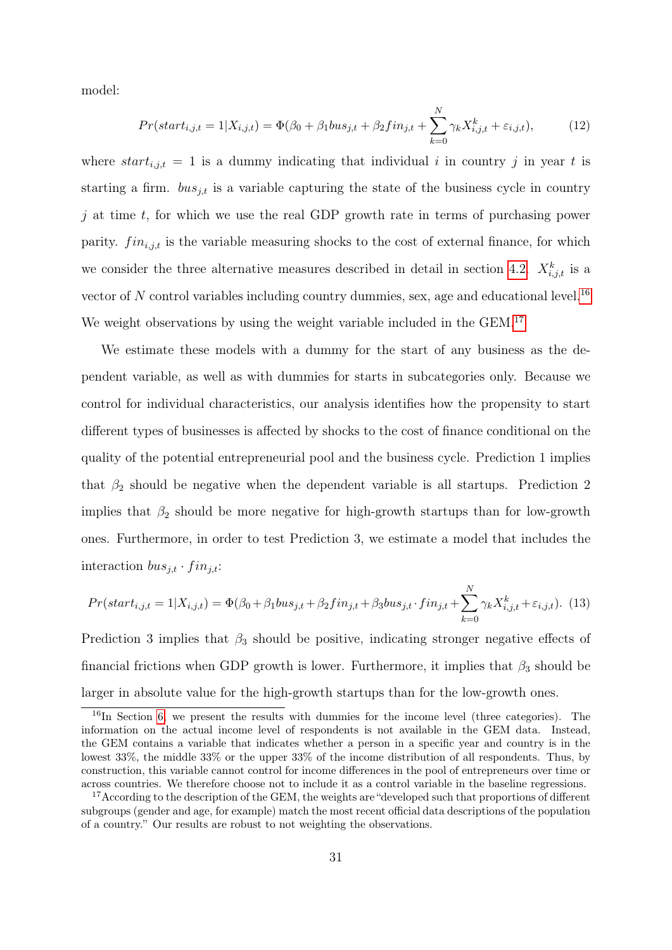model:

<span id="page-30-2"></span>
$$
Pr(start_{i,j,t} = 1 | X_{i,j,t}) = \Phi(\beta_0 + \beta_1 bus_{j,t} + \beta_2 fin_{j,t} + \sum_{k=0}^{N} \gamma_k X_{i,j,t}^k + \varepsilon_{i,j,t}),
$$
(12)

where  $start_{i,j,t} = 1$  is a dummy indicating that individual i in country j in year t is starting a firm.  $bus_{j,t}$  is a variable capturing the state of the business cycle in country j at time  $t$ , for which we use the real GDP growth rate in terms of purchasing power parity.  $fin_{i,j,t}$  is the variable measuring shocks to the cost of external finance, for which we consider the three alternative measures described in detail in section [4.2.](#page-23-2)  $X_{i,j,t}^k$  is a vector of N control variables including country dummies, sex, age and educational level.<sup>[16](#page-30-0)</sup> We weight observations by using the weight variable included in the GEM.<sup>[17](#page-30-1)</sup>

We estimate these models with a dummy for the start of any business as the dependent variable, as well as with dummies for starts in subcategories only. Because we control for individual characteristics, our analysis identifies how the propensity to start different types of businesses is affected by shocks to the cost of finance conditional on the quality of the potential entrepreneurial pool and the business cycle. Prediction 1 implies that  $\beta_2$  should be negative when the dependent variable is all startups. Prediction 2 implies that  $\beta_2$  should be more negative for high-growth startups than for low-growth ones. Furthermore, in order to test Prediction 3, we estimate a model that includes the interaction  $bus_{j,t} \cdot fin_{j,t}$ :

<span id="page-30-3"></span>
$$
Pr(start_{i,j,t} = 1 | X_{i,j,t}) = \Phi(\beta_0 + \beta_1 bus_{j,t} + \beta_2 fin_{j,t} + \beta_3 bus_{j,t} \cdot fin_{j,t} + \sum_{k=0}^{N} \gamma_k X_{i,j,t}^k + \varepsilon_{i,j,t}).
$$
 (13)

Prediction 3 implies that  $\beta_3$  should be positive, indicating stronger negative effects of financial frictions when GDP growth is lower. Furthermore, it implies that  $\beta_3$  should be larger in absolute value for the high-growth startups than for the low-growth ones.

<span id="page-30-0"></span> $16$ In Section [6,](#page-44-0) we present the results with dummies for the income level (three categories). The information on the actual income level of respondents is not available in the GEM data. Instead, the GEM contains a variable that indicates whether a person in a specific year and country is in the lowest 33%, the middle 33% or the upper 33% of the income distribution of all respondents. Thus, by construction, this variable cannot control for income differences in the pool of entrepreneurs over time or across countries. We therefore choose not to include it as a control variable in the baseline regressions.

<span id="page-30-1"></span><sup>&</sup>lt;sup>17</sup> According to the description of the GEM, the weights are "developed such that proportions of different subgroups (gender and age, for example) match the most recent official data descriptions of the population of a country." Our results are robust to not weighting the observations.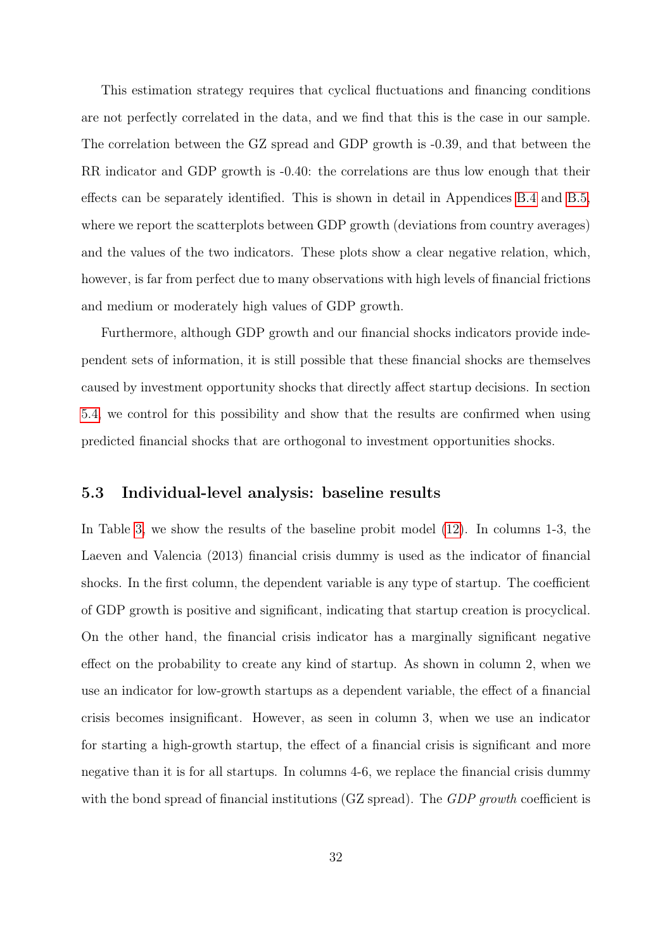This estimation strategy requires that cyclical fluctuations and financing conditions are not perfectly correlated in the data, and we find that this is the case in our sample. The correlation between the GZ spread and GDP growth is -0.39, and that between the RR indicator and GDP growth is -0.40: the correlations are thus low enough that their effects can be separately identified. This is shown in detail in Appendices [B.4](#page-63-0) and [B.5,](#page-64-0) where we report the scatterplots between GDP growth (deviations from country averages) and the values of the two indicators. These plots show a clear negative relation, which, however, is far from perfect due to many observations with high levels of financial frictions and medium or moderately high values of GDP growth.

Furthermore, although GDP growth and our financial shocks indicators provide independent sets of information, it is still possible that these financial shocks are themselves caused by investment opportunity shocks that directly affect startup decisions. In section [5.4,](#page-37-0) we control for this possibility and show that the results are confirmed when using predicted financial shocks that are orthogonal to investment opportunities shocks.

### 5.3 Individual-level analysis: baseline results

In Table [3,](#page-32-0) we show the results of the baseline probit model [\(12\)](#page-30-2). In columns 1-3, the Laeven and Valencia (2013) financial crisis dummy is used as the indicator of financial shocks. In the first column, the dependent variable is any type of startup. The coefficient of GDP growth is positive and significant, indicating that startup creation is procyclical. On the other hand, the financial crisis indicator has a marginally significant negative effect on the probability to create any kind of startup. As shown in column 2, when we use an indicator for low-growth startups as a dependent variable, the effect of a financial crisis becomes insignificant. However, as seen in column 3, when we use an indicator for starting a high-growth startup, the effect of a financial crisis is significant and more negative than it is for all startups. In columns 4-6, we replace the financial crisis dummy with the bond spread of financial institutions (GZ spread). The *GDP growth* coefficient is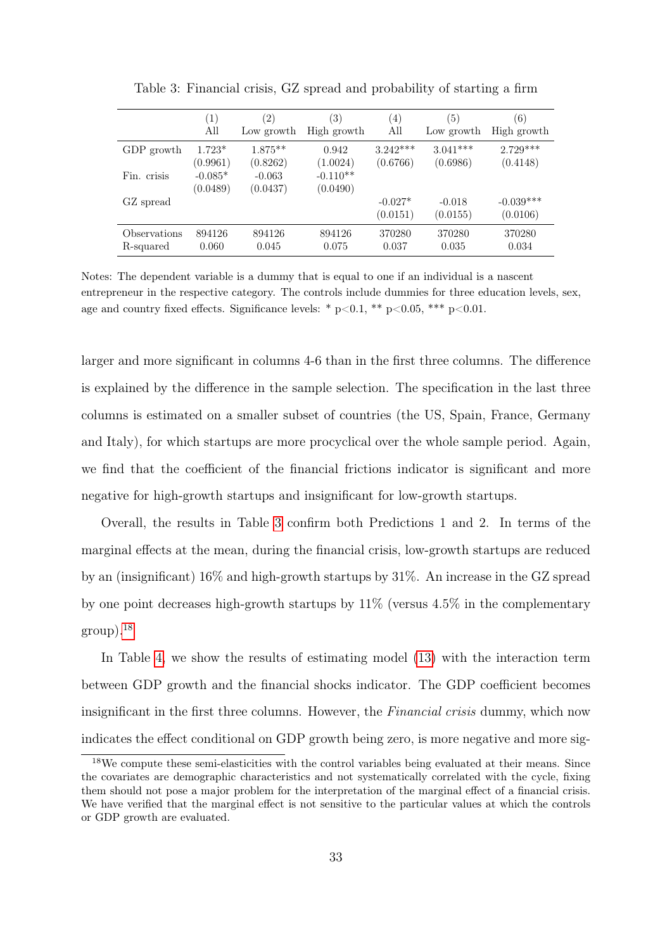<span id="page-32-0"></span>

|              | (1)                   | $\left( 2\right)$    | 3)                     | $\left(4\right)$      | (5)                  | (6)                     |
|--------------|-----------------------|----------------------|------------------------|-----------------------|----------------------|-------------------------|
|              | All                   | Low growth           | High growth            | All                   | Low growth           | High growth             |
| GDP growth   | $1.723*$              | $1.875**$            | 0.942                  | $3.242***$            | $3.041***$           | $2.729***$              |
|              | (0.9961)              | (0.8262)             | (1.0024)               | (0.6766)              | (0.6986)             | (0.4148)                |
| Fin. crisis  | $-0.085*$<br>(0.0489) | $-0.063$<br>(0.0437) | $-0.110**$<br>(0.0490) |                       |                      |                         |
| GZ spread    |                       |                      |                        | $-0.027*$<br>(0.0151) | $-0.018$<br>(0.0155) | $-0.039***$<br>(0.0106) |
| Observations | 894126                | 894126               | 894126                 | 370280                | 370280               | 370280                  |
| R-squared    | 0.060                 | 0.045                | 0.075                  | 0.037                 | 0.035                | 0.034                   |

Table 3: Financial crisis, GZ spread and probability of starting a firm

Notes: The dependent variable is a dummy that is equal to one if an individual is a nascent entrepreneur in the respective category. The controls include dummies for three education levels, sex, age and country fixed effects. Significance levels: \*  $p<0.1$ , \*\*  $p<0.05$ , \*\*\*  $p<0.01$ .

larger and more significant in columns 4-6 than in the first three columns. The difference is explained by the difference in the sample selection. The specification in the last three columns is estimated on a smaller subset of countries (the US, Spain, France, Germany and Italy), for which startups are more procyclical over the whole sample period. Again, we find that the coefficient of the financial frictions indicator is significant and more negative for high-growth startups and insignificant for low-growth startups.

Overall, the results in Table [3](#page-32-0) confirm both Predictions 1 and 2. In terms of the marginal effects at the mean, during the financial crisis, low-growth startups are reduced by an (insignificant) 16% and high-growth startups by 31%. An increase in the GZ spread by one point decreases high-growth startups by  $11\%$  (versus  $4.5\%$  in the complementary  $\rm{group}).^{18}$  $\rm{group}).^{18}$  $\rm{group}).^{18}$ 

In Table [4,](#page-33-0) we show the results of estimating model [\(13\)](#page-30-3) with the interaction term between GDP growth and the financial shocks indicator. The GDP coefficient becomes insignificant in the first three columns. However, the *Financial crisis* dummy, which now indicates the effect conditional on GDP growth being zero, is more negative and more sig-

<span id="page-32-1"></span><sup>&</sup>lt;sup>18</sup>We compute these semi-elasticities with the control variables being evaluated at their means. Since the covariates are demographic characteristics and not systematically correlated with the cycle, fixing them should not pose a major problem for the interpretation of the marginal effect of a financial crisis. We have verified that the marginal effect is not sensitive to the particular values at which the controls or GDP growth are evaluated.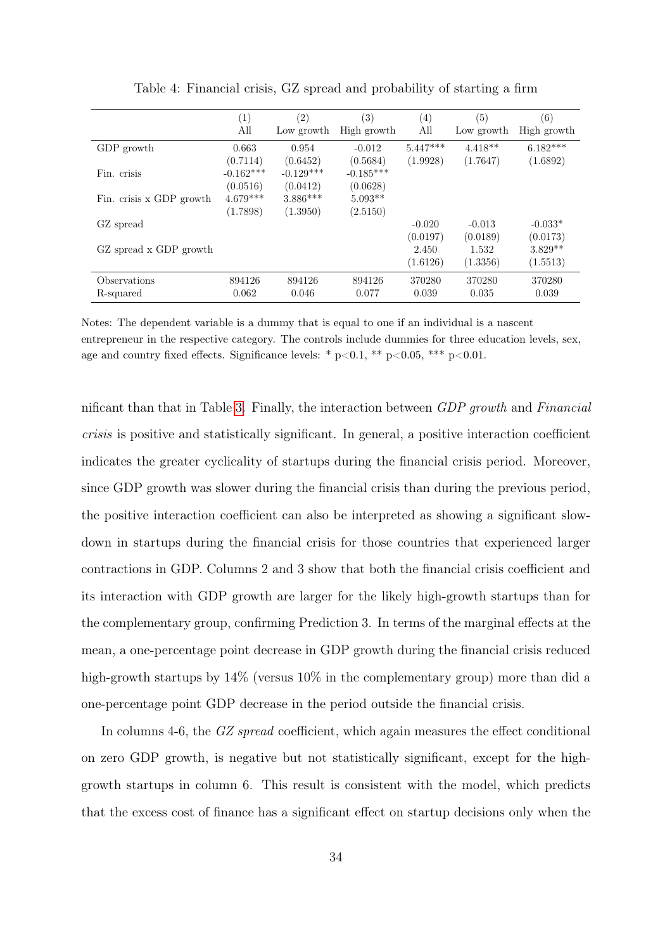<span id="page-33-0"></span>

|                           | (1)<br>All              | (2)<br>Low growth       | $\left( 3\right)$<br>High growth | (4)<br>All             | (5)<br>Low growth     | (6)<br>High growth     |
|---------------------------|-------------------------|-------------------------|----------------------------------|------------------------|-----------------------|------------------------|
| GDP growth                | 0.663<br>(0.7114)       | 0.954<br>(0.6452)       | $-0.012$<br>(0.5684)             | $5.447***$<br>(1.9928) | $4.418**$<br>(1.7647) | $6.182***$<br>(1.6892) |
| Fin. crisis               | $-0.162***$<br>(0.0516) | $-0.129***$<br>(0.0412) | $-0.185***$<br>(0.0628)          |                        |                       |                        |
| Fin. crisis x GDP growth  | $4.679***$<br>(1.7898)  | $3.886***$<br>(1.3950)  | $5.093**$<br>(2.5150)            |                        |                       |                        |
| GZ spread                 |                         |                         |                                  | $-0.020$<br>(0.0197)   | $-0.013$<br>(0.0189)  | $-0.033*$<br>(0.0173)  |
| GZ spread x GDP growth    |                         |                         |                                  | 2.450<br>(1.6126)      | 1.532<br>(1.3356)     | $3.829**$<br>(1.5513)  |
| Observations<br>R-squared | 894126<br>0.062         | 894126<br>0.046         | 894126<br>0.077                  | 370280<br>0.039        | 370280<br>0.035       | 370280<br>0.039        |

Table 4: Financial crisis, GZ spread and probability of starting a firm

Notes: The dependent variable is a dummy that is equal to one if an individual is a nascent entrepreneur in the respective category. The controls include dummies for three education levels, sex, age and country fixed effects. Significance levels: \*  $p<0.1$ , \*\*  $p<0.05$ , \*\*\*  $p<0.01$ .

nificant than that in Table [3.](#page-32-0) Finally, the interaction between GDP growth and Financial crisis is positive and statistically significant. In general, a positive interaction coefficient indicates the greater cyclicality of startups during the financial crisis period. Moreover, since GDP growth was slower during the financial crisis than during the previous period, the positive interaction coefficient can also be interpreted as showing a significant slowdown in startups during the financial crisis for those countries that experienced larger contractions in GDP. Columns 2 and 3 show that both the financial crisis coefficient and its interaction with GDP growth are larger for the likely high-growth startups than for the complementary group, confirming Prediction 3. In terms of the marginal effects at the mean, a one-percentage point decrease in GDP growth during the financial crisis reduced high-growth startups by  $14\%$  (versus  $10\%$  in the complementary group) more than did a one-percentage point GDP decrease in the period outside the financial crisis.

In columns 4-6, the GZ spread coefficient, which again measures the effect conditional on zero GDP growth, is negative but not statistically significant, except for the highgrowth startups in column 6. This result is consistent with the model, which predicts that the excess cost of finance has a significant effect on startup decisions only when the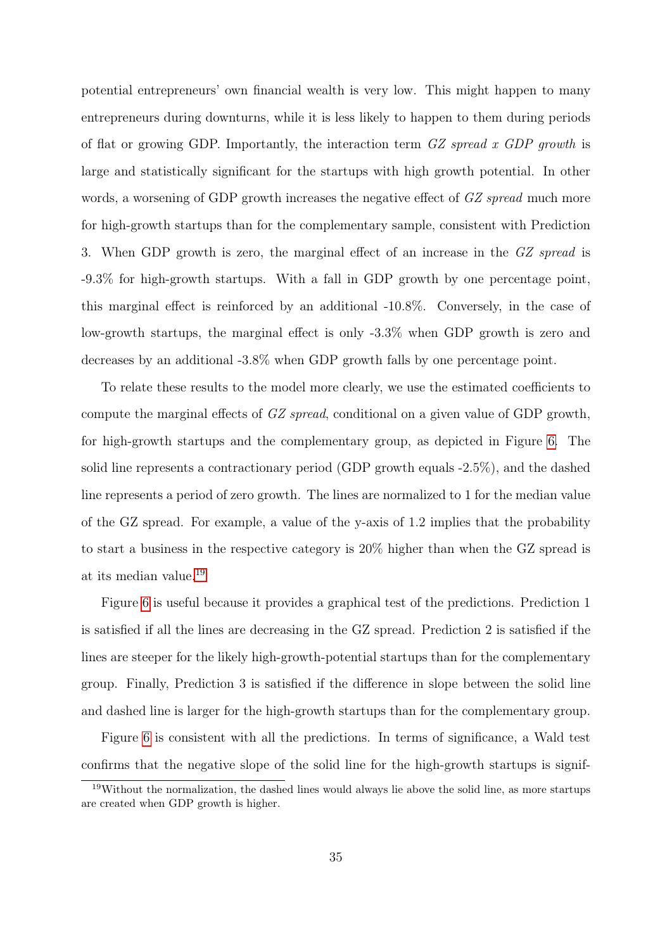potential entrepreneurs' own financial wealth is very low. This might happen to many entrepreneurs during downturns, while it is less likely to happen to them during periods of flat or growing GDP. Importantly, the interaction term  $GZ$  spread x GDP growth is large and statistically significant for the startups with high growth potential. In other words, a worsening of GDP growth increases the negative effect of GZ spread much more for high-growth startups than for the complementary sample, consistent with Prediction 3. When GDP growth is zero, the marginal effect of an increase in the GZ spread is -9.3% for high-growth startups. With a fall in GDP growth by one percentage point, this marginal effect is reinforced by an additional -10.8%. Conversely, in the case of low-growth startups, the marginal effect is only -3.3% when GDP growth is zero and decreases by an additional -3.8% when GDP growth falls by one percentage point.

To relate these results to the model more clearly, we use the estimated coefficients to compute the marginal effects of GZ spread, conditional on a given value of GDP growth, for high-growth startups and the complementary group, as depicted in Figure [6.](#page-35-0) The solid line represents a contractionary period (GDP growth equals -2.5%), and the dashed line represents a period of zero growth. The lines are normalized to 1 for the median value of the GZ spread. For example, a value of the y-axis of 1.2 implies that the probability to start a business in the respective category is 20% higher than when the GZ spread is at its median value.[19](#page-34-0)

Figure [6](#page-35-0) is useful because it provides a graphical test of the predictions. Prediction 1 is satisfied if all the lines are decreasing in the GZ spread. Prediction 2 is satisfied if the lines are steeper for the likely high-growth-potential startups than for the complementary group. Finally, Prediction 3 is satisfied if the difference in slope between the solid line and dashed line is larger for the high-growth startups than for the complementary group.

Figure [6](#page-35-0) is consistent with all the predictions. In terms of significance, a Wald test confirms that the negative slope of the solid line for the high-growth startups is signif-

<span id="page-34-0"></span><sup>&</sup>lt;sup>19</sup>Without the normalization, the dashed lines would always lie above the solid line, as more startups are created when GDP growth is higher.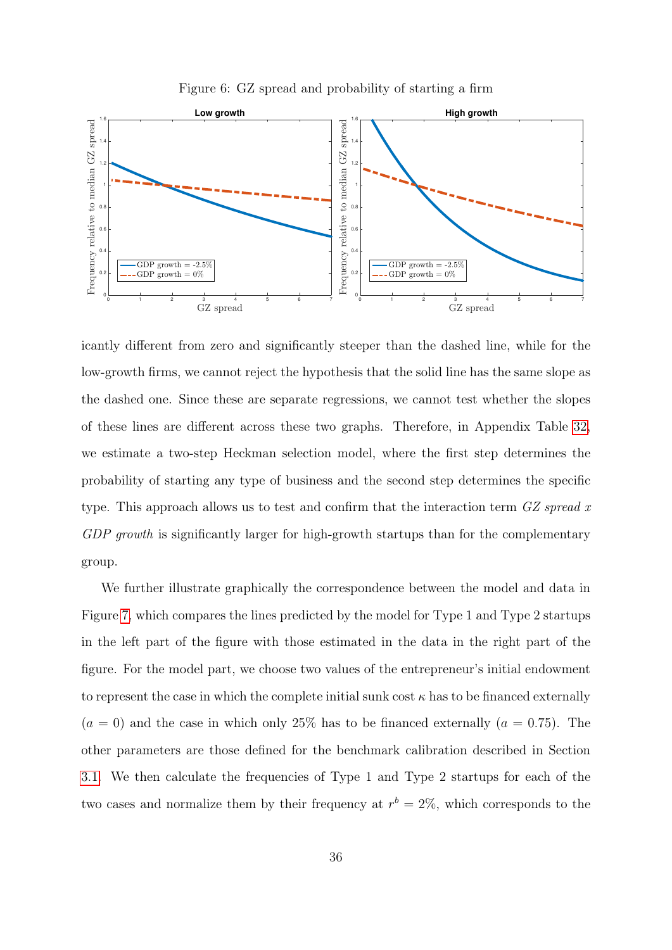

<span id="page-35-0"></span>

icantly different from zero and significantly steeper than the dashed line, while for the low-growth firms, we cannot reject the hypothesis that the solid line has the same slope as the dashed one. Since these are separate regressions, we cannot test whether the slopes of these lines are different across these two graphs. Therefore, in Appendix Table [32,](#page-77-0) we estimate a two-step Heckman selection model, where the first step determines the probability of starting any type of business and the second step determines the specific type. This approach allows us to test and confirm that the interaction term GZ spread x GDP growth is significantly larger for high-growth startups than for the complementary group.

We further illustrate graphically the correspondence between the model and data in Figure [7,](#page-36-0) which compares the lines predicted by the model for Type 1 and Type 2 startups in the left part of the figure with those estimated in the data in the right part of the figure. For the model part, we choose two values of the entrepreneur's initial endowment to represent the case in which the complete initial sunk cost  $\kappa$  has to be financed externally  $(a = 0)$  and the case in which only 25% has to be financed externally  $(a = 0.75)$ . The other parameters are those defined for the benchmark calibration described in Section [3.1.](#page-13-1) We then calculate the frequencies of Type 1 and Type 2 startups for each of the two cases and normalize them by their frequency at  $r^b = 2\%$ , which corresponds to the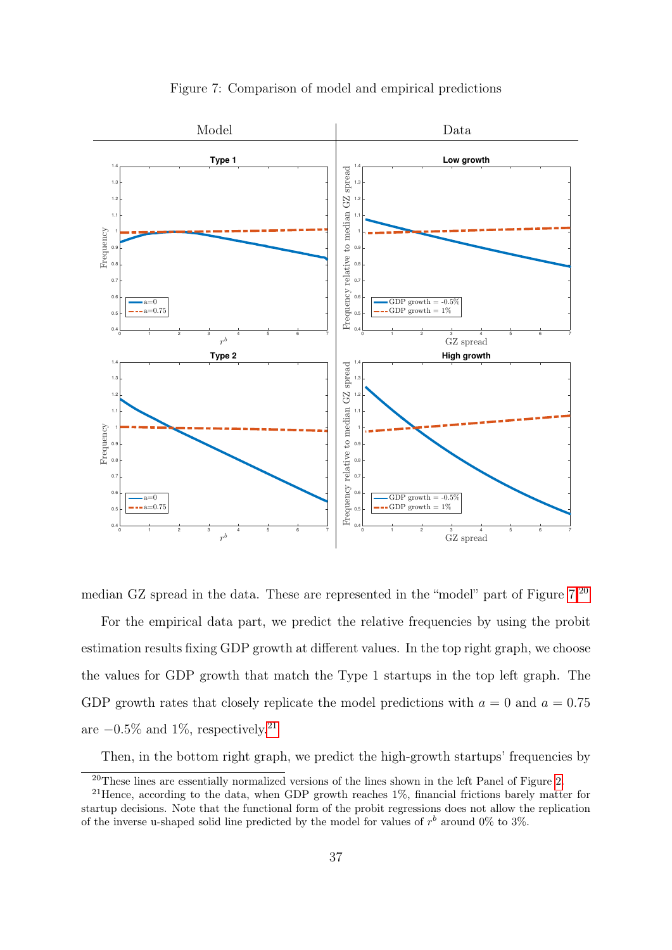<span id="page-36-0"></span>

Figure 7: Comparison of model and empirical predictions

median GZ spread in the data. These are represented in the "model" part of Figure [7.](#page-36-0)[20](#page-36-1) For the empirical data part, we predict the relative frequencies by using the probit estimation results fixing GDP growth at different values. In the top right graph, we choose the values for GDP growth that match the Type 1 startups in the top left graph. The GDP growth rates that closely replicate the model predictions with  $a = 0$  and  $a = 0.75$ are  $-0.5\%$  and 1%, respectively.<sup>[21](#page-36-2)</sup>

Then, in the bottom right graph, we predict the high-growth startups' frequencies by

<span id="page-36-2"></span><span id="page-36-1"></span><sup>&</sup>lt;sup>20</sup>These lines are essentially normalized versions of the lines shown in the left Panel of Figure [2.](#page-16-0)

<sup>&</sup>lt;sup>21</sup>Hence, according to the data, when GDP growth reaches 1%, financial frictions barely matter for startup decisions. Note that the functional form of the probit regressions does not allow the replication of the inverse u-shaped solid line predicted by the model for values of  $r<sup>b</sup>$  around 0% to 3%.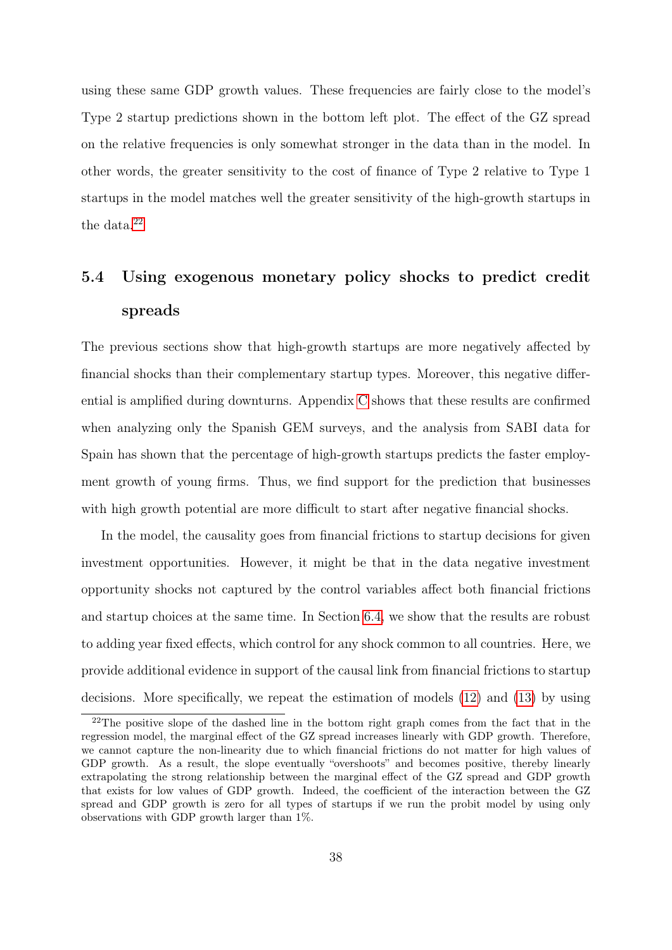using these same GDP growth values. These frequencies are fairly close to the model's Type 2 startup predictions shown in the bottom left plot. The effect of the GZ spread on the relative frequencies is only somewhat stronger in the data than in the model. In other words, the greater sensitivity to the cost of finance of Type 2 relative to Type 1 startups in the model matches well the greater sensitivity of the high-growth startups in the data.<sup>[22](#page-37-0)</sup>

# 5.4 Using exogenous monetary policy shocks to predict credit spreads

The previous sections show that high-growth startups are more negatively affected by financial shocks than their complementary startup types. Moreover, this negative differential is amplified during downturns. Appendix [C](#page-68-0) shows that these results are confirmed when analyzing only the Spanish GEM surveys, and the analysis from SABI data for Spain has shown that the percentage of high-growth startups predicts the faster employment growth of young firms. Thus, we find support for the prediction that businesses with high growth potential are more difficult to start after negative financial shocks.

In the model, the causality goes from financial frictions to startup decisions for given investment opportunities. However, it might be that in the data negative investment opportunity shocks not captured by the control variables affect both financial frictions and startup choices at the same time. In Section [6.4,](#page-50-0) we show that the results are robust to adding year fixed effects, which control for any shock common to all countries. Here, we provide additional evidence in support of the causal link from financial frictions to startup decisions. More specifically, we repeat the estimation of models [\(12\)](#page-30-0) and [\(13\)](#page-30-1) by using

<span id="page-37-0"></span><sup>&</sup>lt;sup>22</sup>The positive slope of the dashed line in the bottom right graph comes from the fact that in the regression model, the marginal effect of the GZ spread increases linearly with GDP growth. Therefore, we cannot capture the non-linearity due to which financial frictions do not matter for high values of GDP growth. As a result, the slope eventually "overshoots" and becomes positive, thereby linearly extrapolating the strong relationship between the marginal effect of the GZ spread and GDP growth that exists for low values of GDP growth. Indeed, the coefficient of the interaction between the GZ spread and GDP growth is zero for all types of startups if we run the probit model by using only observations with GDP growth larger than 1%.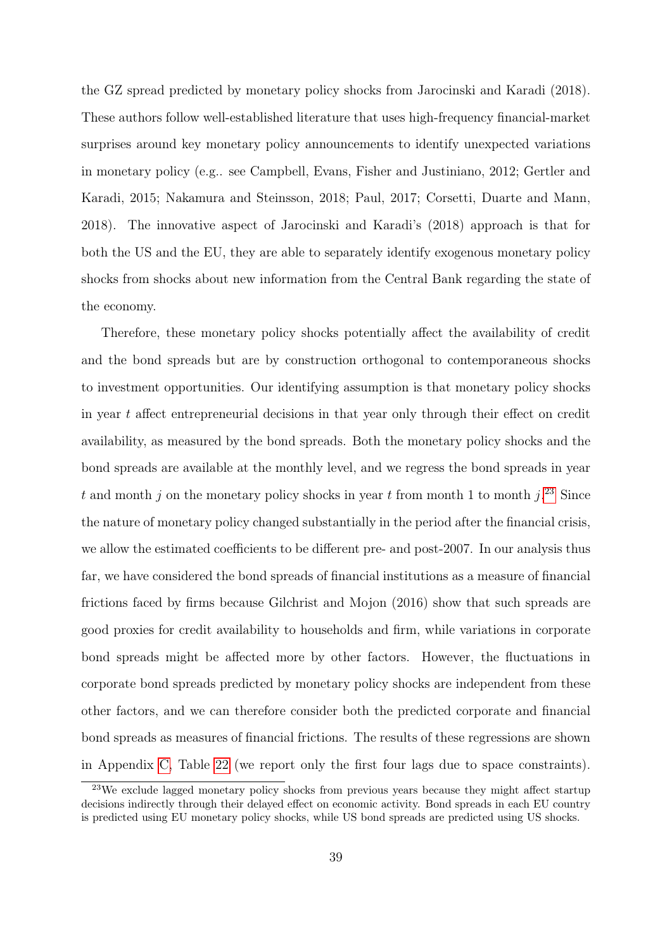the GZ spread predicted by monetary policy shocks from Jarocinski and Karadi (2018). These authors follow well-established literature that uses high-frequency financial-market surprises around key monetary policy announcements to identify unexpected variations in monetary policy (e.g.. see Campbell, Evans, Fisher and Justiniano, 2012; Gertler and Karadi, 2015; Nakamura and Steinsson, 2018; Paul, 2017; Corsetti, Duarte and Mann, 2018). The innovative aspect of Jarocinski and Karadi's (2018) approach is that for both the US and the EU, they are able to separately identify exogenous monetary policy shocks from shocks about new information from the Central Bank regarding the state of the economy.

Therefore, these monetary policy shocks potentially affect the availability of credit and the bond spreads but are by construction orthogonal to contemporaneous shocks to investment opportunities. Our identifying assumption is that monetary policy shocks in year t affect entrepreneurial decisions in that year only through their effect on credit availability, as measured by the bond spreads. Both the monetary policy shocks and the bond spreads are available at the monthly level, and we regress the bond spreads in year t and month j on the monetary policy shocks in year t from month 1 to month  $j^{23}$  $j^{23}$  $j^{23}$  Since the nature of monetary policy changed substantially in the period after the financial crisis, we allow the estimated coefficients to be different pre- and post-2007. In our analysis thus far, we have considered the bond spreads of financial institutions as a measure of financial frictions faced by firms because Gilchrist and Mojon (2016) show that such spreads are good proxies for credit availability to households and firm, while variations in corporate bond spreads might be affected more by other factors. However, the fluctuations in corporate bond spreads predicted by monetary policy shocks are independent from these other factors, and we can therefore consider both the predicted corporate and financial bond spreads as measures of financial frictions. The results of these regressions are shown in Appendix [C,](#page-68-0) Table [22](#page-72-0) (we report only the first four lags due to space constraints).

<span id="page-38-0"></span><sup>&</sup>lt;sup>23</sup>We exclude lagged monetary policy shocks from previous years because they might affect startup decisions indirectly through their delayed effect on economic activity. Bond spreads in each EU country is predicted using EU monetary policy shocks, while US bond spreads are predicted using US shocks.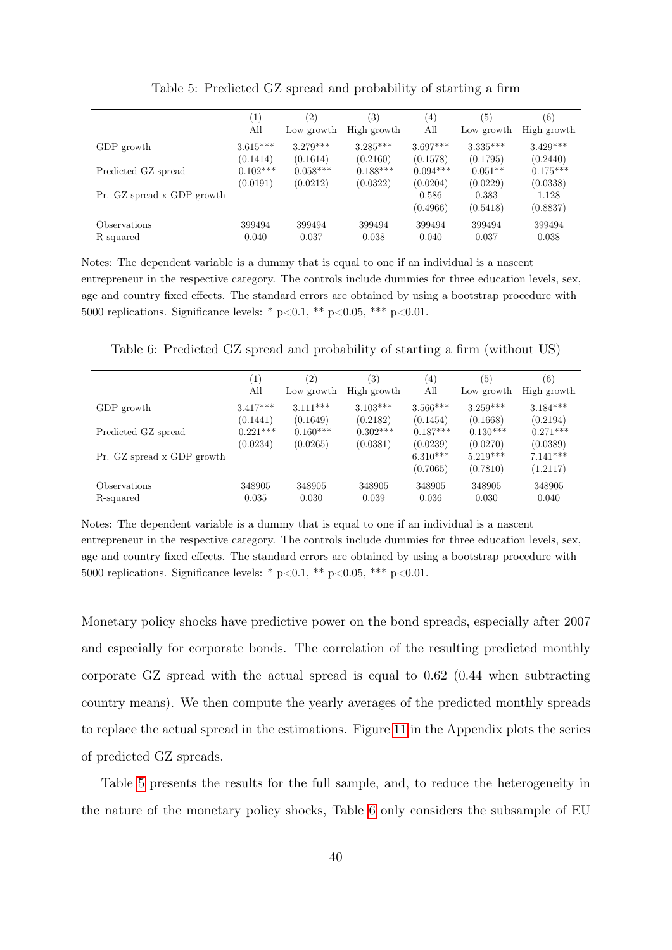<span id="page-39-0"></span>

|                            | $\left( 1\right)$<br>All | (2)<br>Low growth       | (3)<br>High growth      | (4)<br>All              | (5)<br>Low growth      | (6)<br>High growth      |
|----------------------------|--------------------------|-------------------------|-------------------------|-------------------------|------------------------|-------------------------|
| GDP growth                 | $3.615***$               | $3.279***$              | $3.285***$              | $3.697***$              | $3.335***$             | $3.429***$              |
|                            | (0.1414)                 | (0.1614)                | (0.2160)                | (0.1578)                | (0.1795)               | (0.2440)                |
| Predicted GZ spread        | $-0.102***$<br>(0.0191)  | $-0.058***$<br>(0.0212) | $-0.188***$<br>(0.0322) | $-0.094***$<br>(0.0204) | $-0.051**$<br>(0.0229) | $-0.175***$<br>(0.0338) |
| Pr. GZ spread x GDP growth |                          |                         |                         | 0.586                   | 0.383                  | 1.128                   |
|                            |                          |                         |                         | (0.4966)                | (0.5418)               | (0.8837)                |
| Observations               | 399494                   | 399494                  | 399494                  | 399494                  | 399494                 | 399494                  |
| R-squared                  | 0.040                    | 0.037                   | 0.038                   | 0.040                   | 0.037                  | 0.038                   |

Table 5: Predicted GZ spread and probability of starting a firm

Notes: The dependent variable is a dummy that is equal to one if an individual is a nascent entrepreneur in the respective category. The controls include dummies for three education levels, sex, age and country fixed effects. The standard errors are obtained by using a bootstrap procedure with 5000 replications. Significance levels: \*  $p<0.1$ , \*\*  $p<0.05$ , \*\*\*  $p<0.01$ .

<span id="page-39-1"></span>Table 6: Predicted GZ spread and probability of starting a firm (without US)

|                            | $\left(1\right)$ | $\left( 2\right)$ | (3)         | (4)                    | (5)                    | $\left( 6\right)$      |
|----------------------------|------------------|-------------------|-------------|------------------------|------------------------|------------------------|
|                            | All              | Low growth        | High growth | All                    | Low growth             | High growth            |
| GDP growth                 | $3.417***$       | $3.111***$        | $3.103***$  | $3.566***$             | $3.259***$             | $3.184***$             |
|                            | (0.1441)         | (0.1649)          | (0.2182)    | (0.1454)               | (0.1668)               | (0.2194)               |
| Predicted GZ spread        | $-0.221***$      | $-0.160***$       | $-0.302***$ | $-0.187***$            | $-0.130***$            | $-0.271***$            |
|                            | (0.0234)         | (0.0265)          | (0.0381)    | (0.0239)               | (0.0270)               | (0.0389)               |
| Pr. GZ spread x GDP growth |                  |                   |             | $6.310***$<br>(0.7065) | $5.219***$<br>(0.7810) | $7.141***$<br>(1.2117) |
| Observations               | 348905           | 348905            | 348905      | 348905                 | 348905                 | 348905                 |
| R-squared                  | 0.035            | 0.030             | 0.039       | 0.036                  | 0.030                  | 0.040                  |

Notes: The dependent variable is a dummy that is equal to one if an individual is a nascent entrepreneur in the respective category. The controls include dummies for three education levels, sex, age and country fixed effects. The standard errors are obtained by using a bootstrap procedure with 5000 replications. Significance levels: \*  $p<0.1$ , \*\*  $p<0.05$ , \*\*\*  $p<0.01$ .

Monetary policy shocks have predictive power on the bond spreads, especially after 2007 and especially for corporate bonds. The correlation of the resulting predicted monthly corporate GZ spread with the actual spread is equal to 0.62 (0.44 when subtracting country means). We then compute the yearly averages of the predicted monthly spreads to replace the actual spread in the estimations. Figure [11](#page-68-1) in the Appendix plots the series of predicted GZ spreads.

Table [5](#page-39-0) presents the results for the full sample, and, to reduce the heterogeneity in the nature of the monetary policy shocks, Table [6](#page-39-1) only considers the subsample of EU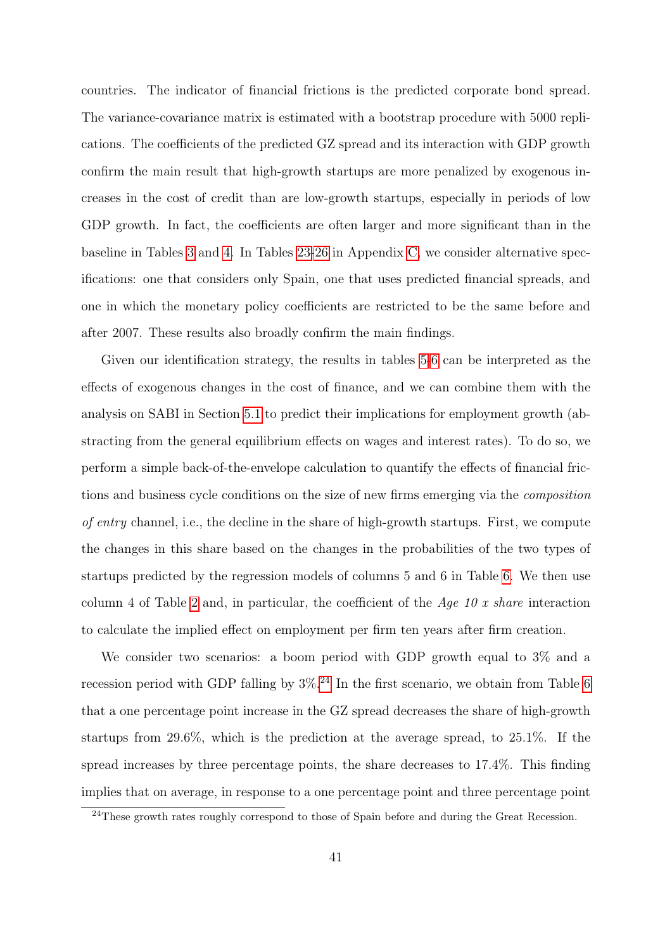countries. The indicator of financial frictions is the predicted corporate bond spread. The variance-covariance matrix is estimated with a bootstrap procedure with 5000 replications. The coefficients of the predicted GZ spread and its interaction with GDP growth confirm the main result that high-growth startups are more penalized by exogenous increases in the cost of credit than are low-growth startups, especially in periods of low GDP growth. In fact, the coefficients are often larger and more significant than in the baseline in Tables [3](#page-32-0) and [4.](#page-33-0) In Tables [23-](#page-73-0)[26](#page-74-0) in Appendix [C,](#page-68-0) we consider alternative specifications: one that considers only Spain, one that uses predicted financial spreads, and one in which the monetary policy coefficients are restricted to be the same before and after 2007. These results also broadly confirm the main findings.

Given our identification strategy, the results in tables [5-](#page-39-0)[6](#page-39-1) can be interpreted as the effects of exogenous changes in the cost of finance, and we can combine them with the analysis on SABI in Section [5.1](#page-25-0) to predict their implications for employment growth (abstracting from the general equilibrium effects on wages and interest rates). To do so, we perform a simple back-of-the-envelope calculation to quantify the effects of financial frictions and business cycle conditions on the size of new firms emerging via the composition of entry channel, i.e., the decline in the share of high-growth startups. First, we compute the changes in this share based on the changes in the probabilities of the two types of startups predicted by the regression models of columns 5 and 6 in Table [6.](#page-39-1) We then use column 4 of Table [2](#page-27-0) and, in particular, the coefficient of the Age 10 x share interaction to calculate the implied effect on employment per firm ten years after firm creation.

We consider two scenarios: a boom period with GDP growth equal to 3% and a recession period with GDP falling by  $3\%$ .<sup>[24](#page-40-0)</sup> In the first scenario, we obtain from Table [6](#page-39-1) that a one percentage point increase in the GZ spread decreases the share of high-growth startups from 29.6%, which is the prediction at the average spread, to 25.1%. If the spread increases by three percentage points, the share decreases to 17.4%. This finding implies that on average, in response to a one percentage point and three percentage point

<span id="page-40-0"></span> $^{24}$ These growth rates roughly correspond to those of Spain before and during the Great Recession.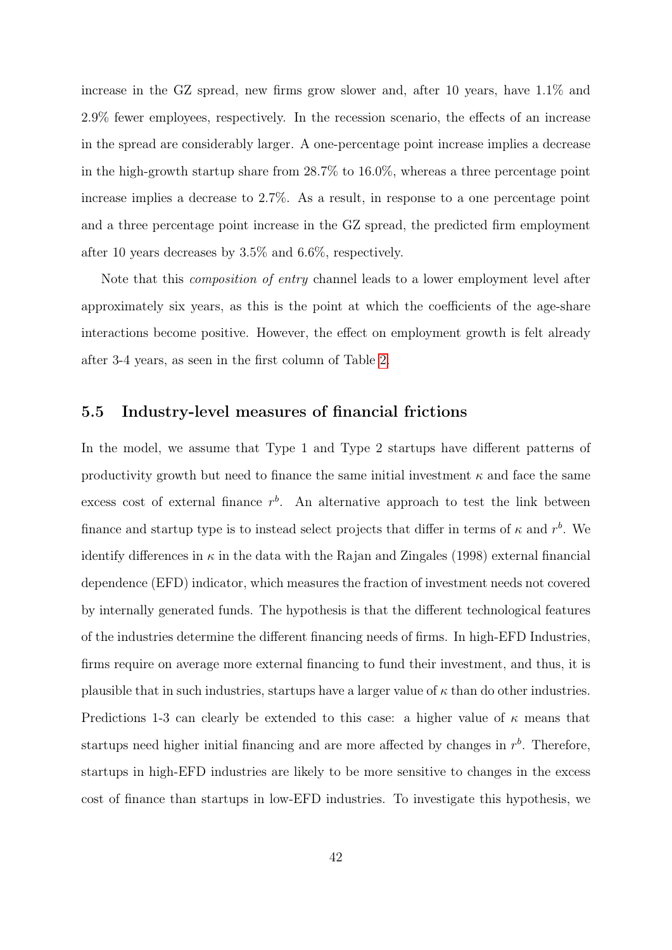increase in the GZ spread, new firms grow slower and, after 10 years, have 1.1% and 2.9% fewer employees, respectively. In the recession scenario, the effects of an increase in the spread are considerably larger. A one-percentage point increase implies a decrease in the high-growth startup share from 28.7% to 16.0%, whereas a three percentage point increase implies a decrease to 2.7%. As a result, in response to a one percentage point and a three percentage point increase in the GZ spread, the predicted firm employment after 10 years decreases by 3.5% and 6.6%, respectively.

Note that this composition of entry channel leads to a lower employment level after approximately six years, as this is the point at which the coefficients of the age-share interactions become positive. However, the effect on employment growth is felt already after 3-4 years, as seen in the first column of Table [2.](#page-27-0)

#### 5.5 Industry-level measures of financial frictions

In the model, we assume that Type 1 and Type 2 startups have different patterns of productivity growth but need to finance the same initial investment  $\kappa$  and face the same excess cost of external finance  $r<sup>b</sup>$ . An alternative approach to test the link between finance and startup type is to instead select projects that differ in terms of  $\kappa$  and  $r^b$ . We identify differences in  $\kappa$  in the data with the Rajan and Zingales (1998) external financial dependence (EFD) indicator, which measures the fraction of investment needs not covered by internally generated funds. The hypothesis is that the different technological features of the industries determine the different financing needs of firms. In high-EFD Industries, firms require on average more external financing to fund their investment, and thus, it is plausible that in such industries, startups have a larger value of  $\kappa$  than do other industries. Predictions 1-3 can clearly be extended to this case: a higher value of  $\kappa$  means that startups need higher initial financing and are more affected by changes in  $r<sup>b</sup>$ . Therefore, startups in high-EFD industries are likely to be more sensitive to changes in the excess cost of finance than startups in low-EFD industries. To investigate this hypothesis, we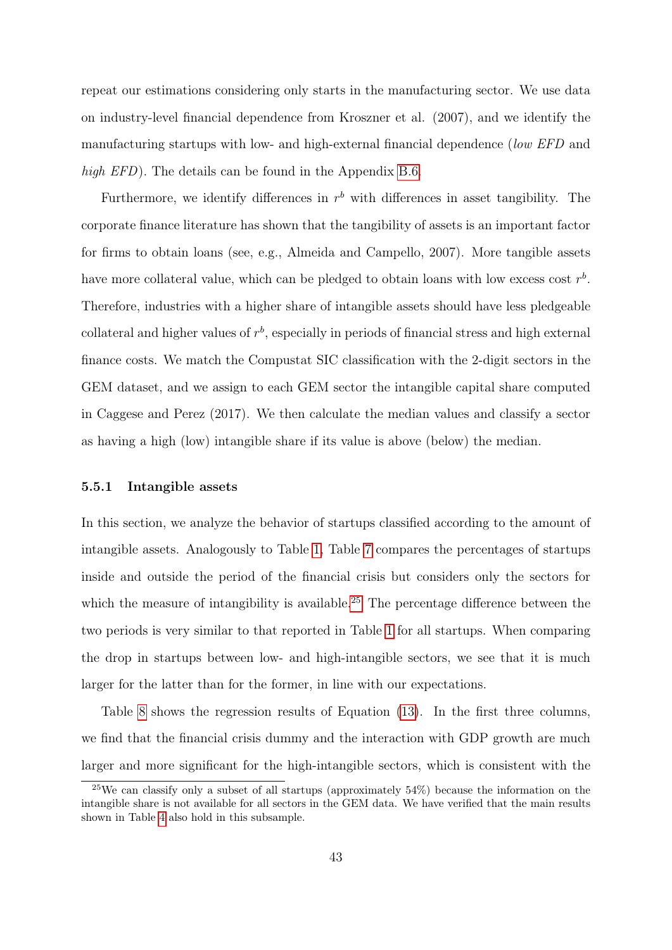repeat our estimations considering only starts in the manufacturing sector. We use data on industry-level financial dependence from Kroszner et al. (2007), and we identify the manufacturing startups with low- and high-external financial dependence (low EFD and high EFD). The details can be found in the Appendix [B.6.](#page-65-0)

Furthermore, we identify differences in  $r<sup>b</sup>$  with differences in asset tangibility. The corporate finance literature has shown that the tangibility of assets is an important factor for firms to obtain loans (see, e.g., Almeida and Campello, 2007). More tangible assets have more collateral value, which can be pledged to obtain loans with low excess cost  $r<sup>b</sup>$ . Therefore, industries with a higher share of intangible assets should have less pledgeable collateral and higher values of  $r<sup>b</sup>$ , especially in periods of financial stress and high external finance costs. We match the Compustat SIC classification with the 2-digit sectors in the GEM dataset, and we assign to each GEM sector the intangible capital share computed in Caggese and Perez (2017). We then calculate the median values and classify a sector as having a high (low) intangible share if its value is above (below) the median.

#### 5.5.1 Intangible assets

In this section, we analyze the behavior of startups classified according to the amount of intangible assets. Analogously to Table [1,](#page-24-0) Table [7](#page-43-0) compares the percentages of startups inside and outside the period of the financial crisis but considers only the sectors for which the measure of intangibility is available.<sup>[25](#page-42-0)</sup> The percentage difference between the two periods is very similar to that reported in Table [1](#page-24-0) for all startups. When comparing the drop in startups between low- and high-intangible sectors, we see that it is much larger for the latter than for the former, in line with our expectations.

Table [8](#page-43-1) shows the regression results of Equation [\(13\)](#page-30-1). In the first three columns, we find that the financial crisis dummy and the interaction with GDP growth are much larger and more significant for the high-intangible sectors, which is consistent with the

<span id="page-42-0"></span><sup>25</sup>We can classify only a subset of all startups (approximately 54%) because the information on the intangible share is not available for all sectors in the GEM data. We have verified that the main results shown in Table [4](#page-33-0) also hold in this subsample.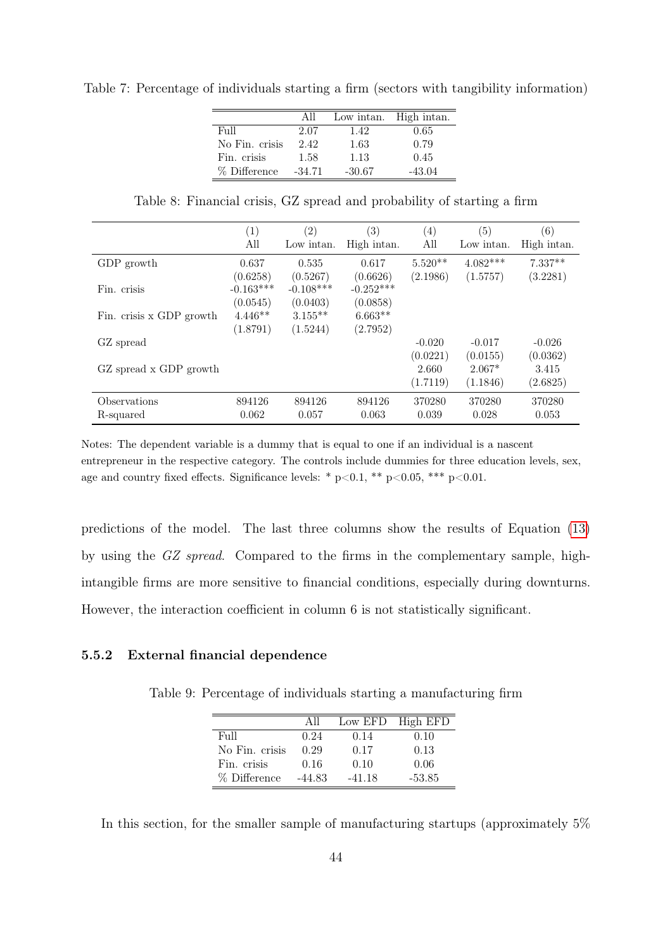<span id="page-43-0"></span>Table 7: Percentage of individuals starting a firm (sectors with tangibility information)

|                | All      | Low intan. | High intan. |
|----------------|----------|------------|-------------|
| Full           | 2.07     | 1.42       | 0.65        |
| No Fin. crisis | 2.42     | 1.63       | 0.79        |
| Fin. crisis    | 1.58     | 1.13       | 0.45        |
| % Difference   | $-34.71$ | $-30.67$   | $-43.04$    |

Table 8: Financial crisis, GZ spread and probability of starting a firm

<span id="page-43-1"></span>

|                           | $\left( 1\right)$<br>All | (2)<br>Low intan.       | (3)<br>High intan.      | $\left( 4\right)$<br>All | $\left(5\right)$<br>Low intan. | (6)<br>High intan.    |
|---------------------------|--------------------------|-------------------------|-------------------------|--------------------------|--------------------------------|-----------------------|
| GDP growth                | 0.637<br>(0.6258)        | 0.535<br>(0.5267)       | 0.617<br>(0.6626)       | $5.520**$<br>(2.1986)    | $4.082***$<br>(1.5757)         | $7.337**$<br>(3.2281) |
| Fin. crisis               | $-0.163***$<br>(0.0545)  | $-0.108***$<br>(0.0403) | $-0.252***$<br>(0.0858) |                          |                                |                       |
| Fin. crisis x GDP growth  | $4.446**$<br>(1.8791)    | $3.155***$<br>(1.5244)  | $6.663**$<br>(2.7952)   |                          |                                |                       |
| GZ spread                 |                          |                         |                         | $-0.020$<br>(0.0221)     | $-0.017$<br>(0.0155)           | $-0.026$<br>(0.0362)  |
| GZ spread x GDP growth    |                          |                         |                         | 2.660<br>(1.7119)        | $2.067*$<br>(1.1846)           | 3.415<br>(2.6825)     |
| Observations<br>R-squared | 894126<br>0.062          | 894126<br>0.057         | 894126<br>0.063         | 370280<br>0.039          | 370280<br>0.028                | 370280<br>0.053       |

predictions of the model. The last three columns show the results of Equation [\(13\)](#page-30-1) by using the GZ spread. Compared to the firms in the complementary sample, highintangible firms are more sensitive to financial conditions, especially during downturns. However, the interaction coefficient in column 6 is not statistically significant.

#### <span id="page-43-2"></span>5.5.2 External financial dependence

Table 9: Percentage of individuals starting a manufacturing firm

|                | All      |          | Low EFD High EFD |
|----------------|----------|----------|------------------|
| Full           | 0.24     | 0.14     | 0.10             |
| No Fin. crisis | 0.29     | 0.17     | 0.13             |
| Fin. crisis    | 0.16     | 0.10     | 0.06             |
| % Difference   | $-44.83$ | $-41.18$ | $-53.85$         |

In this section, for the smaller sample of manufacturing startups (approximately 5%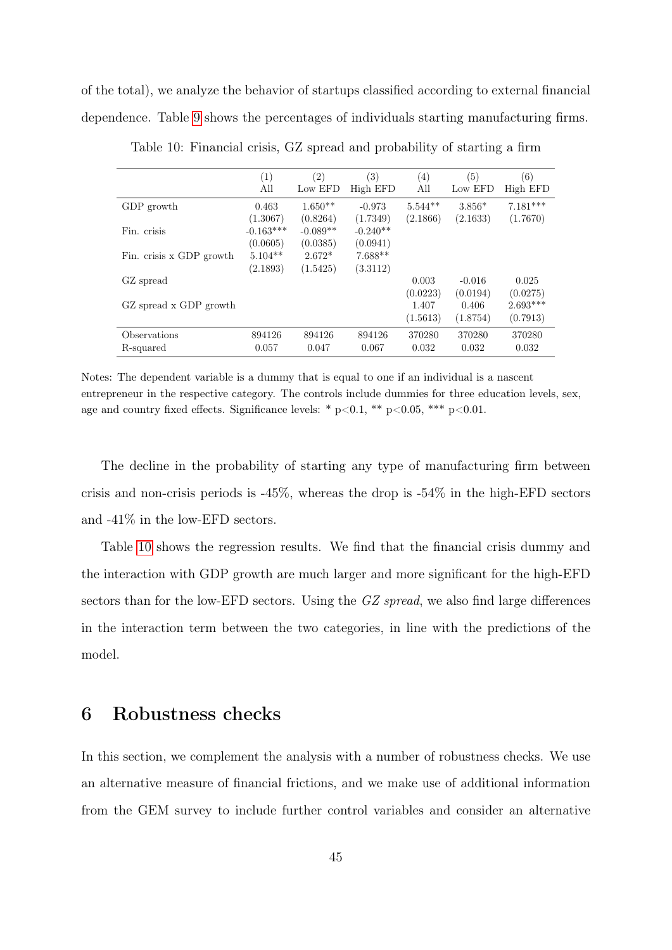<span id="page-44-0"></span>of the total), we analyze the behavior of startups classified according to external financial dependence. Table [9](#page-43-2) shows the percentages of individuals starting manufacturing firms.

|                           | $\left(1\right)$<br>All | (2)<br>Low EFD         | $\left( 3\right)$<br>High EFD | $\left( 4\right)$<br>All | (5)<br>Low EFD       | (6)<br>High EFD        |
|---------------------------|-------------------------|------------------------|-------------------------------|--------------------------|----------------------|------------------------|
| GDP growth                | 0.463<br>(1.3067)       | $1.650**$<br>(0.8264)  | $-0.973$<br>(1.7349)          | $5.544**$<br>(2.1866)    | $3.856*$<br>(2.1633) | $7.181***$<br>(1.7670) |
| Fin. crisis               | $-0.163***$<br>(0.0605) | $-0.089**$<br>(0.0385) | $-0.240**$<br>(0.0941)        |                          |                      |                        |
| Fin. crisis x GDP growth  | $5.104**$<br>(2.1893)   | $2.672*$<br>(1.5425)   | $7.688**$<br>(3.3112)         |                          |                      |                        |
| GZ spread                 |                         |                        |                               | 0.003<br>(0.0223)        | $-0.016$<br>(0.0194) | 0.025<br>(0.0275)      |
| GZ spread x GDP growth    |                         |                        |                               | 1.407<br>(1.5613)        | 0.406<br>(1.8754)    | $2.693***$<br>(0.7913) |
| Observations<br>R-squared | 894126<br>0.057         | 894126<br>0.047        | 894126<br>0.067               | 370280<br>0.032          | 370280<br>0.032      | 370280<br>0.032        |

Table 10: Financial crisis, GZ spread and probability of starting a firm

Notes: The dependent variable is a dummy that is equal to one if an individual is a nascent entrepreneur in the respective category. The controls include dummies for three education levels, sex, age and country fixed effects. Significance levels: \*  $p<0.1$ , \*\*  $p<0.05$ , \*\*\*  $p<0.01$ .

The decline in the probability of starting any type of manufacturing firm between crisis and non-crisis periods is -45%, whereas the drop is -54% in the high-EFD sectors and -41% in the low-EFD sectors.

Table [10](#page-44-0) shows the regression results. We find that the financial crisis dummy and the interaction with GDP growth are much larger and more significant for the high-EFD sectors than for the low-EFD sectors. Using the GZ spread, we also find large differences in the interaction term between the two categories, in line with the predictions of the model.

## 6 Robustness checks

In this section, we complement the analysis with a number of robustness checks. We use an alternative measure of financial frictions, and we make use of additional information from the GEM survey to include further control variables and consider an alternative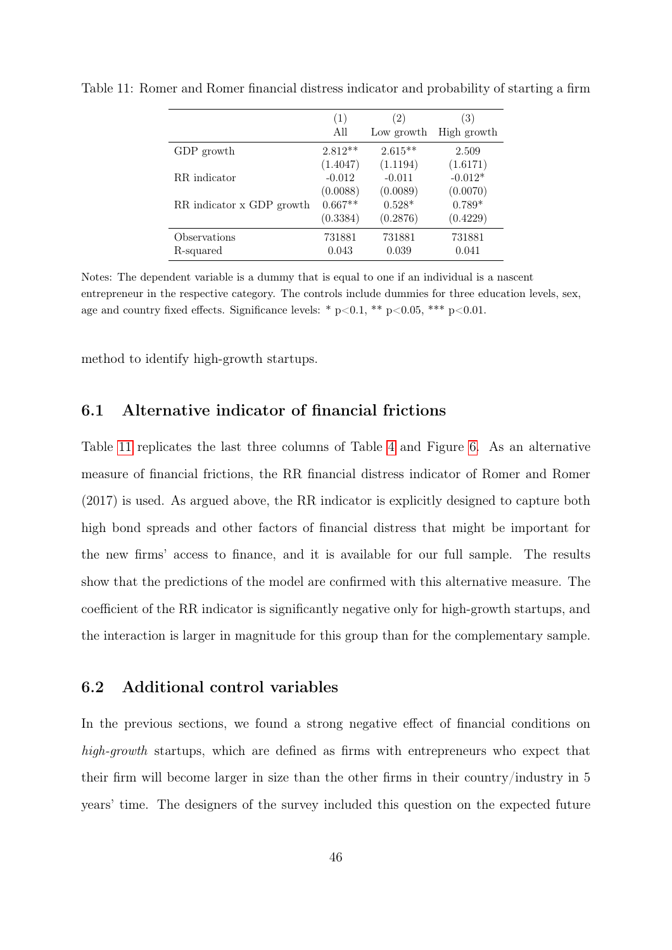|                           | (1)       | $\left(2\right)$ | (3)         |
|---------------------------|-----------|------------------|-------------|
|                           | All       | Low growth       | High growth |
| GDP growth                | $2.812**$ | $2.615**$        | 2.509       |
|                           | (1.4047)  | (1.1194)         | (1.6171)    |
| RR indicator              | $-0.012$  | $-0.011$         | $-0.012*$   |
|                           | (0.0088)  | (0.0089)         | (0.0070)    |
| RR indicator x GDP growth | $0.667**$ | $0.528*$         | $0.789*$    |
|                           | (0.3384)  | (0.2876)         | (0.4229)    |
| Observations              | 731881    | 731881           | 731881      |
| R-squared                 | 0.043     | 0.039            | 0.041       |

<span id="page-45-0"></span>Table 11: Romer and Romer financial distress indicator and probability of starting a firm

Notes: The dependent variable is a dummy that is equal to one if an individual is a nascent entrepreneur in the respective category. The controls include dummies for three education levels, sex, age and country fixed effects. Significance levels: \*  $p<0.1$ , \*\*  $p<0.05$ , \*\*\*  $p<0.01$ .

method to identify high-growth startups.

### 6.1 Alternative indicator of financial frictions

Table [11](#page-45-0) replicates the last three columns of Table [4](#page-33-0) and Figure [6.](#page-35-0) As an alternative measure of financial frictions, the RR financial distress indicator of Romer and Romer (2017) is used. As argued above, the RR indicator is explicitly designed to capture both high bond spreads and other factors of financial distress that might be important for the new firms' access to finance, and it is available for our full sample. The results show that the predictions of the model are confirmed with this alternative measure. The coefficient of the RR indicator is significantly negative only for high-growth startups, and the interaction is larger in magnitude for this group than for the complementary sample.

### 6.2 Additional control variables

In the previous sections, we found a strong negative effect of financial conditions on high-growth startups, which are defined as firms with entrepreneurs who expect that their firm will become larger in size than the other firms in their country/industry in 5 years' time. The designers of the survey included this question on the expected future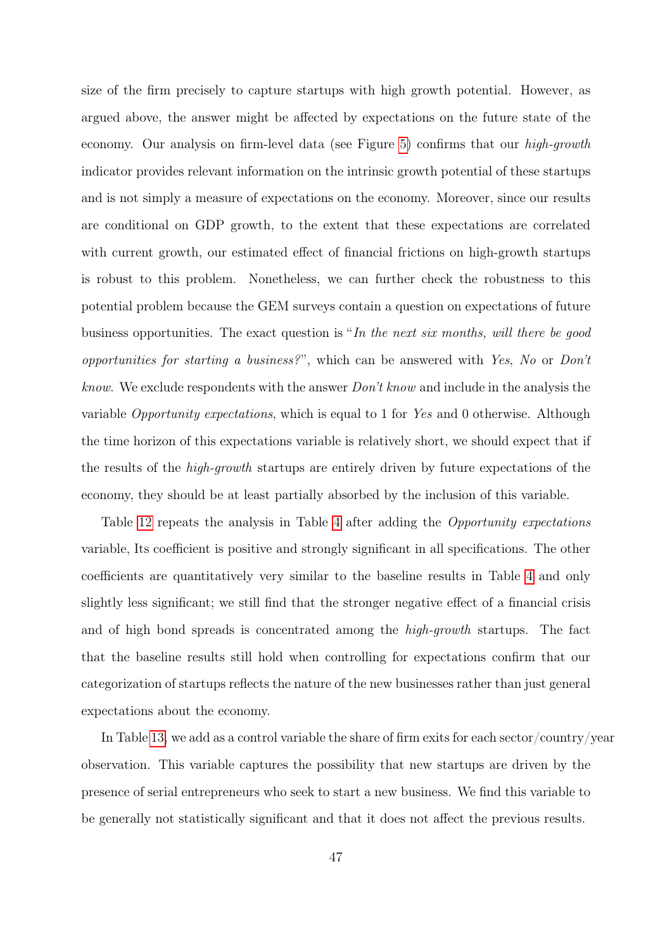size of the firm precisely to capture startups with high growth potential. However, as argued above, the answer might be affected by expectations on the future state of the economy. Our analysis on firm-level data (see Figure [5\)](#page-28-0) confirms that our high-growth indicator provides relevant information on the intrinsic growth potential of these startups and is not simply a measure of expectations on the economy. Moreover, since our results are conditional on GDP growth, to the extent that these expectations are correlated with current growth, our estimated effect of financial frictions on high-growth startups is robust to this problem. Nonetheless, we can further check the robustness to this potential problem because the GEM surveys contain a question on expectations of future business opportunities. The exact question is "In the next six months, will there be good opportunities for starting a business? ", which can be answered with Yes, No or Don't know. We exclude respondents with the answer Don't know and include in the analysis the variable Opportunity expectations, which is equal to 1 for Yes and 0 otherwise. Although the time horizon of this expectations variable is relatively short, we should expect that if the results of the high-growth startups are entirely driven by future expectations of the economy, they should be at least partially absorbed by the inclusion of this variable.

Table [12](#page-47-0) repeats the analysis in Table [4](#page-33-0) after adding the *Opportunity expectations* variable, Its coefficient is positive and strongly significant in all specifications. The other coefficients are quantitatively very similar to the baseline results in Table [4](#page-33-0) and only slightly less significant; we still find that the stronger negative effect of a financial crisis and of high bond spreads is concentrated among the high-growth startups. The fact that the baseline results still hold when controlling for expectations confirm that our categorization of startups reflects the nature of the new businesses rather than just general expectations about the economy.

In Table [13,](#page-48-0) we add as a control variable the share of firm exits for each sector/country/year observation. This variable captures the possibility that new startups are driven by the presence of serial entrepreneurs who seek to start a new business. We find this variable to be generally not statistically significant and that it does not affect the previous results.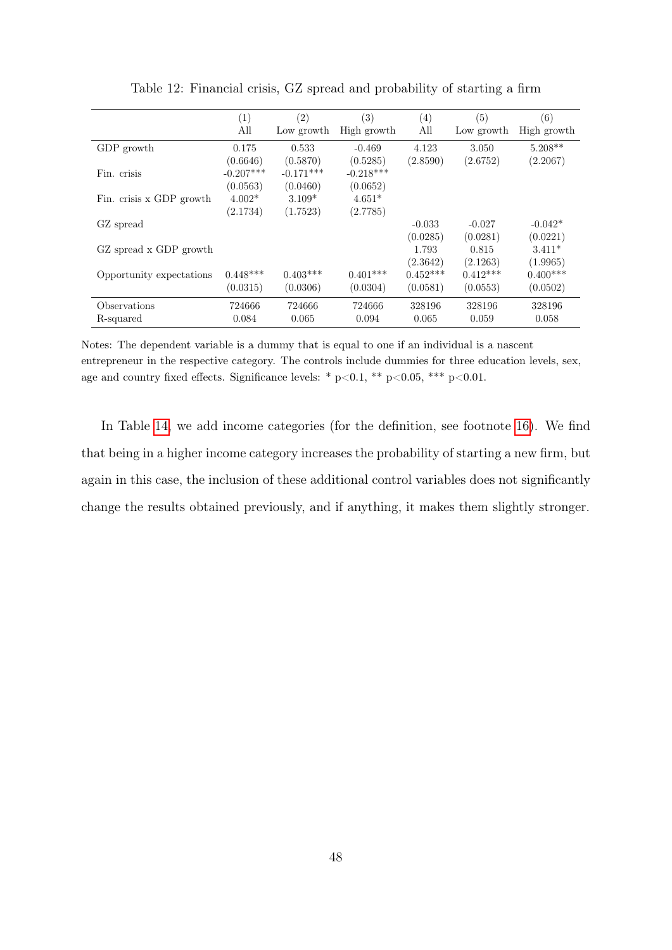<span id="page-47-0"></span>

|                          | (1)         | $\left( 2\right)$ | (3)         | (4)        | (5)        | (6)         |
|--------------------------|-------------|-------------------|-------------|------------|------------|-------------|
|                          | All         | Low growth        | High growth | All        | Low growth | High growth |
| GDP growth               | 0.175       | 0.533             | $-0.469$    | 4.123      | 3.050      | $5.208**$   |
|                          | (0.6646)    | (0.5870)          | (0.5285)    | (2.8590)   | (2.6752)   | (2.2067)    |
| Fin. crisis              | $-0.207***$ | $-0.171***$       | $-0.218***$ |            |            |             |
|                          | (0.0563)    | (0.0460)          | (0.0652)    |            |            |             |
| Fin. crisis x GDP growth | $4.002*$    | $3.109*$          | $4.651*$    |            |            |             |
|                          | (2.1734)    | (1.7523)          | (2.7785)    |            |            |             |
| GZ spread                |             |                   |             | $-0.033$   | $-0.027$   | $-0.042*$   |
|                          |             |                   |             | (0.0285)   | (0.0281)   | (0.0221)    |
| GZ spread x GDP growth   |             |                   |             | 1.793      | 0.815      | $3.411*$    |
|                          |             |                   |             | (2.3642)   | (2.1263)   | (1.9965)    |
| Opportunity expectations | $0.448***$  | $0.403***$        | $0.401***$  | $0.452***$ | $0.412***$ | $0.400***$  |
|                          | (0.0315)    | (0.0306)          | (0.0304)    | (0.0581)   | (0.0553)   | (0.0502)    |
| Observations             | 724666      | 724666            | 724666      | 328196     | 328196     | 328196      |
| R-squared                | 0.084       | 0.065             | 0.094       | 0.065      | 0.059      | 0.058       |

Table 12: Financial crisis, GZ spread and probability of starting a firm

In Table [14,](#page-48-1) we add income categories (for the definition, see footnote [16\)](#page-30-2). We find that being in a higher income category increases the probability of starting a new firm, but again in this case, the inclusion of these additional control variables does not significantly change the results obtained previously, and if anything, it makes them slightly stronger.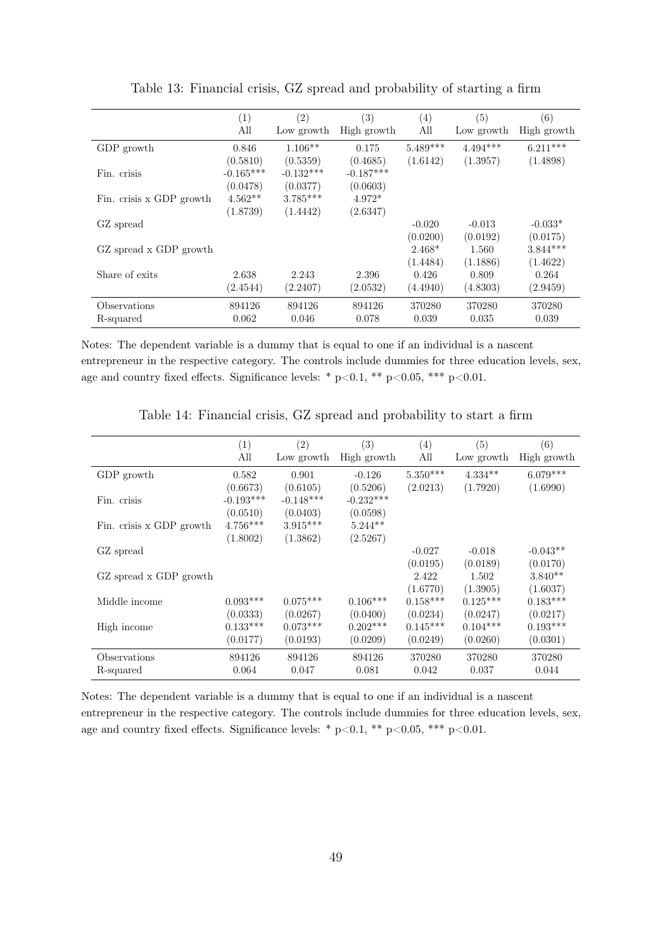<span id="page-48-0"></span>

|                          | (1)         | (2)         | $\left( 3\right)$ | (4)        | (5)        | (6)         |
|--------------------------|-------------|-------------|-------------------|------------|------------|-------------|
|                          | All         | Low growth  | High growth       | All        | Low growth | High growth |
| GDP growth               | 0.846       | $1.106**$   | 0.175             | $5.489***$ | $4.494***$ | $6.211***$  |
|                          | (0.5810)    | (0.5359)    | (0.4685)          | (1.6142)   | (1.3957)   | (1.4898)    |
| Fin. crisis              | $-0.165***$ | $-0.132***$ | $-0.187***$       |            |            |             |
|                          | (0.0478)    | (0.0377)    | (0.0603)          |            |            |             |
| Fin. crisis x GDP growth | $4.562**$   | $3.785***$  | $4.972*$          |            |            |             |
|                          | (1.8739)    | (1.4442)    | (2.6347)          |            |            |             |
| GZ spread                |             |             |                   | $-0.020$   | $-0.013$   | $-0.033*$   |
|                          |             |             |                   | (0.0200)   | (0.0192)   | (0.0175)    |
| GZ spread x GDP growth   |             |             |                   | $2.468*$   | 1.560      | $3.844***$  |
|                          |             |             |                   | (1.4484)   | (1.1886)   | (1.4622)    |
| Share of exits           | 2.638       | 2.243       | 2.396             | 0.426      | 0.809      | 0.264       |
|                          | (2.4544)    | (2.2407)    | (2.0532)          | (4.4940)   | (4.8303)   | (2.9459)    |
| Observations             | 894126      | 894126      | 894126            | 370280     | 370280     | 370280      |
| R-squared                | 0.062       | 0.046       | 0.078             | 0.039      | 0.035      | 0.039       |

Table 13: Financial crisis, GZ spread and probability of starting a firm

<span id="page-48-1"></span>

|                          | (1)         | $\left( 2\right)$ | $\left( 3\right)$ | (4)        | (5)        | (6)         |
|--------------------------|-------------|-------------------|-------------------|------------|------------|-------------|
|                          | All         | Low growth        | High growth       | All        | Low growth | High growth |
| GDP growth               | 0.582       | 0.901             | $-0.126$          | $5.350***$ | $4.334**$  | $6.079***$  |
|                          | (0.6673)    | (0.6105)          | (0.5206)          | (2.0213)   | (1.7920)   | (1.6990)    |
| Fin. crisis              | $-0.193***$ | $-0.148***$       | $-0.232***$       |            |            |             |
|                          | (0.0510)    | (0.0403)          | (0.0598)          |            |            |             |
| Fin. crisis x GDP growth | $4.756***$  | $3.915***$        | $5.244**$         |            |            |             |
|                          | (1.8002)    | (1.3862)          | (2.5267)          |            |            |             |
| GZ spread                |             |                   |                   | $-0.027$   | $-0.018$   | $-0.043**$  |
|                          |             |                   |                   | (0.0195)   | (0.0189)   | (0.0170)    |
| GZ spread x GDP growth   |             |                   |                   | 2.422      | 1.502      | $3.840**$   |
|                          |             |                   |                   | (1.6770)   | (1.3905)   | (1.6037)    |
| Middle income            | $0.093***$  | $0.075***$        | $0.106***$        | $0.158***$ | $0.125***$ | $0.183***$  |
|                          | (0.0333)    | (0.0267)          | (0.0400)          | (0.0234)   | (0.0247)   | (0.0217)    |
| High income              | $0.133***$  | $0.073***$        | $0.202***$        | $0.145***$ | $0.104***$ | $0.193***$  |
|                          | (0.0177)    | (0.0193)          | (0.0209)          | (0.0249)   | (0.0260)   | (0.0301)    |
| Observations             | 894126      | 894126            | 894126            | 370280     | 370280     | 370280      |
| R-squared                | 0.064       | 0.047             | 0.081             | 0.042      | 0.037      | 0.044       |

Table 14: Financial crisis, GZ spread and probability to start a firm

Notes: The dependent variable is a dummy that is equal to one if an individual is a nascent entrepreneur in the respective category. The controls include dummies for three education levels, sex, age and country fixed effects. Significance levels: \* p<0.1, \*\* p<0.05, \*\*\* p<0.01.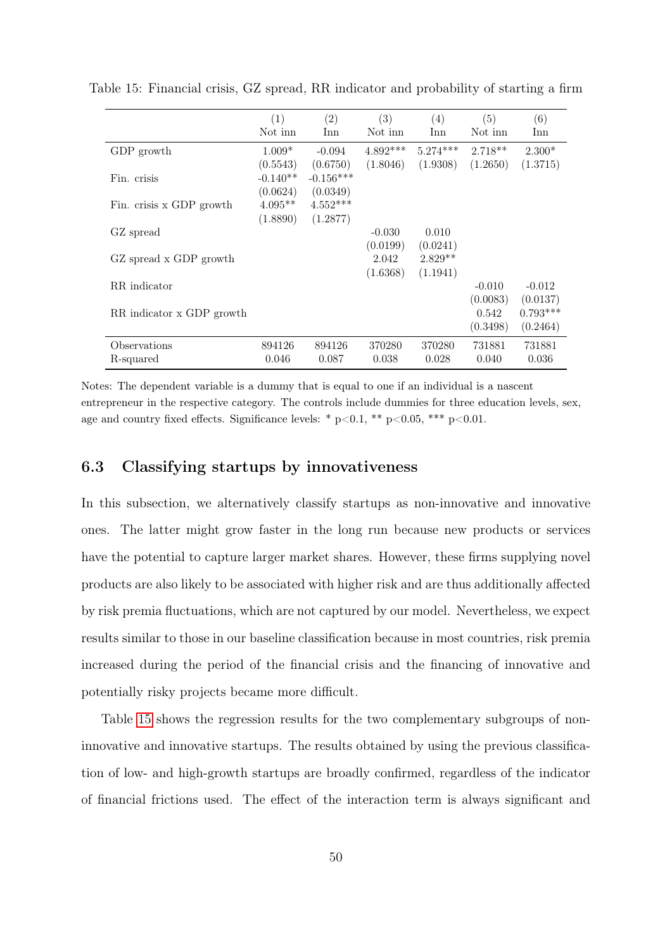|                           | (1)        | (2)         | (3)        | (4)        | (5)       | (6)        |
|---------------------------|------------|-------------|------------|------------|-----------|------------|
|                           | Not inn    | Inn         | Not inn    | Inn        | Not inn   | Inn        |
| GDP growth                | $1.009*$   | $-0.094$    | $4.892***$ | $5.274***$ | $2.718**$ | $2.300*$   |
|                           | (0.5543)   | (0.6750)    | (1.8046)   | (1.9308)   | (1.2650)  | (1.3715)   |
| Fin. crisis               | $-0.140**$ | $-0.156***$ |            |            |           |            |
|                           | (0.0624)   | (0.0349)    |            |            |           |            |
| Fin. crisis x GDP growth  | $4.095**$  | $4.552***$  |            |            |           |            |
|                           | (1.8890)   | (1.2877)    |            |            |           |            |
| GZ spread                 |            |             | $-0.030$   | 0.010      |           |            |
|                           |            |             | (0.0199)   | (0.0241)   |           |            |
| GZ spread x GDP growth    |            |             | 2.042      | $2.829**$  |           |            |
|                           |            |             | (1.6368)   | (1.1941)   |           |            |
| RR indicator              |            |             |            |            | $-0.010$  | $-0.012$   |
|                           |            |             |            |            | (0.0083)  | (0.0137)   |
| RR indicator x GDP growth |            |             |            |            | 0.542     | $0.793***$ |
|                           |            |             |            |            | (0.3498)  | (0.2464)   |
| Observations              | 894126     | 894126      | 370280     | 370280     | 731881    | 731881     |
| R-squared                 | 0.046      | 0.087       | 0.038      | 0.028      | 0.040     | 0.036      |

<span id="page-49-0"></span>Table 15: Financial crisis, GZ spread, RR indicator and probability of starting a firm

### 6.3 Classifying startups by innovativeness

In this subsection, we alternatively classify startups as non-innovative and innovative ones. The latter might grow faster in the long run because new products or services have the potential to capture larger market shares. However, these firms supplying novel products are also likely to be associated with higher risk and are thus additionally affected by risk premia fluctuations, which are not captured by our model. Nevertheless, we expect results similar to those in our baseline classification because in most countries, risk premia increased during the period of the financial crisis and the financing of innovative and potentially risky projects became more difficult.

Table [15](#page-49-0) shows the regression results for the two complementary subgroups of noninnovative and innovative startups. The results obtained by using the previous classification of low- and high-growth startups are broadly confirmed, regardless of the indicator of financial frictions used. The effect of the interaction term is always significant and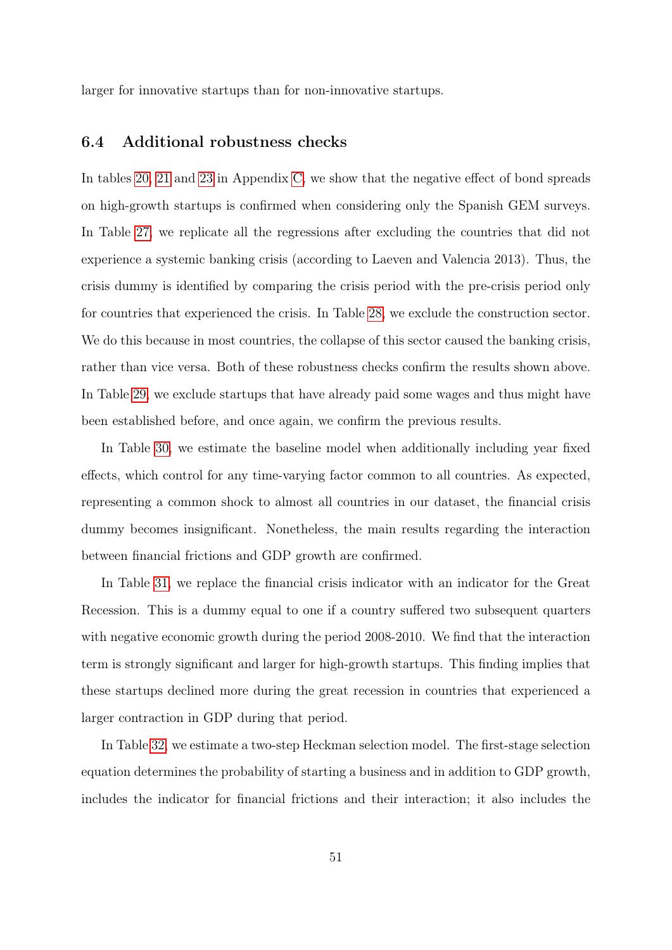larger for innovative startups than for non-innovative startups.

### <span id="page-50-0"></span>6.4 Additional robustness checks

In tables [20,](#page-71-0) [21](#page-71-1) and [23](#page-73-0) in Appendix [C,](#page-68-0) we show that the negative effect of bond spreads on high-growth startups is confirmed when considering only the Spanish GEM surveys. In Table [27,](#page-75-0) we replicate all the regressions after excluding the countries that did not experience a systemic banking crisis (according to Laeven and Valencia 2013). Thus, the crisis dummy is identified by comparing the crisis period with the pre-crisis period only for countries that experienced the crisis. In Table [28,](#page-75-1) we exclude the construction sector. We do this because in most countries, the collapse of this sector caused the banking crisis, rather than vice versa. Both of these robustness checks confirm the results shown above. In Table [29,](#page-76-0) we exclude startups that have already paid some wages and thus might have been established before, and once again, we confirm the previous results.

In Table [30,](#page-76-1) we estimate the baseline model when additionally including year fixed effects, which control for any time-varying factor common to all countries. As expected, representing a common shock to almost all countries in our dataset, the financial crisis dummy becomes insignificant. Nonetheless, the main results regarding the interaction between financial frictions and GDP growth are confirmed.

In Table [31,](#page-77-0) we replace the financial crisis indicator with an indicator for the Great Recession. This is a dummy equal to one if a country suffered two subsequent quarters with negative economic growth during the period 2008-2010. We find that the interaction term is strongly significant and larger for high-growth startups. This finding implies that these startups declined more during the great recession in countries that experienced a larger contraction in GDP during that period.

In Table [32,](#page-77-1) we estimate a two-step Heckman selection model. The first-stage selection equation determines the probability of starting a business and in addition to GDP growth, includes the indicator for financial frictions and their interaction; it also includes the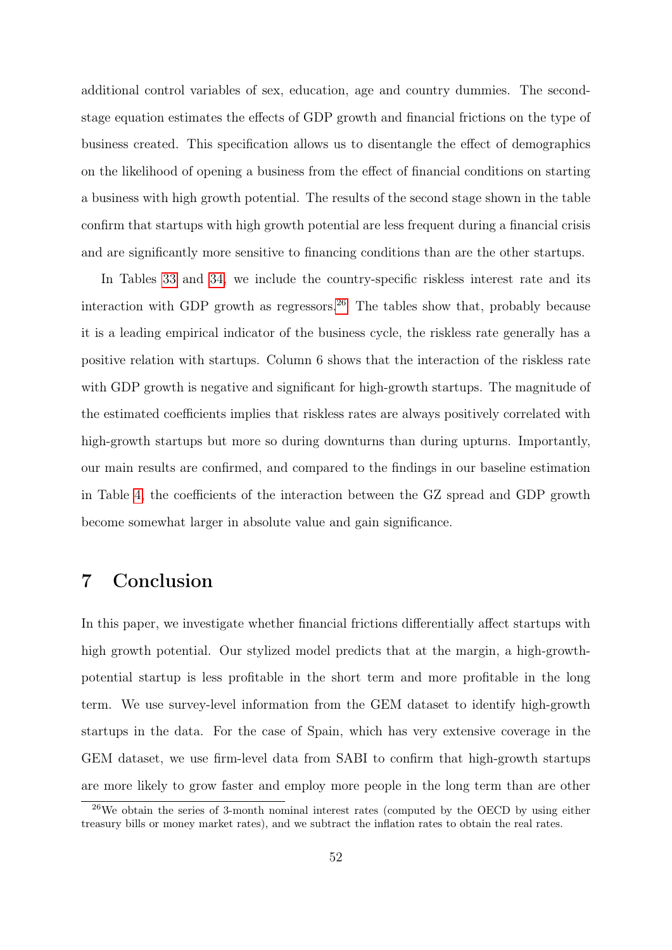additional control variables of sex, education, age and country dummies. The secondstage equation estimates the effects of GDP growth and financial frictions on the type of business created. This specification allows us to disentangle the effect of demographics on the likelihood of opening a business from the effect of financial conditions on starting a business with high growth potential. The results of the second stage shown in the table confirm that startups with high growth potential are less frequent during a financial crisis and are significantly more sensitive to financing conditions than are the other startups.

In Tables [33](#page-78-0) and [34,](#page-78-1) we include the country-specific riskless interest rate and its interaction with GDP growth as regressors.<sup>[26](#page-51-0)</sup> The tables show that, probably because it is a leading empirical indicator of the business cycle, the riskless rate generally has a positive relation with startups. Column 6 shows that the interaction of the riskless rate with GDP growth is negative and significant for high-growth startups. The magnitude of the estimated coefficients implies that riskless rates are always positively correlated with high-growth startups but more so during downturns than during upturns. Importantly, our main results are confirmed, and compared to the findings in our baseline estimation in Table [4,](#page-33-0) the coefficients of the interaction between the GZ spread and GDP growth become somewhat larger in absolute value and gain significance.

# 7 Conclusion

In this paper, we investigate whether financial frictions differentially affect startups with high growth potential. Our stylized model predicts that at the margin, a high-growthpotential startup is less profitable in the short term and more profitable in the long term. We use survey-level information from the GEM dataset to identify high-growth startups in the data. For the case of Spain, which has very extensive coverage in the GEM dataset, we use firm-level data from SABI to confirm that high-growth startups are more likely to grow faster and employ more people in the long term than are other

<span id="page-51-0"></span> $^{26}$ We obtain the series of 3-month nominal interest rates (computed by the OECD by using either treasury bills or money market rates), and we subtract the inflation rates to obtain the real rates.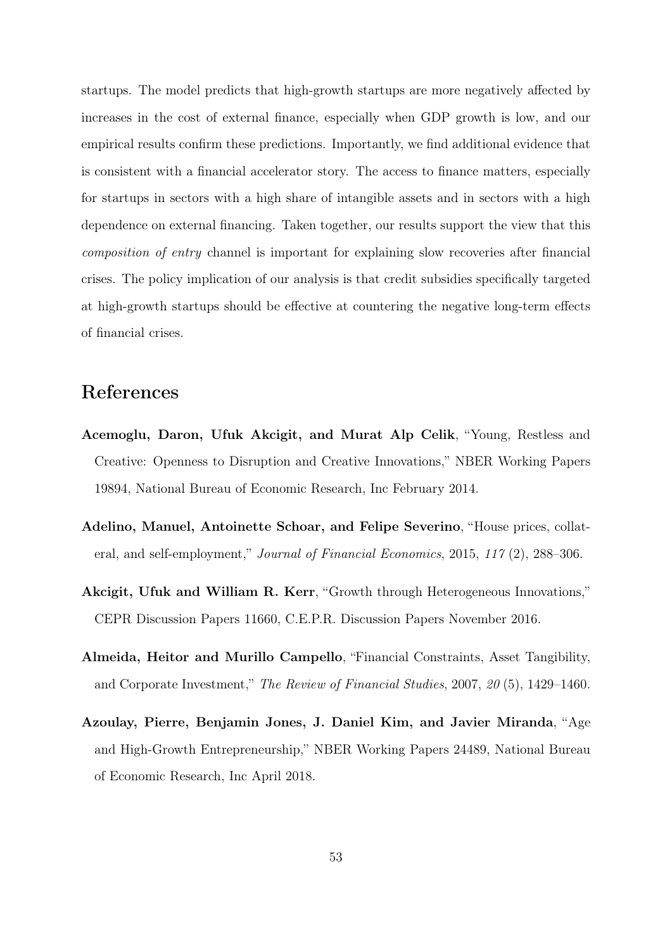startups. The model predicts that high-growth startups are more negatively affected by increases in the cost of external finance, especially when GDP growth is low, and our empirical results confirm these predictions. Importantly, we find additional evidence that is consistent with a financial accelerator story. The access to finance matters, especially for startups in sectors with a high share of intangible assets and in sectors with a high dependence on external financing. Taken together, our results support the view that this composition of entry channel is important for explaining slow recoveries after financial crises. The policy implication of our analysis is that credit subsidies specifically targeted at high-growth startups should be effective at countering the negative long-term effects of financial crises.

# References

- Acemoglu, Daron, Ufuk Akcigit, and Murat Alp Celik, "Young, Restless and Creative: Openness to Disruption and Creative Innovations," NBER Working Papers 19894, National Bureau of Economic Research, Inc February 2014.
- Adelino, Manuel, Antoinette Schoar, and Felipe Severino, "House prices, collateral, and self-employment," Journal of Financial Economics, 2015, 117 (2), 288–306.
- Akcigit, Ufuk and William R. Kerr, "Growth through Heterogeneous Innovations," CEPR Discussion Papers 11660, C.E.P.R. Discussion Papers November 2016.
- Almeida, Heitor and Murillo Campello, "Financial Constraints, Asset Tangibility, and Corporate Investment," The Review of Financial Studies, 2007, 20 (5), 1429–1460.
- Azoulay, Pierre, Benjamin Jones, J. Daniel Kim, and Javier Miranda, "Age and High-Growth Entrepreneurship," NBER Working Papers 24489, National Bureau of Economic Research, Inc April 2018.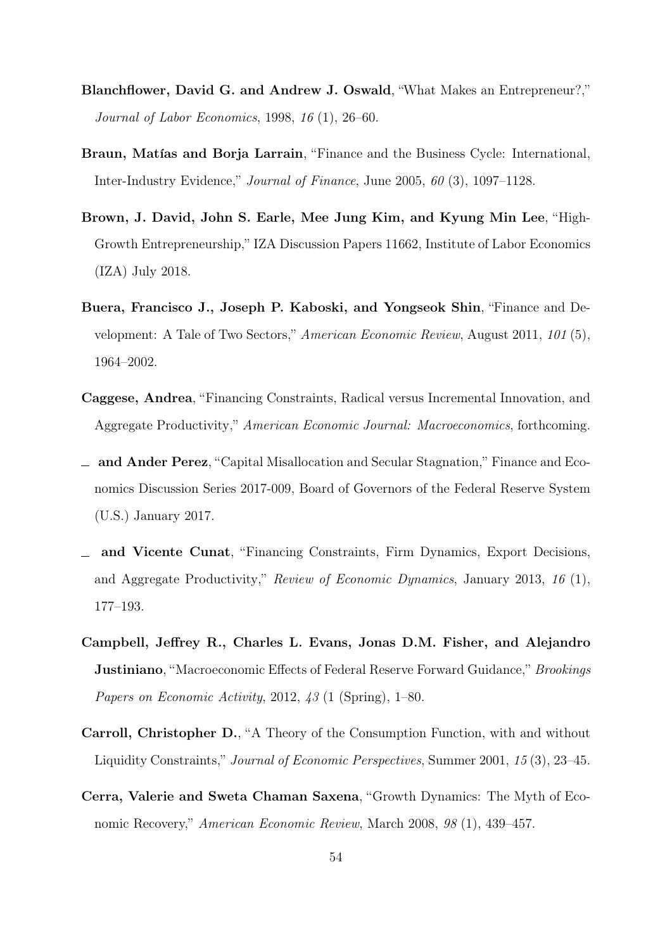- Blanchflower, David G. and Andrew J. Oswald, "What Makes an Entrepreneur?," Journal of Labor Economics, 1998, 16 (1), 26–60.
- Braun, Matías and Borja Larrain, "Finance and the Business Cycle: International, Inter-Industry Evidence," Journal of Finance, June 2005, 60 (3), 1097–1128.
- Brown, J. David, John S. Earle, Mee Jung Kim, and Kyung Min Lee, "High-Growth Entrepreneurship," IZA Discussion Papers 11662, Institute of Labor Economics (IZA) July 2018.
- Buera, Francisco J., Joseph P. Kaboski, and Yongseok Shin, "Finance and Development: A Tale of Two Sectors," American Economic Review, August 2011, 101 (5), 1964–2002.
- Caggese, Andrea, "Financing Constraints, Radical versus Incremental Innovation, and Aggregate Productivity," American Economic Journal: Macroeconomics, forthcoming.
- and Ander Perez, "Capital Misallocation and Secular Stagnation," Finance and Economics Discussion Series 2017-009, Board of Governors of the Federal Reserve System (U.S.) January 2017.
- and Vicente Cunat, "Financing Constraints, Firm Dynamics, Export Decisions, and Aggregate Productivity," Review of Economic Dynamics, January 2013, 16 (1), 177–193.
- Campbell, Jeffrey R., Charles L. Evans, Jonas D.M. Fisher, and Alejandro **Justiniano**, "Macroeconomic Effects of Federal Reserve Forward Guidance," *Brookings* Papers on Economic Activity, 2012, 43 (1 (Spring), 1–80.
- Carroll, Christopher D., "A Theory of the Consumption Function, with and without Liquidity Constraints," Journal of Economic Perspectives, Summer 2001, 15 (3), 23–45.
- Cerra, Valerie and Sweta Chaman Saxena, "Growth Dynamics: The Myth of Economic Recovery," American Economic Review, March 2008, 98 (1), 439–457.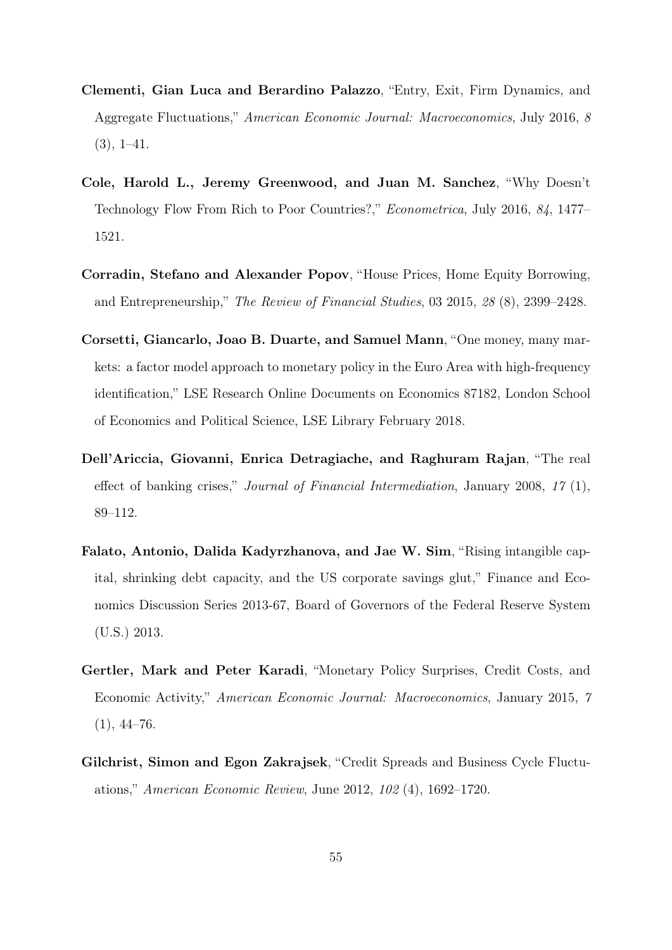- Clementi, Gian Luca and Berardino Palazzo, "Entry, Exit, Firm Dynamics, and Aggregate Fluctuations," American Economic Journal: Macroeconomics, July 2016, 8  $(3), 1-41.$
- Cole, Harold L., Jeremy Greenwood, and Juan M. Sanchez, "Why Doesn't Technology Flow From Rich to Poor Countries?," Econometrica, July 2016, 84, 1477– 1521.
- Corradin, Stefano and Alexander Popov, "House Prices, Home Equity Borrowing, and Entrepreneurship," The Review of Financial Studies, 03 2015, 28 (8), 2399–2428.
- Corsetti, Giancarlo, Joao B. Duarte, and Samuel Mann, "One money, many markets: a factor model approach to monetary policy in the Euro Area with high-frequency identification," LSE Research Online Documents on Economics 87182, London School of Economics and Political Science, LSE Library February 2018.
- Dell'Ariccia, Giovanni, Enrica Detragiache, and Raghuram Rajan, "The real effect of banking crises," Journal of Financial Intermediation, January 2008, 17 (1), 89–112.
- Falato, Antonio, Dalida Kadyrzhanova, and Jae W. Sim, "Rising intangible capital, shrinking debt capacity, and the US corporate savings glut," Finance and Economics Discussion Series 2013-67, Board of Governors of the Federal Reserve System (U.S.) 2013.
- Gertler, Mark and Peter Karadi, "Monetary Policy Surprises, Credit Costs, and Economic Activity," American Economic Journal: Macroeconomics, January 2015, 7  $(1), 44-76.$
- Gilchrist, Simon and Egon Zakrajsek, "Credit Spreads and Business Cycle Fluctuations," American Economic Review, June 2012, 102 (4), 1692–1720.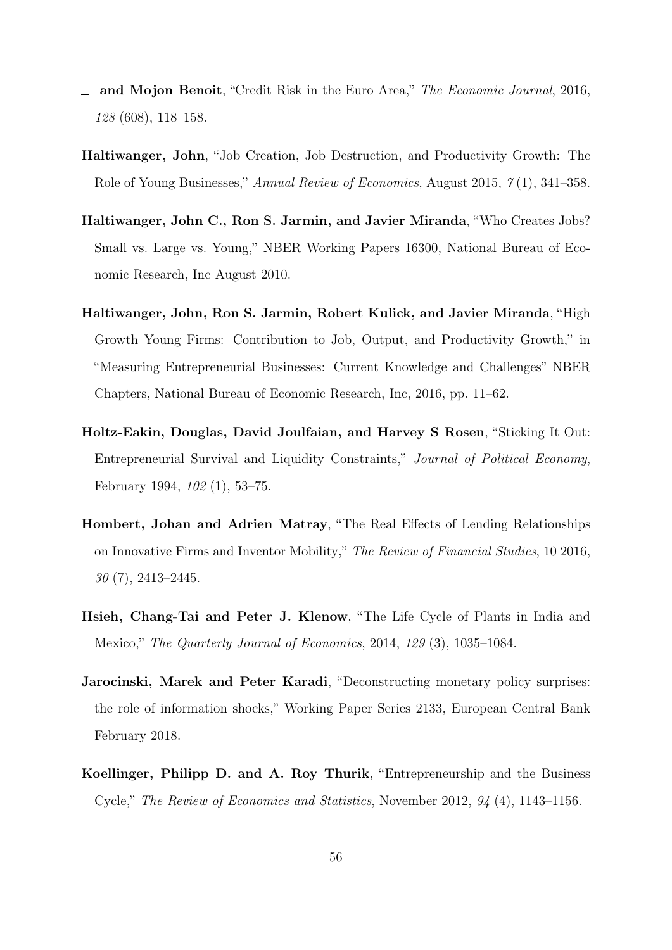- and Mojon Benoit, "Credit Risk in the Euro Area," The Economic Journal, 2016, 128 (608), 118–158.
- Haltiwanger, John, "Job Creation, Job Destruction, and Productivity Growth: The Role of Young Businesses," Annual Review of Economics, August 2015, 7 (1), 341–358.
- Haltiwanger, John C., Ron S. Jarmin, and Javier Miranda, "Who Creates Jobs? Small vs. Large vs. Young," NBER Working Papers 16300, National Bureau of Economic Research, Inc August 2010.
- Haltiwanger, John, Ron S. Jarmin, Robert Kulick, and Javier Miranda, "High Growth Young Firms: Contribution to Job, Output, and Productivity Growth," in "Measuring Entrepreneurial Businesses: Current Knowledge and Challenges" NBER Chapters, National Bureau of Economic Research, Inc, 2016, pp. 11–62.
- Holtz-Eakin, Douglas, David Joulfaian, and Harvey S Rosen, "Sticking It Out: Entrepreneurial Survival and Liquidity Constraints," Journal of Political Economy, February 1994, 102 (1), 53–75.
- Hombert, Johan and Adrien Matray, "The Real Effects of Lending Relationships on Innovative Firms and Inventor Mobility," The Review of Financial Studies, 10 2016,  $30(7)$ , 2413–2445.
- Hsieh, Chang-Tai and Peter J. Klenow, "The Life Cycle of Plants in India and Mexico," The Quarterly Journal of Economics, 2014, 129 (3), 1035–1084.
- Jarocinski, Marek and Peter Karadi, "Deconstructing monetary policy surprises: the role of information shocks," Working Paper Series 2133, European Central Bank February 2018.
- Koellinger, Philipp D. and A. Roy Thurik, "Entrepreneurship and the Business Cycle," The Review of Economics and Statistics, November 2012, 94 (4), 1143–1156.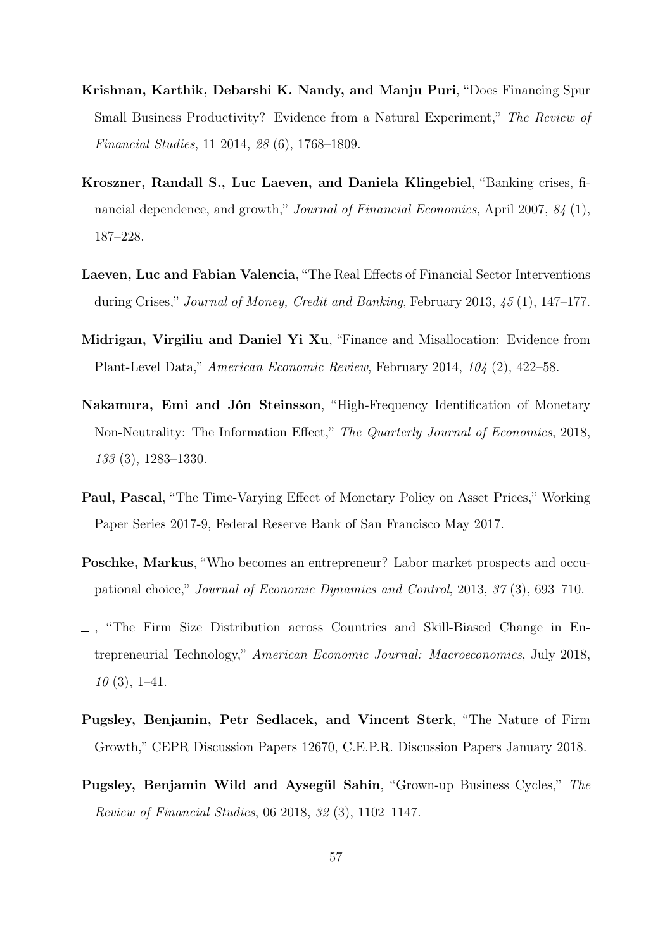- Krishnan, Karthik, Debarshi K. Nandy, and Manju Puri, "Does Financing Spur Small Business Productivity? Evidence from a Natural Experiment," The Review of Financial Studies, 11 2014, 28 (6), 1768–1809.
- Kroszner, Randall S., Luc Laeven, and Daniela Klingebiel, "Banking crises, financial dependence, and growth," Journal of Financial Economics, April 2007, 84 (1), 187–228.
- Laeven, Luc and Fabian Valencia, "The Real Effects of Financial Sector Interventions during Crises," Journal of Money, Credit and Banking, February 2013, 45 (1), 147–177.
- Midrigan, Virgiliu and Daniel Yi Xu, "Finance and Misallocation: Evidence from Plant-Level Data," American Economic Review, February 2014, 104 (2), 422–58.
- Nakamura, Emi and Jón Steinsson, "High-Frequency Identification of Monetary Non-Neutrality: The Information Effect," The Quarterly Journal of Economics, 2018, 133 (3), 1283–1330.
- Paul, Pascal, "The Time-Varying Effect of Monetary Policy on Asset Prices," Working Paper Series 2017-9, Federal Reserve Bank of San Francisco May 2017.
- Poschke, Markus, "Who becomes an entrepreneur? Labor market prospects and occupational choice," Journal of Economic Dynamics and Control, 2013, 37 (3), 693–710.
- , "The Firm Size Distribution across Countries and Skill-Biased Change in Entrepreneurial Technology," American Economic Journal: Macroeconomics, July 2018,  $10(3), 1-41.$
- Pugsley, Benjamin, Petr Sedlacek, and Vincent Sterk, "The Nature of Firm Growth," CEPR Discussion Papers 12670, C.E.P.R. Discussion Papers January 2018.
- Pugsley, Benjamin Wild and Aysegül Sahin, "Grown-up Business Cycles," The Review of Financial Studies, 06 2018, 32 (3), 1102–1147.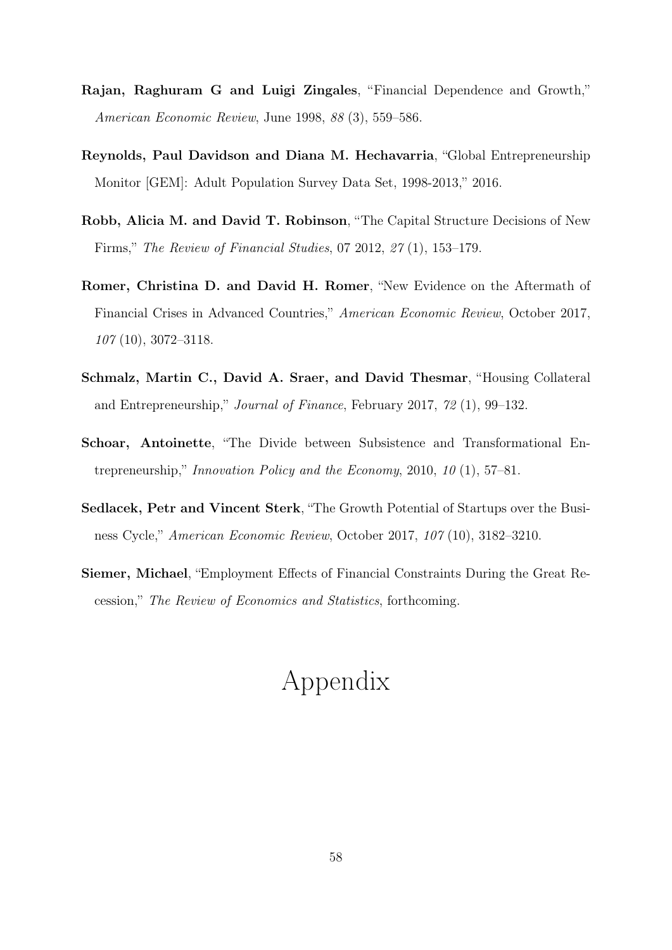- Rajan, Raghuram G and Luigi Zingales, "Financial Dependence and Growth," American Economic Review, June 1998, 88 (3), 559–586.
- Reynolds, Paul Davidson and Diana M. Hechavarria, "Global Entrepreneurship Monitor [GEM]: Adult Population Survey Data Set, 1998-2013," 2016.
- Robb, Alicia M. and David T. Robinson, "The Capital Structure Decisions of New Firms," The Review of Financial Studies, 07 2012, 27 (1), 153–179.
- Romer, Christina D. and David H. Romer, "New Evidence on the Aftermath of Financial Crises in Advanced Countries," American Economic Review, October 2017, 107 (10), 3072–3118.
- Schmalz, Martin C., David A. Sraer, and David Thesmar, "Housing Collateral and Entrepreneurship," Journal of Finance, February 2017, 72 (1), 99–132.
- Schoar, Antoinette, "The Divide between Subsistence and Transformational Entrepreneurship," Innovation Policy and the Economy, 2010, 10  $(1)$ , 57–81.
- Sedlacek, Petr and Vincent Sterk, "The Growth Potential of Startups over the Business Cycle," American Economic Review, October 2017, 107 (10), 3182–3210.
- Siemer, Michael, "Employment Effects of Financial Constraints During the Great Recession," The Review of Economics and Statistics, forthcoming.

# Appendix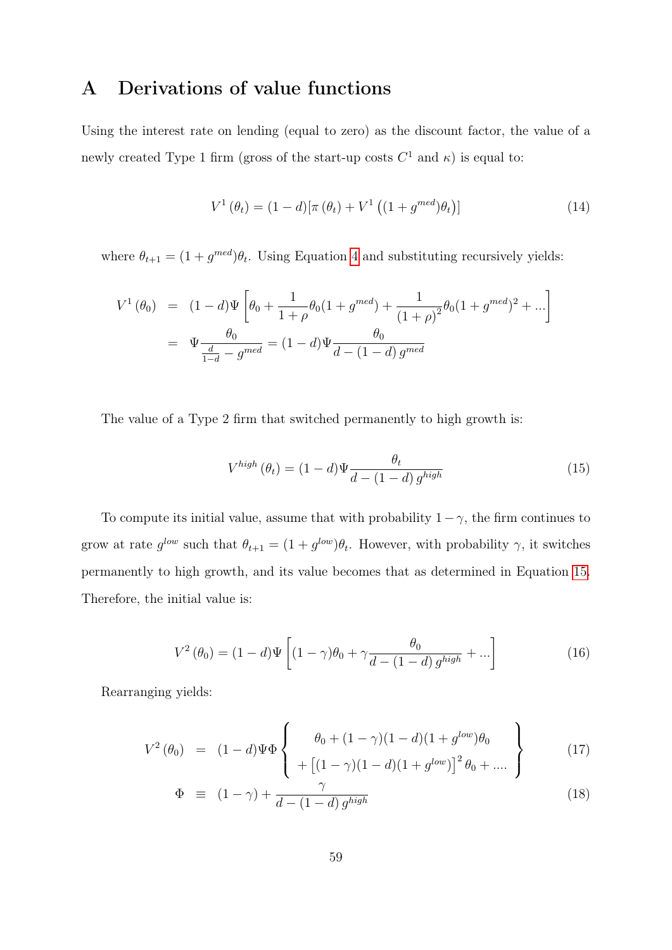# A Derivations of value functions

Using the interest rate on lending (equal to zero) as the discount factor, the value of a newly created Type 1 firm (gross of the start-up costs  $C^1$  and  $\kappa$ ) is equal to:

$$
V^{1}(\theta_{t}) = (1-d)[\pi(\theta_{t}) + V^{1}((1+g^{med})\theta_{t})]
$$
\n(14)

where  $\theta_{t+1} = (1 + g^{med})\theta_t$ . Using Equation [4](#page-9-0) and substituting recursively yields:

$$
V^{1}(\theta_{0}) = (1-d)\Psi \left[\theta_{0} + \frac{1}{1+\rho}\theta_{0}(1+g^{med}) + \frac{1}{(1+\rho)^{2}}\theta_{0}(1+g^{med})^{2} + \ldots\right]
$$

$$
= \Psi \frac{\theta_{0}}{\frac{d}{1-d}-g^{med}} = (1-d)\Psi \frac{\theta_{0}}{d-(1-d)g^{med}}
$$

The value of a Type 2 firm that switched permanently to high growth is:

<span id="page-58-0"></span>
$$
V^{high}(\theta_t) = (1-d)\Psi \frac{\theta_t}{d - (1-d) g^{high}}
$$
\n(15)

To compute its initial value, assume that with probability  $1-\gamma$ , the firm continues to grow at rate  $g^{low}$  such that  $\theta_{t+1} = (1 + g^{low})\theta_t$ . However, with probability  $\gamma$ , it switches permanently to high growth, and its value becomes that as determined in Equation [15.](#page-58-0) Therefore, the initial value is:

$$
V^{2}(\theta_{0}) = (1-d)\Psi\left[ (1-\gamma)\theta_{0} + \gamma \frac{\theta_{0}}{d - (1-d) g^{high}} + ... \right]
$$
 (16)

Rearranging yields:

$$
V^{2}(\theta_{0}) = (1-d)\Psi\Phi\left\{\begin{array}{c}\theta_{0} + (1-\gamma)(1-d)(1+g^{low})\theta_{0} \\ + [(1-\gamma)(1-d)(1+g^{low})]^{2}\theta_{0} + \dots \end{array}\right\}
$$
(17)

$$
\Phi \equiv (1 - \gamma) + \frac{\gamma}{d - (1 - d) g^{high}} \tag{18}
$$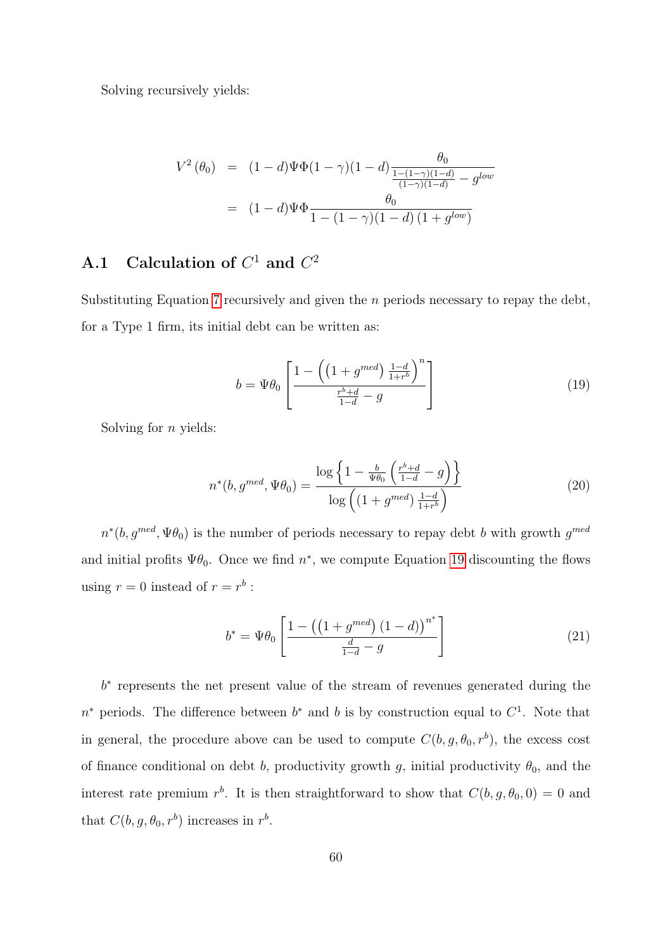Solving recursively yields:

$$
V^{2}(\theta_{0}) = (1-d)\Psi\Phi(1-\gamma)(1-d)\frac{\theta_{0}}{\frac{1-(1-\gamma)(1-d)}{(1-\gamma)(1-d)} - g^{low}}
$$
  
= 
$$
(1-d)\Psi\Phi\frac{\theta_{0}}{1-(1-\gamma)(1-d)(1+g^{low})}
$$

### A.1 Calculation of  $C^1$  and  $C^2$

Substituting Equation [7](#page-11-0) recursively and given the  $n$  periods necessary to repay the debt, for a Type 1 firm, its initial debt can be written as:

<span id="page-59-0"></span>
$$
b = \Psi \theta_0 \left[ \frac{1 - \left( \left( 1 + g^{med} \right) \frac{1 - d}{1 + r^b} \right)^n}{\frac{r^b + d}{1 - d} - g} \right]
$$
(19)

Solving for  $n$  yields:

$$
n^*(b, g^{med}, \Psi\theta_0) = \frac{\log\left\{1 - \frac{b}{\Psi\theta_0} \left(\frac{r^b + d}{1 - d} - g\right)\right\}}{\log\left((1 + g^{med}) \frac{1 - d}{1 + r^b}\right)}\tag{20}
$$

 $n^*(b, g^{med}, \Psi\theta_0)$  is the number of periods necessary to repay debt b with growth  $g^{med}$ and initial profits  $\Psi \theta_0$ . Once we find  $n^*$ , we compute Equation [19](#page-59-0) discounting the flows using  $r = 0$  instead of  $r = r^b$ :

$$
b^* = \Psi \theta_0 \left[ \frac{1 - \left( \left( 1 + g^{med} \right) (1 - d) \right)^{n^*}}{\frac{d}{1 - d} - g} \right]
$$
 (21)

b ∗ represents the net present value of the stream of revenues generated during the  $n^*$  periods. The difference between  $b^*$  and b is by construction equal to  $C^1$ . Note that in general, the procedure above can be used to compute  $C(b, g, \theta_0, r^b)$ , the excess cost of finance conditional on debt b, productivity growth g, initial productivity  $\theta_0$ , and the interest rate premium  $r^{b}$ . It is then straightforward to show that  $C(b, g, \theta_0, 0) = 0$  and that  $C(b, g, \theta_0, r^b)$  increases in  $r^b$ .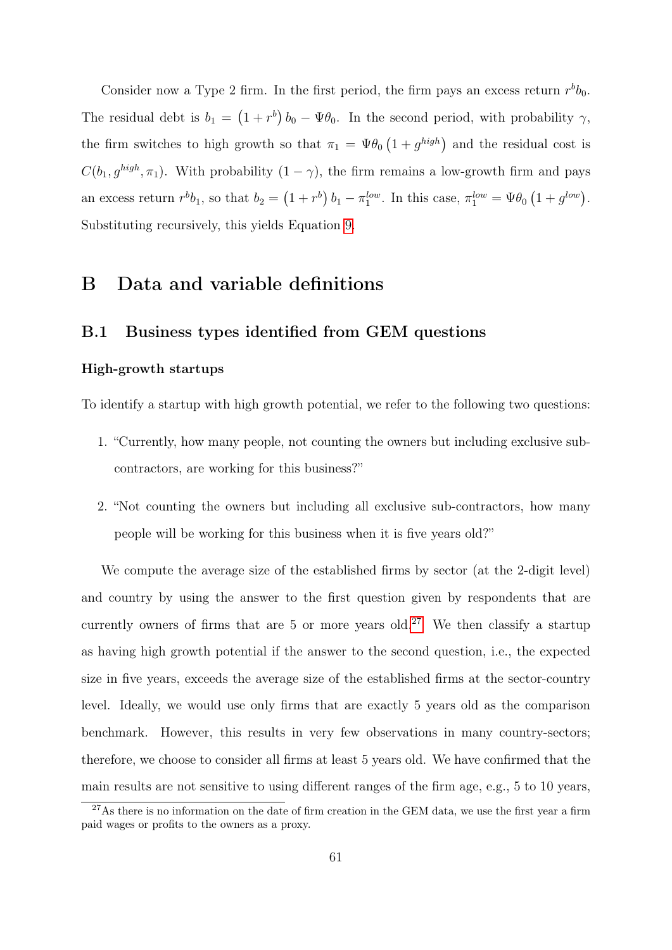Consider now a Type 2 firm. In the first period, the firm pays an excess return  $r^b b_0$ . The residual debt is  $b_1 = (1 + r^b) b_0 - \Psi b_0$ . In the second period, with probability  $\gamma$ , the firm switches to high growth so that  $\pi_1 = \Psi \theta_0 \left(1 + g^{high}\right)$  and the residual cost is  $C(b_1, g^{high}, \pi_1)$ . With probability  $(1 - \gamma)$ , the firm remains a low-growth firm and pays an excess return  $r^b b_1$ , so that  $b_2 = (1 + r^b) b_1 - \pi_1^{low}$ . In this case,  $\pi_1^{low} = \Psi b_0 (1 + g^{low})$ . Substituting recursively, this yields Equation [9.](#page-12-0)

# B Data and variable definitions

### B.1 Business types identified from GEM questions

#### High-growth startups

To identify a startup with high growth potential, we refer to the following two questions:

- 1. "Currently, how many people, not counting the owners but including exclusive subcontractors, are working for this business?"
- 2. "Not counting the owners but including all exclusive sub-contractors, how many people will be working for this business when it is five years old?"

We compute the average size of the established firms by sector (at the 2-digit level) and country by using the answer to the first question given by respondents that are currently owners of firms that are 5 or more years old.<sup>[27](#page-60-0)</sup> We then classify a startup as having high growth potential if the answer to the second question, i.e., the expected size in five years, exceeds the average size of the established firms at the sector-country level. Ideally, we would use only firms that are exactly 5 years old as the comparison benchmark. However, this results in very few observations in many country-sectors; therefore, we choose to consider all firms at least 5 years old. We have confirmed that the main results are not sensitive to using different ranges of the firm age, e.g., 5 to 10 years,

<span id="page-60-0"></span> $27\text{As}$  there is no information on the date of firm creation in the GEM data, we use the first year a firm paid wages or profits to the owners as a proxy.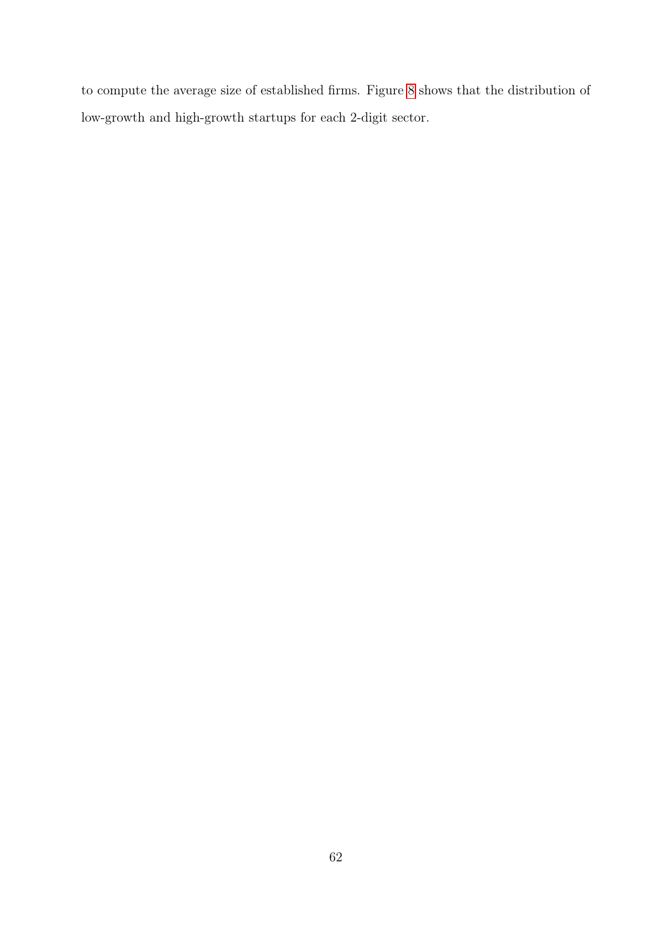to compute the average size of established firms. Figure [8](#page-62-0) shows that the distribution of low-growth and high-growth startups for each 2-digit sector.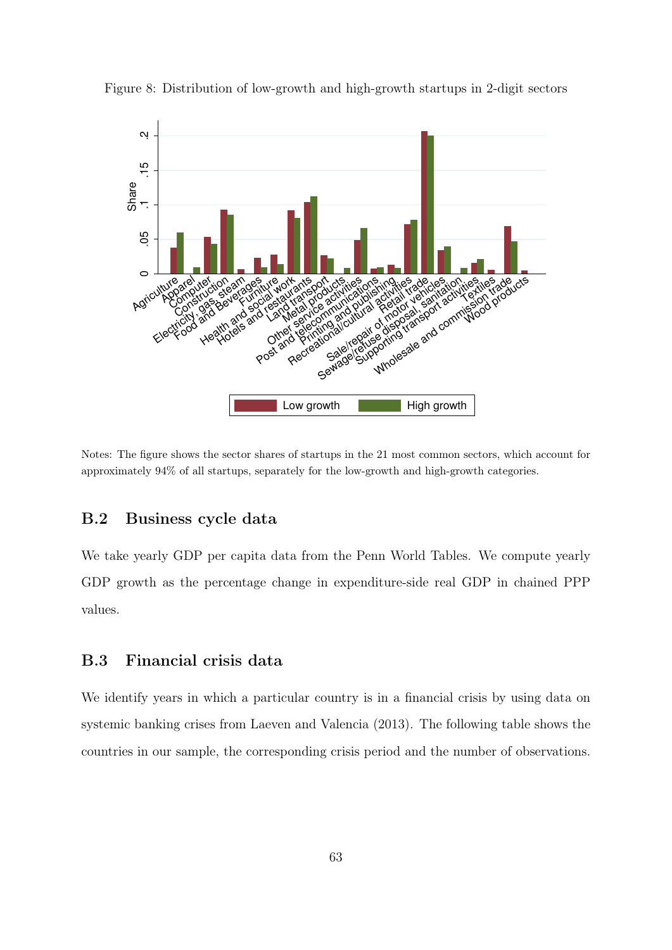

<span id="page-62-0"></span>Figure 8: Distribution of low-growth and high-growth startups in 2-digit sectors

Notes: The figure shows the sector shares of startups in the 21 most common sectors, which account for approximately 94% of all startups, separately for the low-growth and high-growth categories.

### B.2 Business cycle data

We take yearly GDP per capita data from the Penn World Tables. We compute yearly GDP growth as the percentage change in expenditure-side real GDP in chained PPP values.

### B.3 Financial crisis data

We identify years in which a particular country is in a financial crisis by using data on systemic banking crises from Laeven and Valencia (2013). The following table shows the countries in our sample, the corresponding crisis period and the number of observations.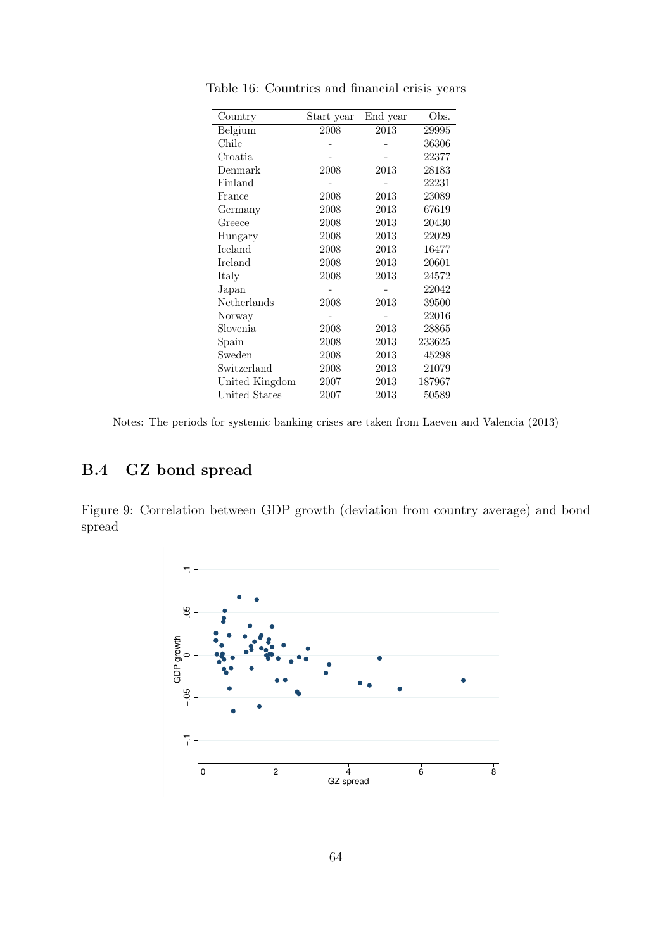| Country        | Start year | End year | Obs.   |
|----------------|------------|----------|--------|
| Belgium        | 2008       | 2013     | 29995  |
| Chile          |            |          | 36306  |
| Croatia        |            |          | 22377  |
| Denmark        | 2008       | 2013     | 28183  |
| Finland        |            |          | 22231  |
| France         | 2008       | 2013     | 23089  |
| Germany        | 2008       | 2013     | 67619  |
| Greece         | 2008       | 2013     | 20430  |
| Hungary        | 2008       | 2013     | 22029  |
| Iceland        | 2008       | 2013     | 16477  |
| Ireland        | 2008       | 2013     | 20601  |
| Italy          | 2008       | 2013     | 24572  |
| Japan          |            |          | 22042  |
| Netherlands    | 2008       | 2013     | 39500  |
| Norway         |            |          | 22016  |
| Slovenia       | 2008       | 2013     | 28865  |
| Spain          | 2008       | 2013     | 233625 |
| Sweden         | 2008       | 2013     | 45298  |
| Switzerland    | 2008       | 2013     | 21079  |
| United Kingdom | 2007       | 2013     | 187967 |
| United States  | 2007       | 2013     | 50589  |

Table 16: Countries and financial crisis years

# B.4 GZ bond spread

Figure 9: Correlation between GDP growth (deviation from country average) and bond spread



Notes: The periods for systemic banking crises are taken from Laeven and Valencia (2013)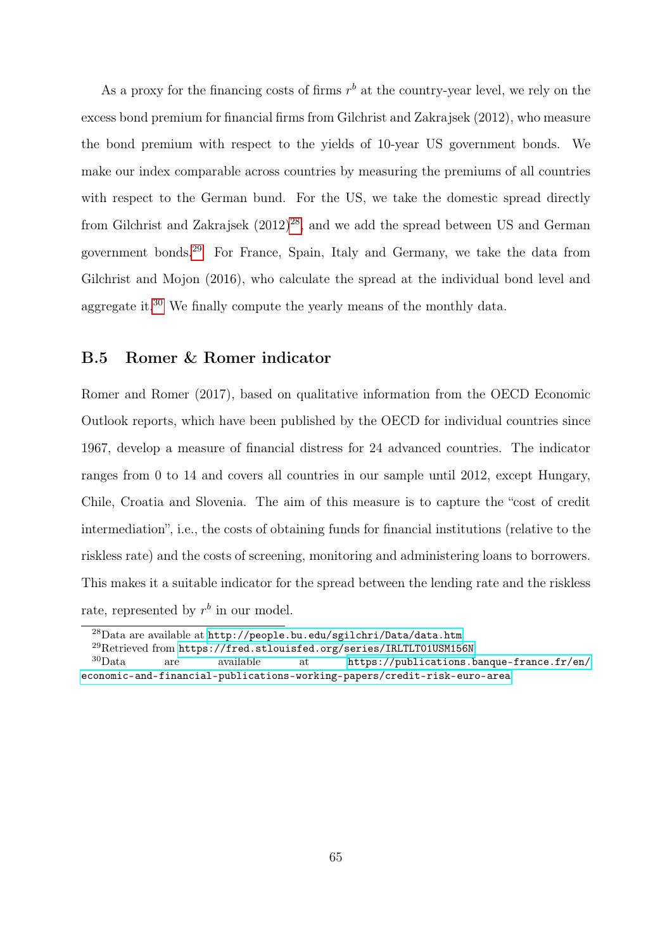As a proxy for the financing costs of firms  $r<sup>b</sup>$  at the country-year level, we rely on the excess bond premium for financial firms from Gilchrist and Zakrajsek (2012), who measure the bond premium with respect to the yields of 10-year US government bonds. We make our index comparable across countries by measuring the premiums of all countries with respect to the German bund. For the US, we take the domestic spread directly from Gilchrist and Zakrajsek  $(2012)^{28}$  $(2012)^{28}$  $(2012)^{28}$ , and we add the spread between US and German government bonds.[29](#page-64-1) For France, Spain, Italy and Germany, we take the data from Gilchrist and Mojon (2016), who calculate the spread at the individual bond level and aggregate it.[30](#page-64-2) We finally compute the yearly means of the monthly data.

### B.5 Romer & Romer indicator

Romer and Romer (2017), based on qualitative information from the OECD Economic Outlook reports, which have been published by the OECD for individual countries since 1967, develop a measure of financial distress for 24 advanced countries. The indicator ranges from 0 to 14 and covers all countries in our sample until 2012, except Hungary, Chile, Croatia and Slovenia. The aim of this measure is to capture the "cost of credit intermediation", i.e., the costs of obtaining funds for financial institutions (relative to the riskless rate) and the costs of screening, monitoring and administering loans to borrowers. This makes it a suitable indicator for the spread between the lending rate and the riskless rate, represented by  $r^b$  in our model.

<span id="page-64-0"></span><sup>28</sup>Data are available at <http://people.bu.edu/sgilchri/Data/data.htm>

<span id="page-64-2"></span><span id="page-64-1"></span><sup>&</sup>lt;sup>29</sup>Retrieved from <https://fred.stlouisfed.org/series/IRLTLT01USM156N><br><sup>30</sup>Data are available at https://publications.b

are available at [https://publications.banque-france.fr/en/](https://publications.banque-france.fr/en/economic-and-financial-publications-working-papers/credit-risk-euro-area) [economic-and-financial-publications-working-papers/credit-risk-euro-area](https://publications.banque-france.fr/en/economic-and-financial-publications-working-papers/credit-risk-euro-area)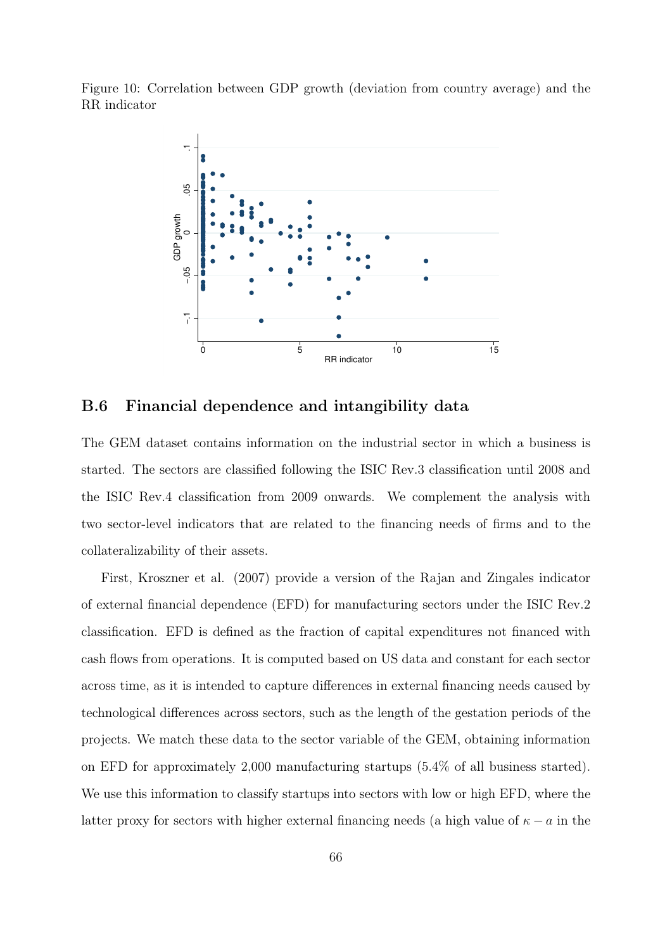Figure 10: Correlation between GDP growth (deviation from country average) and the RR indicator



<span id="page-65-0"></span>B.6 Financial dependence and intangibility data

The GEM dataset contains information on the industrial sector in which a business is started. The sectors are classified following the ISIC Rev.3 classification until 2008 and the ISIC Rev.4 classification from 2009 onwards. We complement the analysis with two sector-level indicators that are related to the financing needs of firms and to the collateralizability of their assets.

First, Kroszner et al. (2007) provide a version of the Rajan and Zingales indicator of external financial dependence (EFD) for manufacturing sectors under the ISIC Rev.2 classification. EFD is defined as the fraction of capital expenditures not financed with cash flows from operations. It is computed based on US data and constant for each sector across time, as it is intended to capture differences in external financing needs caused by technological differences across sectors, such as the length of the gestation periods of the projects. We match these data to the sector variable of the GEM, obtaining information on EFD for approximately 2,000 manufacturing startups (5.4% of all business started). We use this information to classify startups into sectors with low or high EFD, where the latter proxy for sectors with higher external financing needs (a high value of  $\kappa - a$  in the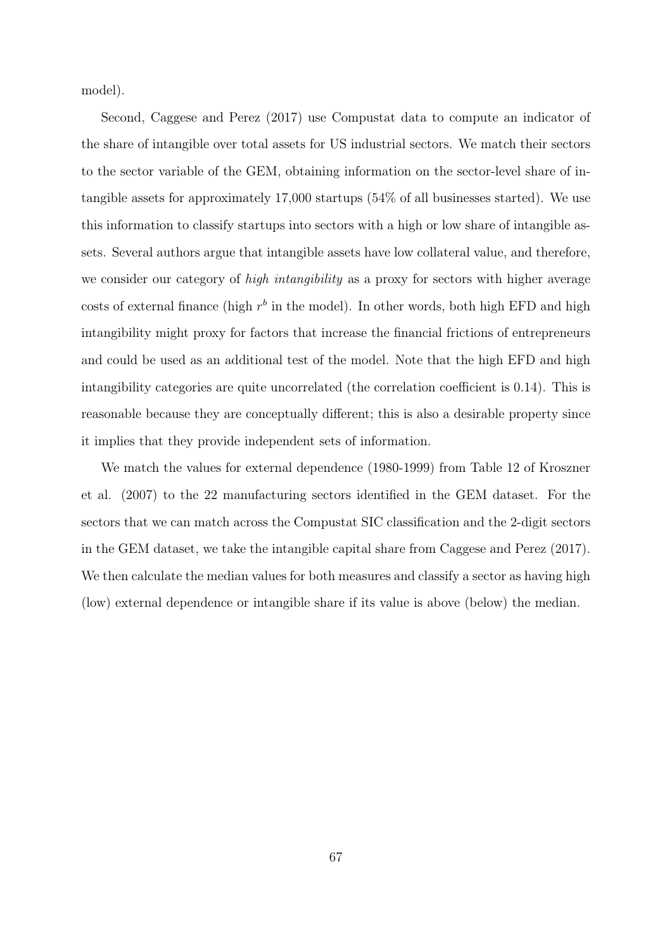model).

Second, Caggese and Perez (2017) use Compustat data to compute an indicator of the share of intangible over total assets for US industrial sectors. We match their sectors to the sector variable of the GEM, obtaining information on the sector-level share of intangible assets for approximately 17,000 startups (54% of all businesses started). We use this information to classify startups into sectors with a high or low share of intangible assets. Several authors argue that intangible assets have low collateral value, and therefore, we consider our category of *high intangibility* as a proxy for sectors with higher average costs of external finance (high  $r^b$  in the model). In other words, both high EFD and high intangibility might proxy for factors that increase the financial frictions of entrepreneurs and could be used as an additional test of the model. Note that the high EFD and high intangibility categories are quite uncorrelated (the correlation coefficient is 0.14). This is reasonable because they are conceptually different; this is also a desirable property since it implies that they provide independent sets of information.

We match the values for external dependence (1980-1999) from Table 12 of Kroszner et al. (2007) to the 22 manufacturing sectors identified in the GEM dataset. For the sectors that we can match across the Compustat SIC classification and the 2-digit sectors in the GEM dataset, we take the intangible capital share from Caggese and Perez (2017). We then calculate the median values for both measures and classify a sector as having high (low) external dependence or intangible share if its value is above (below) the median.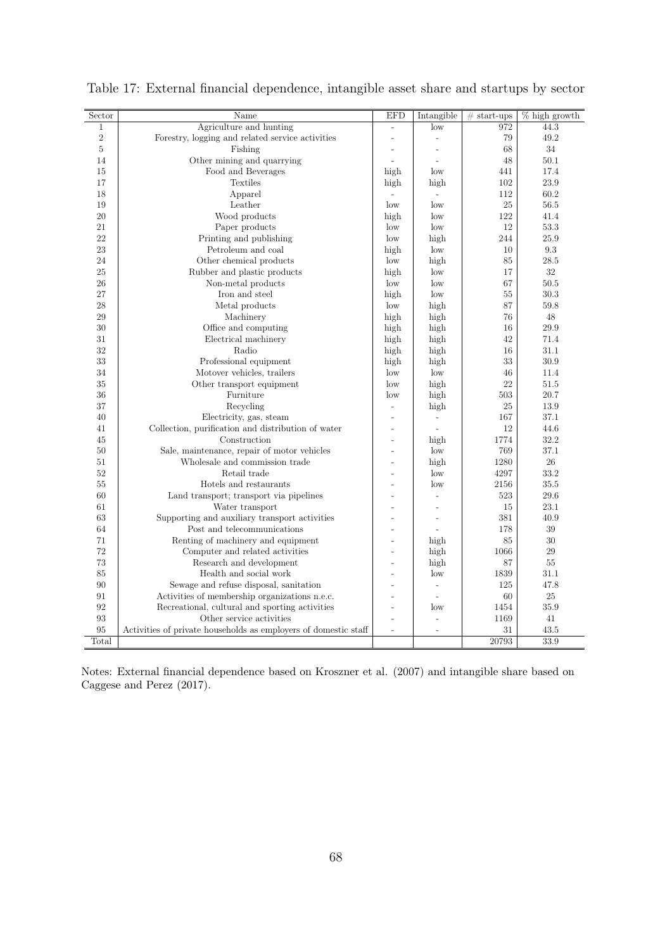| Sector       | Name                                                            | <b>EFD</b>               | Intangible               | $# start-ups$ | $%$ high growth |
|--------------|-----------------------------------------------------------------|--------------------------|--------------------------|---------------|-----------------|
| $\mathbf{1}$ | Agriculture and hunting                                         | $\overline{\phantom{0}}$ | low                      | 972           | 44.3            |
| $\sqrt{2}$   | Forestry, logging and related service activities                |                          | $\overline{a}$           | 79            | 49.2            |
| $\rm 5$      | Fishing                                                         | ÷,                       | $\frac{1}{2}$            | 68            | 34              |
| 14           | Other mining and quarrying                                      | $\overline{\phantom{a}}$ | $\overline{a}$           | 48            | 50.1            |
| 15           | Food and Beverages                                              | high                     | low                      | 441           | 17.4            |
| 17           | Textiles                                                        | high                     | high                     | 102           | 23.9            |
| 18           | Apparel                                                         | $\overline{\phantom{a}}$ | $\overline{\phantom{a}}$ | 112           | 60.2            |
| 19           | Leather                                                         | $_{\text{low}}$          | low                      | 25            | 56.5            |
| 20           | Wood products                                                   | high                     | low                      | 122           | 41.4            |
| 21           | Paper products                                                  | $_{\text{low}}$          | low                      | 12            | 53.3            |
| 22           | Printing and publishing                                         | low                      | high                     | 244           | 25.9            |
| 23           | Petroleum and coal                                              | high                     | low                      | 10            | 9.3             |
| 24           | Other chemical products                                         | $_{\text{low}}$          | high                     | 85            | 28.5            |
| 25           | Rubber and plastic products                                     | high                     | low                      | 17            | 32              |
| 26           | Non-metal products                                              | $_{\text{low}}$          | low                      | 67            | 50.5            |
| 27           | Iron and steel                                                  | high                     | low                      | 55            | 30.3            |
| 28           | Metal products                                                  | low                      | high                     | 87            | $59.8\,$        |
| 29           | Machinery                                                       | high                     | high                     | 76            | 48              |
| 30           | Office and computing                                            | high                     | high                     | 16            | 29.9            |
| 31           | Electrical machinery                                            | high                     | high                     | 42            | 71.4            |
| 32           | Radio                                                           | high                     | high                     | 16            | 31.1            |
| 33           | Professional equipment                                          | high                     | high                     | 33            | 30.9            |
| 34           | Motover vehicles, trailers                                      | low                      | low                      | 46            | 11.4            |
| 35           | Other transport equipment                                       | $_{\text{low}}$          | high                     | 22            | 51.5            |
| 36           | Furniture                                                       | $_{\text{low}}$          | high                     | 503           | 20.7            |
| 37           | Recycling                                                       | $\frac{1}{2}$            | high                     | 25            | 13.9            |
| 40           | Electricity, gas, steam                                         | L,                       | $\frac{1}{2}$            | 167           | $37.1\,$        |
| 41           | Collection, purification and distribution of water              | $\overline{a}$           | $\overline{\phantom{a}}$ | 12            | 44.6            |
| 45           | Construction                                                    | $\overline{a}$           | high                     | 1774          | 32.2            |
| 50           | Sale, maintenance, repair of motor vehicles                     | $\overline{a}$           | low                      | 769           | 37.1            |
| 51           | Wholesale and commission trade                                  |                          | high                     | 1280          | $26\,$          |
| 52           | Retail trade                                                    |                          | low                      | 4297          | 33.2            |
| 55           | Hotels and restaurants                                          | $\overline{a}$           | low                      | 2156          | 35.5            |
| 60           | Land transport; transport via pipelines                         |                          | $\overline{a}$           | 523           | 29.6            |
| 61           | Water transport                                                 |                          | $\overline{a}$           | 15            | 23.1            |
| 63           | Supporting and auxiliary transport activities                   |                          | $\bar{\phantom{a}}$      | 381           | 40.9            |
| 64           | Post and telecommunications                                     |                          | $\overline{a}$           | 178           | 39              |
| 71           | Renting of machinery and equipment                              | $\overline{a}$           | high                     | 85            | 30              |
| 72           | Computer and related activities                                 | $\overline{a}$           | high                     | 1066          | 29              |
| 73           | Research and development                                        |                          | high                     | 87            | 55              |
| 85           | Health and social work                                          |                          | low                      | 1839          | 31.1            |
| 90           | Sewage and refuse disposal, sanitation                          |                          | $\overline{a}$           | 125           | 47.8            |
| 91           | Activities of membership organizations n.e.c.                   |                          | $\overline{a}$           | 60            | 25              |
| 92           | Recreational, cultural and sporting activities                  | $\overline{a}$           | $_{\text{low}}$          | 1454          | 35.9            |
| 93           | Other service activities                                        | ÷                        | $\frac{1}{2}$            | 1169          | 41              |
| 95           | Activities of private households as employers of domestic staff | $\overline{a}$           | $\overline{\phantom{0}}$ | 31            | 43.5            |
| Total        |                                                                 |                          |                          | 20793         | 33.9            |
|              |                                                                 |                          |                          |               |                 |

Table 17: External financial dependence, intangible asset share and startups by sector

Notes: External financial dependence based on Kroszner et al. (2007) and intangible share based on Caggese and Perez (2017).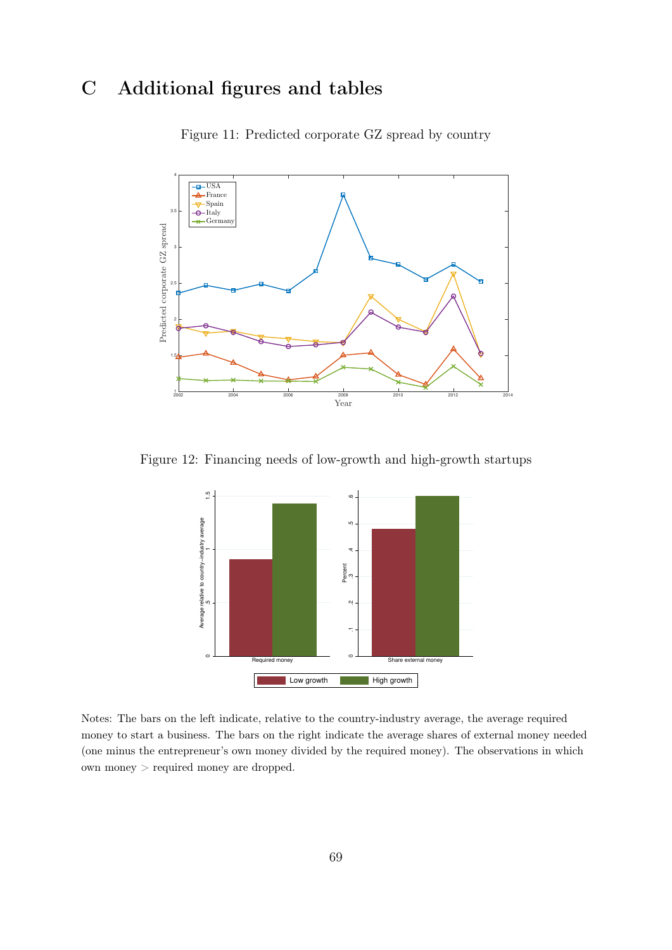# <span id="page-68-1"></span><span id="page-68-0"></span>C Additional figures and tables



Figure 11: Predicted corporate GZ spread by country

Figure 12: Financing needs of low-growth and high-growth startups



Notes: The bars on the left indicate, relative to the country-industry average, the average required money to start a business. The bars on the right indicate the average shares of external money needed (one minus the entrepreneur's own money divided by the required money). The observations in which own money > required money are dropped.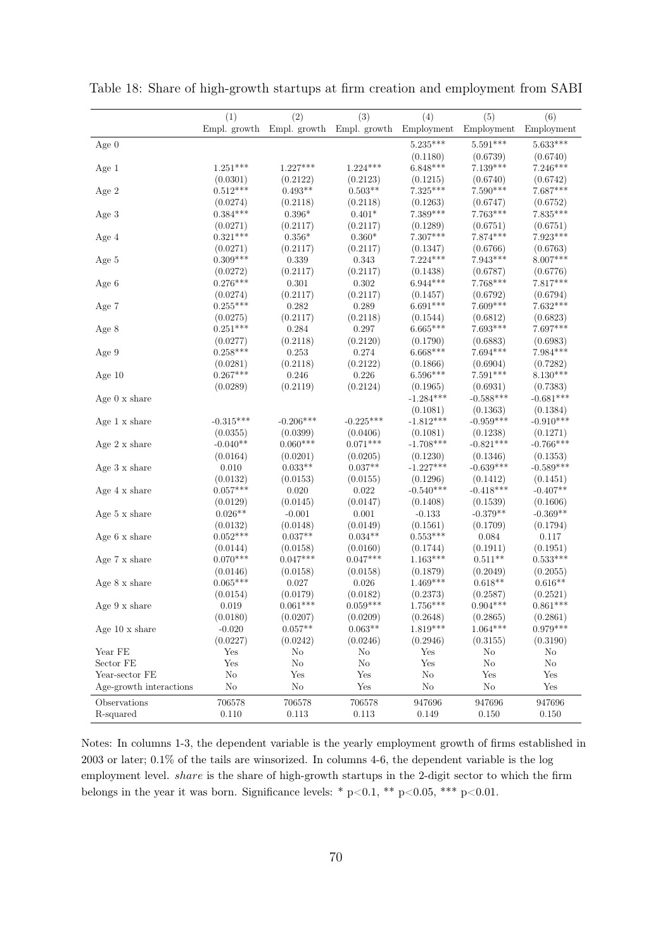|                         | (1)                    | (2)                    | (3)                                               | (4)                    | (5)                   | (6)                    |
|-------------------------|------------------------|------------------------|---------------------------------------------------|------------------------|-----------------------|------------------------|
|                         |                        |                        | Empl. growth Empl. growth Empl. growth Employment |                        | Employment            | Employment             |
| Age $0$                 |                        |                        |                                                   | $5.235***$             | $5.591***$            | $5.633***$             |
|                         |                        |                        |                                                   | (0.1180)               | (0.6739)              | (0.6740)               |
| Age 1                   | $1.251***$             | $1.227***$             | $1.224***$                                        | $6.848***$             | $7.139***$            | $7.246***$             |
|                         | (0.0301)               | (0.2122)               | (0.2123)                                          | (0.1215)               | (0.6740)              | (0.6742)               |
| Age 2                   | $0.512***$             | $0.493**$              | $0.503**$                                         | $7.325***$             | $7.590***$            | 7.687***               |
|                         | (0.0274)               | (0.2118)               | (0.2118)                                          | (0.1263)               | (0.6747)              | (0.6752)               |
| Age 3                   | $0.384***$             | $0.396*$               | $0.401*$                                          | $7.389***$             | $7.763***$            | $7.835***$             |
|                         | (0.0271)               | (0.2117)               | (0.2117)                                          | (0.1289)               | (0.6751)              | (0.6751)               |
| Age 4                   | $0.321***$             | $0.356*$               | $0.360^{\ast}$                                    | $7.307***$             | $7.874***$            | $7.923***$             |
|                         | (0.0271)               | (0.2117)               | (0.2117)                                          | (0.1347)               | (0.6766)              | (0.6763)               |
| Age 5                   | $0.309***$             | 0.339                  | 0.343                                             | $7.224***$             | $7.943***$            | 8.007***               |
|                         | (0.0272)               | (0.2117)               | (0.2117)                                          | (0.1438)               | (0.6787)              | (0.6776)               |
| Age 6                   | $0.276***$             | 0.301                  | 0.302                                             | $6.944***$             | $7.768***$            | $7.817***$             |
|                         | (0.0274)               | (0.2117)               | (0.2117)                                          | (0.1457)               | (0.6792)              | (0.6794)               |
| Age 7                   | $0.255***$             | 0.282                  | 0.289                                             | $6.691***$             | $7.609***$            | 7.632***               |
|                         | (0.0275)               | (0.2117)               | (0.2118)                                          | (0.1544)               | (0.6812)              | (0.6823)               |
| Age 8                   | $0.251***$             | 0.284                  | 0.297                                             | $6.665***$             | $7.693***$            | 7.697***               |
|                         | (0.0277)               | (0.2118)               | (0.2120)                                          | (0.1790)               | (0.6883)              | (0.6983)               |
| Age 9                   | $0.258***$             | 0.253                  | 0.274                                             | $6.668***$             | $7.694***$            | 7.984***               |
|                         | (0.0281)               | (0.2118)               | (0.2122)                                          | (0.1866)               | (0.6904)              | (0.7282)               |
| Age $10$                | $0.267***$             | 0.246                  | 0.226                                             | $6.596***$             | $7.591***$            | $8.130***$             |
|                         | (0.0289)               | (0.2119)               | (0.2124)                                          | (0.1965)               | (0.6931)              | (0.7383)               |
| Age $0 \times$ share    |                        |                        |                                                   | $-1.284***$            | $-0.588***$           | $-0.681***$            |
|                         |                        |                        |                                                   | (0.1081)               | (0.1363)              | (0.1384)               |
| Age $1 \times share$    | $-0.315***$            | $-0.206***$            | $-0.225***$                                       | $-1.812***$            | $-0.959***$           | $-0.910***$            |
|                         | (0.0355)               | (0.0399)               | (0.0406)                                          | (0.1081)               | (0.1238)              | (0.1271)               |
| Age $2 \times share$    | $-0.040**$             | $0.060***$             | $0.071***$                                        | $-1.708***$            | $-0.821***$           | $-0.766***$            |
|                         | (0.0164)               | (0.0201)               | (0.0205)                                          | (0.1230)               | (0.1346)              | (0.1353)               |
| Age 3 x share           | 0.010                  | $0.033**$              | $0.037**$                                         | $-1.227***$            | $-0.639***$           | $-0.589***$            |
|                         | (0.0132)               | (0.0153)               | (0.0155)                                          | (0.1296)               | (0.1412)              | (0.1451)               |
| Age 4 x share           | $0.057***$             | 0.020                  | 0.022                                             | $-0.540***$            | $-0.418***$           | $-0.407**$             |
|                         | (0.0129)               | (0.0145)               | (0.0147)                                          | (0.1408)               | (0.1539)              | (0.1606)               |
| Age 5 x share           | $0.026**$              | $-0.001$               | 0.001                                             | $-0.133$               | $-0.379**$            | $-0.369**$             |
|                         | (0.0132)<br>$0.052***$ | (0.0148)<br>$0.037**$  | (0.0149)<br>$0.034**$                             | (0.1561)<br>$0.553***$ | (0.1709)<br>0.084     | (0.1794)<br>0.117      |
| Age 6 x share           |                        |                        |                                                   |                        |                       |                        |
| Age 7 x share           | (0.0144)<br>$0.070***$ | (0.0158)<br>$0.047***$ | (0.0160)<br>$0.047***$                            | (0.1744)<br>$1.163***$ | (0.1911)<br>$0.511**$ | (0.1951)<br>$0.533***$ |
|                         | (0.0146)               | (0.0158)               | (0.0158)                                          | (0.1879)               | (0.2049)              | (0.2055)               |
| Age 8 x share           | $0.065***$             | 0.027                  | 0.026                                             | $1.469***$             | $0.618**$             | $0.616**$              |
|                         | (0.0154)               | (0.0179)               | (0.0182)                                          | (0.2373)               | (0.2587)              | (0.2521)               |
| Age 9 x share           | 0.019                  | $0.061***$             | $0.059***$                                        | $1.756***$             | $0.904***$            | $0.861***$             |
|                         | (0.0180)               | (0.0207)               | (0.0209)                                          | (0.2648)               | (0.2865)              | (0.2861)               |
| Age $10 \times share$   | $-0.020$               | $0.057**$              | $0.063**$                                         | $1.819***$             | $1.064***$            | $0.979***$             |
|                         | (0.0227)               | (0.0242)               | (0.0246)                                          | (0.2946)               | (0.3155)              | (0.3190)               |
| Year FE                 | Yes                    | No                     | No                                                | Yes                    | No                    | No                     |
| Sector FE               | Yes                    | $\rm No$               | $\rm No$                                          | Yes                    | No                    | No                     |
| Year-sector FE          | $\rm No$               | Yes                    | Yes                                               | $\rm No$               | Yes                   | Yes                    |
| Age-growth interactions | $\rm No$               | $\rm No$               | Yes                                               | $\rm No$               | $\rm No$              | Yes                    |
| Observations            | 706578                 | 706578                 | 706578                                            | 947696                 | 947696                | 947696                 |
| R-squared               | 0.110                  | 0.113                  | 0.113                                             | 0.149                  | 0.150                 | 0.150                  |
|                         |                        |                        |                                                   |                        |                       |                        |

Table 18: Share of high-growth startups at firm creation and employment from SABI

Notes: In columns 1-3, the dependent variable is the yearly employment growth of firms established in 2003 or later; 0.1% of the tails are winsorized. In columns 4-6, the dependent variable is the log employment level. share is the share of high-growth startups in the 2-digit sector to which the firm belongs in the year it was born. Significance levels: \* p<0.1, \*\* p<0.05, \*\*\* p<0.01.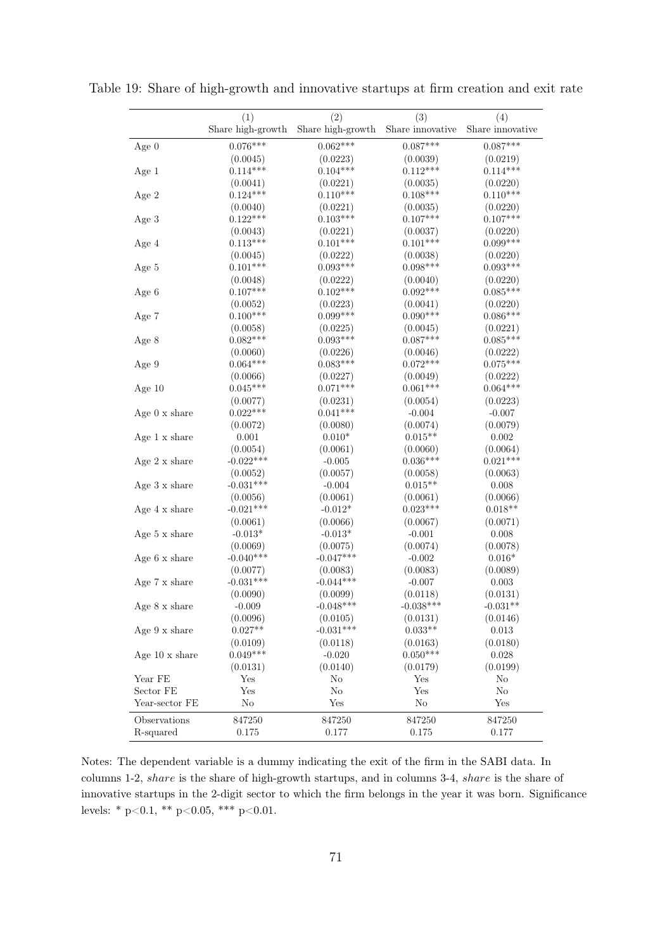|                              | (1)               | (2)                    | (3)              | (4)              |  |
|------------------------------|-------------------|------------------------|------------------|------------------|--|
|                              | Share high-growth | Share high-growth $\,$ | Share innovative | Share innovative |  |
| Age $0$                      | $0.076***$        | $0.062***$             | $0.087***$       | $0.087***$       |  |
|                              | (0.0045)          | (0.0223)               | (0.0039)         | (0.0219)         |  |
| Age 1                        | $0.114***$        | $0.104***$             | $0.112***$       | $0.114***$       |  |
|                              | (0.0041)          | (0.0221)               | (0.0035)         | (0.0220)         |  |
| Age 2                        | $0.124***$        | $0.110***$             | $0.108***$       | $0.110***$       |  |
|                              | (0.0040)          | (0.0221)               | (0.0035)         | (0.0220)         |  |
| Age 3                        | $0.122***$        | $0.103***$             | $0.107***$       | $0.107***$       |  |
|                              | (0.0043)          | (0.0221)               | (0.0037)         | (0.0220)         |  |
| Age 4                        | $0.113***$        | $0.101***$             | $0.101***$       | $0.099***$       |  |
|                              | (0.0045)          | (0.0222)               | (0.0038)         | (0.0220)         |  |
| Age 5                        | $0.101***$        | $0.093***$             | $0.098***$       | $0.093***$       |  |
|                              | (0.0048)          | (0.0222)               | (0.0040)         | (0.0220)         |  |
| Age 6                        | $0.107***$        | $0.102***$             | $0.092***$       | $0.085***$       |  |
|                              | (0.0052)          | (0.0223)               | (0.0041)         | (0.0220)         |  |
| Age 7                        | $0.100***$        | $0.099***$             | $0.090***$       | $0.086***$       |  |
|                              | (0.0058)          | (0.0225)               | (0.0045)         | (0.0221)         |  |
| Age 8                        | $0.082***$        | $0.093***$             | $0.087***$       | $0.085***$       |  |
|                              | (0.0060)          | (0.0226)               | (0.0046)         | (0.0222)         |  |
| Age 9                        | $0.064***$        | $0.083***$             | $0.072***$       | $0.075***$       |  |
|                              | (0.0066)          | (0.0227)               | (0.0049)         | (0.0222)         |  |
| Age $10$                     | $0.045***$        | $0.071***$             | $0.061***$       | $0.064***$       |  |
|                              | (0.0077)          | (0.0231)               | (0.0054)         | (0.0223)         |  |
| Age $0 \times$ share         | $0.022***$        | $0.041***$             | $-0.004$         | $-0.007$         |  |
|                              | (0.0072)          | (0.0080)               | (0.0074)         | (0.0079)         |  |
| Age 1 x share                | 0.001             | $0.010*$               | $0.015**$        | 0.002            |  |
|                              | (0.0054)          | (0.0061)               | (0.0060)         | (0.0064)         |  |
| Age $2 \times share$         | $-0.022***$       | $-0.005$               | $0.036***$       | $0.021***$       |  |
|                              | (0.0052)          | (0.0057)               | (0.0058)         | (0.0063)         |  |
| Age $3 \times$ share         | $-0.031***$       | $-0.004$               | $0.015**$        | $0.008\,$        |  |
|                              | (0.0056)          | (0.0061)               | (0.0061)         | (0.0066)         |  |
| Age 4 x share                | $-0.021***$       | $-0.012*$              | $0.023***$       | $0.018**$        |  |
|                              | (0.0061)          | (0.0066)               | (0.0067)         | (0.0071)         |  |
| Age 5 $\rm x$ share          | $-0.013*$         | $-0.013*$              | $-0.001$         | 0.008            |  |
|                              | (0.0069)          | (0.0075)               | (0.0074)         | (0.0078)         |  |
| Age $6 \times \text{share}$  | $-0.040***$       | $-0.047***$            | $-0.002$         | $0.016*$         |  |
|                              | (0.0077)          | (0.0083)               | (0.0083)         | (0.0089)         |  |
| Age 7 x share                | $-0.031***$       | $-0.044***$            | $-0.007$         | $0.003\,$        |  |
|                              | (0.0090)          | (0.0099)               | (0.0118)         | (0.0131)         |  |
| Age 8 x share                | $-0.009$          | $-0.048***$            | $-0.038***$      | $-0.031**$       |  |
|                              | (0.0096)          | (0.0105)               | (0.0131)         | (0.0146)         |  |
| Age 9 x share                | $0.027**$         | $-0.031***$            | $0.033**$        | 0.013            |  |
|                              | (0.0109)          | (0.0118)               | (0.0163)         | (0.0180)         |  |
| Age $10 \times \text{share}$ | $0.049***$        | $-0.020$               | $0.050***$       | 0.028            |  |
|                              | (0.0131)          | (0.0140)               | (0.0179)         | (0.0199)         |  |
| Year FE                      | Yes               | No                     | Yes              | No               |  |
| Sector FE                    | Yes               | $\rm No$               | Yes              | $\rm No$         |  |
| Year-sector FE               | $\rm No$          | Yes                    | $\rm No$         | Yes              |  |
| Observations                 | 847250            | 847250                 | 847250           | 847250           |  |
| R-squared                    | 0.175             | 0.177                  | 0.175            | 0.177            |  |
|                              |                   |                        |                  |                  |  |

Table 19: Share of high-growth and innovative startups at firm creation and exit rate

Notes: The dependent variable is a dummy indicating the exit of the firm in the SABI data. In columns 1-2, share is the share of high-growth startups, and in columns 3-4, share is the share of innovative startups in the 2-digit sector to which the firm belongs in the year it was born. Significance levels: \* p<0.1, \*\* p<0.05, \*\*\* p<0.01.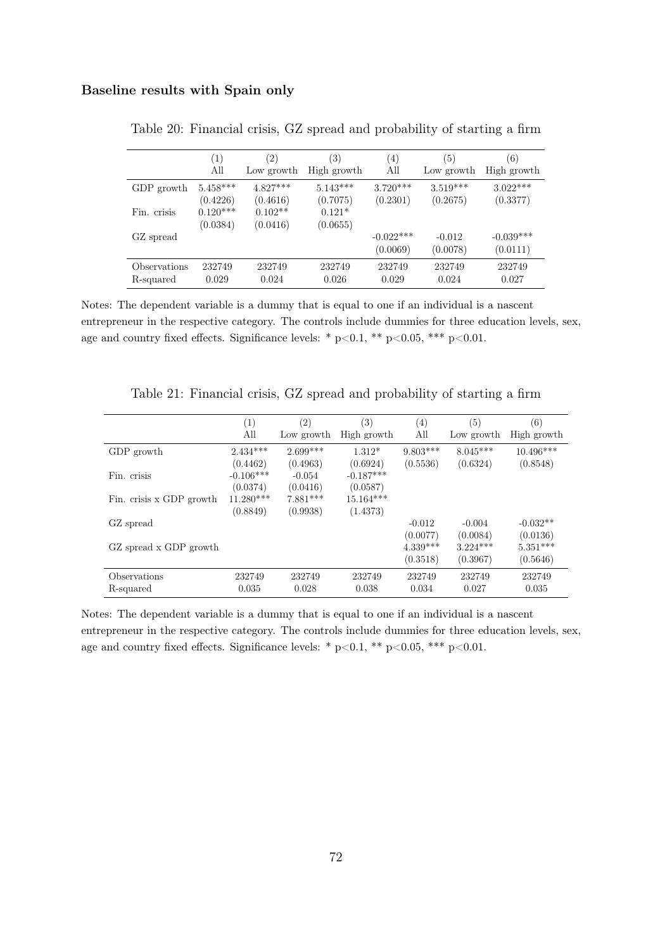### <span id="page-71-0"></span>Baseline results with Spain only

|              | $\left(1\right)$ | (2)        | (3)         | $\left(4\right)$ | (5)        | (6)         |
|--------------|------------------|------------|-------------|------------------|------------|-------------|
|              | All              | Low growth | High growth | All              | Low growth | High growth |
| GDP growth   | $5.458***$       | $4.827***$ | $5.143***$  | $3.720***$       | $3.519***$ | $3.022***$  |
|              | (0.4226)         | (0.4616)   | (0.7075)    | (0.2301)         | (0.2675)   | (0.3377)    |
| Fin. crisis  | $0.120***$       | $0.102**$  | $0.121*$    |                  |            |             |
|              | (0.0384)         | (0.0416)   | (0.0655)    |                  |            |             |
| GZ spread    |                  |            |             | $-0.022***$      | $-0.012$   | $-0.039***$ |
|              |                  |            |             | (0.0069)         | (0.0078)   | (0.0111)    |
| Observations | 232749           | 232749     | 232749      | 232749           | 232749     | 232749      |
| R-squared    | 0.029            | 0.024      | 0.026       | 0.029            | 0.024      | 0.027       |

Table 20: Financial crisis, GZ spread and probability of starting a firm

Notes: The dependent variable is a dummy that is equal to one if an individual is a nascent entrepreneur in the respective category. The controls include dummies for three education levels, sex, age and country fixed effects. Significance levels: \* p<0.1, \*\* p<0.05, \*\*\* p<0.01.

<span id="page-71-1"></span>

|                          | $\left( 1\right)$ | $\left( 2\right)$ | $\left( 3\right)$ | (4)        | (5)        | (6)         |
|--------------------------|-------------------|-------------------|-------------------|------------|------------|-------------|
|                          | All               | Low growth        | High growth       | All        | Low growth | High growth |
| GDP growth               | $2.434***$        | $2.699***$        | $1.312*$          | $9.803***$ | $8.045***$ | $10.496***$ |
|                          | (0.4462)          | (0.4963)          | (0.6924)          | (0.5536)   | (0.6324)   | (0.8548)    |
| Fin. crisis              | $-0.106***$       | $-0.054$          | $-0.187***$       |            |            |             |
|                          | (0.0374)          | (0.0416)          | (0.0587)          |            |            |             |
| Fin. crisis x GDP growth | $11.280***$       | $7.881***$        | $15.164***$       |            |            |             |
|                          | (0.8849)          | (0.9938)          | (1.4373)          |            |            |             |
| GZ spread                |                   |                   |                   | $-0.012$   | $-0.004$   | $-0.032**$  |
|                          |                   |                   |                   | (0.0077)   | (0.0084)   | (0.0136)    |
| GZ spread x GDP growth   |                   |                   |                   | $4.339***$ | $3.224***$ | $5.351***$  |
|                          |                   |                   |                   | (0.3518)   | (0.3967)   | (0.5646)    |
| Observations             | 232749            | 232749            | 232749            | 232749     | 232749     | 232749      |
| R-squared                | 0.035             | 0.028             | 0.038             | 0.034      | 0.027      | 0.035       |

Table 21: Financial crisis, GZ spread and probability of starting a firm

Notes: The dependent variable is a dummy that is equal to one if an individual is a nascent entrepreneur in the respective category. The controls include dummies for three education levels, sex, age and country fixed effects. Significance levels: \* p<0.1, \*\* p<0.05, \*\*\* p<0.01.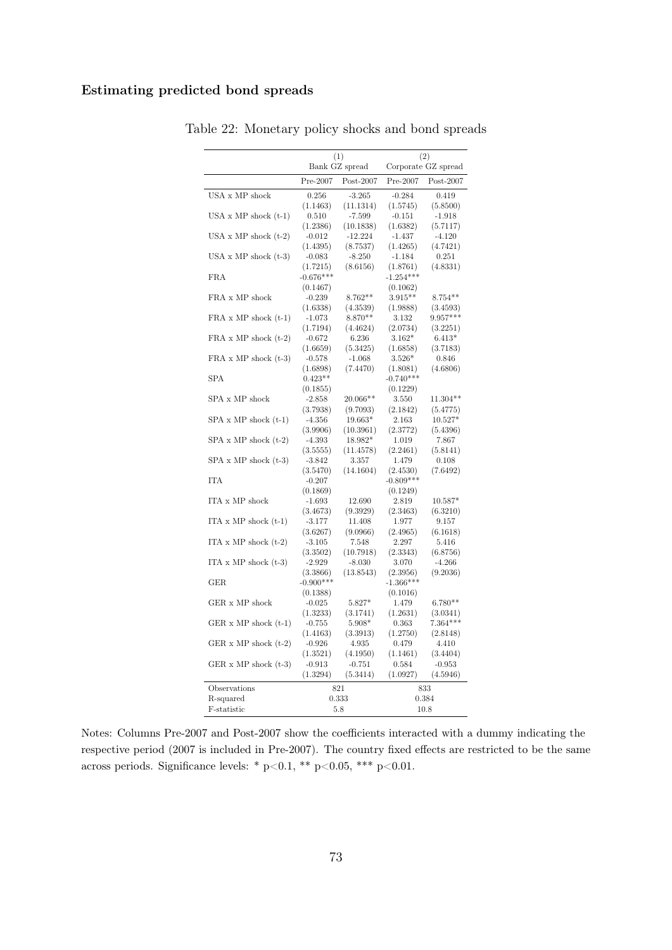## Estimating predicted bond spreads

|                               | (1)                     |                     | (2)                     |                        |  |
|-------------------------------|-------------------------|---------------------|-------------------------|------------------------|--|
|                               |                         | Bank GZ spread      |                         | Corporate GZ spread    |  |
|                               | Pre-2007                | $Post-2007$         | Pre-2007                | $Post-2007$            |  |
| USA x MP shock                | 0.256                   | $-3.265$            | $-0.284$                | 0.419                  |  |
|                               | (1.1463)                | (11.1314)           | (1.5745)                | (5.8500)               |  |
| USA $x$ MP shock $(t-1)$      | 0.510                   | $-7.599$            | $-0.151$                | $-1.918$               |  |
|                               | (1.2386)                | (10.1838)           | (1.6382)                | (5.7117)               |  |
| USA $x$ MP shock $(t-2)$      | $-0.012$                | $-12.224$           | $-1.437$                | $-4.120$               |  |
|                               | (1.4395)                | (8.7537)            | (1.4265)                | (4.7421)               |  |
| USA $x$ MP shock $(t-3)$      | $-0.083$                | $-8.250$            | $-1.184$                | 0.251                  |  |
|                               | (1.7215)                | (8.6156)            | (1.8761)                | (4.8331)               |  |
| <b>FRA</b>                    | $-0.676***$             |                     | $-1.254***$             |                        |  |
|                               | (0.1467)                |                     | (0.1062)                |                        |  |
| FRA x MP shock                | $-0.239$                | $8.762**$           | $3.915**$               | $8.754**$              |  |
| $FRA \times MP$ shock $(t-1)$ | (1.6338)<br>$-1.073$    | (4.3539)<br>8.870** | (1.9888)<br>3.132       | (3.4593)<br>$9.957***$ |  |
|                               | (1.7194)                | (4.4624)            | (2.0734)                | (3.2251)               |  |
| $FRA \times MP$ shock $(t-2)$ | $-0.672$                | 6.236               | $3.162*$                | $6.413*$               |  |
|                               | (1.6659)                | (5.3425)            | (1.6858)                | (3.7183)               |  |
| $FRA \times MP$ shock $(t-3)$ | $-0.578$                | $-1.068$            | $3.526*$                | 0.846                  |  |
|                               | (1.6898)                | (7.4470)            | (1.8081)                | (4.6806)               |  |
| <b>SPA</b>                    | $0.423**$               |                     | $-0.740***$             |                        |  |
|                               | (0.1855)                |                     | (0.1229)                |                        |  |
| SPA x MP shock                | $-2.858$                | 20.066**            | 3.550                   | $11.304**$             |  |
|                               | (3.7938)                | (9.7093)            | (2.1842)                | (5.4775)               |  |
| $SPA \times MP$ shock $(t-1)$ | $-4.356$                | 19.663*             | 2.163                   | $10.527*$              |  |
|                               | (3.9906)                | (10.3961)           | (2.3772)                | (5.4396)               |  |
| $SPA \times MP$ shock $(t-2)$ | $-4.393$                | 18.982*             | 1.019                   | 7.867                  |  |
|                               | (3.5555)                | (11.4578)           | (2.2461)                | (5.8141)               |  |
| $SPA \times MP$ shock $(t-3)$ | $-3.842$                | 3.357               | 1.479                   | 0.108                  |  |
|                               | (3.5470)                | (14.1604)           | (2.4530)                | (7.6492)               |  |
| <b>ITA</b>                    | $-0.207$                |                     | $-0.809***$             |                        |  |
|                               | (0.1869)                |                     | (0.1249)                |                        |  |
| ITA x MP shock                | $-1.693$                | 12.690              | 2.819                   | $10.587*$              |  |
|                               | (3.4673)                | (9.3929)            | (2.3463)                | (6.3210)               |  |
| ITA $x \text{MP shock (t-1)}$ | $-3.177$                | 11.408              | 1.977                   | 9.157                  |  |
|                               | (3.6267)                | (9.0966)            | (2.4965)                | (6.1618)               |  |
| ITA $x$ MP shock $(t-2)$      | $-3.105$                | 7.548               | 2.297                   | 5.416                  |  |
|                               | (3.3502)                | (10.7918)           | (2.3343)                | (6.8756)               |  |
| ITA $x$ MP shock $(t-3)$      | $-2.929$                | $-8.030$            | 3.070                   | $-4.266$               |  |
| <b>GER</b>                    | (3.3866)<br>$-0.900***$ | (13.8543)           | (2.3956)<br>$-1.366***$ | (9.2036)               |  |
|                               | (0.1388)                |                     | (0.1016)                |                        |  |
| GER x MP shock                | $-0.025$                | 5.827*              | 1.479                   | $6.780**$              |  |
|                               | (1.3233)                | (3.1741)            | (1.2631)                | (3.0341)               |  |
| GER $x$ MP shock $(t-1)$      | -0.755                  | $5.908*$            | 0.363                   | $7.364***$             |  |
|                               | (1.4163)                | (3.3913)            | (1.2750)                | (2.8148)               |  |
| GER $x$ MP shock $(t-2)$      | $-0.926$                | 4.935               | 0.479                   | 4.410                  |  |
|                               | (1.3521)                | (4.1950)            | (1.1461)                | (3.4404)               |  |
| GER $x$ MP shock $(t-3)$      | $-0.913$                | $-0.751$            | 0.584                   | $-0.953$               |  |
|                               | (1.3294)                | (5.3414)            | (1.0927)                | (4.5946)               |  |
| Observations                  |                         | 821                 |                         | 833                    |  |
| R-squared                     |                         | 0.333               |                         | 0.384                  |  |
| F-statistic                   |                         | 5.8                 |                         | 10.8                   |  |

Table 22: Monetary policy shocks and bond spreads

Notes: Columns Pre-2007 and Post-2007 show the coefficients interacted with a dummy indicating the respective period (2007 is included in Pre-2007). The country fixed effects are restricted to be the same across periods. Significance levels: \* p<0.1, \*\* p<0.05, \*\*\* p<0.01.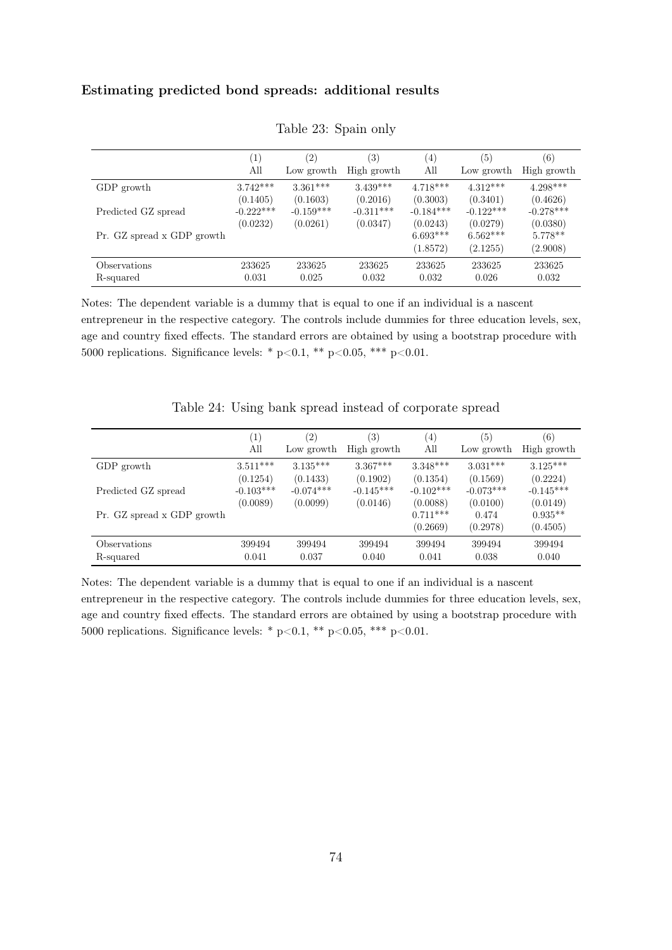## Estimating predicted bond spreads: additional results

|                            | $\left(1\right)$ | $\left( 2\right)$ | (3)         | (4)         | (5)         | (6)         |
|----------------------------|------------------|-------------------|-------------|-------------|-------------|-------------|
|                            | All              | Low growth        | High growth | All         | Low growth  | High growth |
| GDP growth                 | $3.742***$       | $3.361***$        | $3.439***$  | $4.718***$  | $4.312***$  | $4.298***$  |
|                            | (0.1405)         | (0.1603)          | (0.2016)    | (0.3003)    | (0.3401)    | (0.4626)    |
| Predicted GZ spread        | $-0.222***$      | $-0.159***$       | $-0.311***$ | $-0.184***$ | $-0.122***$ | $-0.278***$ |
|                            | (0.0232)         | (0.0261)          | (0.0347)    | (0.0243)    | (0.0279)    | (0.0380)    |
| Pr. GZ spread x GDP growth |                  |                   |             | $6.693***$  | $6.562***$  | $5.778**$   |
|                            |                  |                   |             | (1.8572)    | (2.1255)    | (2.9008)    |
| Observations               | 233625           | 233625            | 233625      | 233625      | 233625      | 233625      |
| R-squared                  | 0.031            | 0.025             | 0.032       | 0.032       | 0.026       | 0.032       |

Table 23: Spain only

Notes: The dependent variable is a dummy that is equal to one if an individual is a nascent entrepreneur in the respective category. The controls include dummies for three education levels, sex, age and country fixed effects. The standard errors are obtained by using a bootstrap procedure with 5000 replications. Significance levels: \*  $p<0.1$ , \*\*  $p<0.05$ , \*\*\*  $p<0.01$ .

|                            | $\left( 1\right)$ | (2)         | (3)         | $\left( 4\right)$ | (5)         | (6)         |
|----------------------------|-------------------|-------------|-------------|-------------------|-------------|-------------|
|                            | All               | Low growth  | High growth | All               | Low growth  | High growth |
| GDP growth                 | $3.511***$        | $3.135***$  | $3.367***$  | $3.348***$        | $3.031***$  | $3.125***$  |
|                            | (0.1254)          | (0.1433)    | (0.1902)    | (0.1354)          | (0.1569)    | (0.2224)    |
| Predicted GZ spread        | $-0.103***$       | $-0.074***$ | $-0.145***$ | $-0.102***$       | $-0.073***$ | $-0.145***$ |
|                            | (0.0089)          | (0.0099)    | (0.0146)    | (0.0088)          | (0.0100)    | (0.0149)    |
| Pr. GZ spread x GDP growth |                   |             |             | $0.711***$        | 0.474       | $0.935**$   |
|                            |                   |             |             | (0.2669)          | (0.2978)    | (0.4505)    |
| Observations               | 399494            | 399494      | 399494      | 399494            | 399494      | 399494      |
| R-squared                  | 0.041             | 0.037       | 0.040       | 0.041             | 0.038       | 0.040       |

Table 24: Using bank spread instead of corporate spread

Notes: The dependent variable is a dummy that is equal to one if an individual is a nascent entrepreneur in the respective category. The controls include dummies for three education levels, sex, age and country fixed effects. The standard errors are obtained by using a bootstrap procedure with 5000 replications. Significance levels: \* p<0.1, \*\* p<0.05, \*\*\* p<0.01.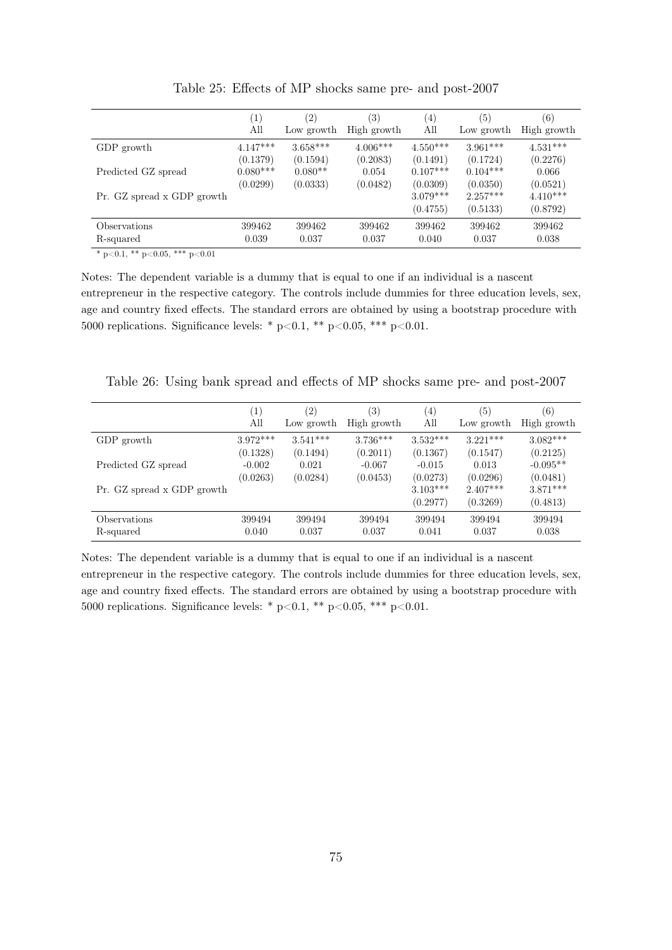|                            | (1)        | $\left( 2\right)$ | (3)         | $\left( 4\right)$      | (5)                    | $\left( 6\right)$      |
|----------------------------|------------|-------------------|-------------|------------------------|------------------------|------------------------|
|                            | All        | Low growth        | High growth | All                    | Low growth             | High growth            |
| GDP growth                 | $4.147***$ | $3.658***$        | $4.006***$  | $4.550***$             | $3.961***$             | $4.531***$             |
|                            | (0.1379)   | (0.1594)          | (0.2083)    | (0.1491)               | (0.1724)               | (0.2276)               |
| Predicted GZ spread        | $0.080***$ | $0.080**$         | 0.054       | $0.107***$             | $0.104***$             | 0.066                  |
|                            | (0.0299)   | (0.0333)          | (0.0482)    | (0.0309)               | (0.0350)               | (0.0521)               |
| Pr. GZ spread x GDP growth |            |                   |             | $3.079***$<br>(0.4755) | $2.257***$<br>(0.5133) | $4.410***$<br>(0.8792) |
| Observations               | 399462     | 399462            | 399462      | 399462                 | 399462                 | 399462                 |
| R-squared                  | 0.039      | 0.037             | 0.037       | 0.040                  | 0.037                  | 0.038                  |

Table 25: Effects of MP shocks same pre- and post-2007

\* p<0.1, \*\* p<0.05, \*\*\* p<0.01

Notes: The dependent variable is a dummy that is equal to one if an individual is a nascent entrepreneur in the respective category. The controls include dummies for three education levels, sex, age and country fixed effects. The standard errors are obtained by using a bootstrap procedure with 5000 replications. Significance levels: \*  $p<0.1$ , \*\*  $p<0.05$ , \*\*\*  $p<0.01$ .

Table 26: Using bank spread and effects of MP shocks same pre- and post-2007

|                            | $\left[1\right]$ | (2)        | 3)          | $\left( 4\right)$      | (5)                    | (6)                    |
|----------------------------|------------------|------------|-------------|------------------------|------------------------|------------------------|
|                            | All              | Low growth | High growth | All                    | Low growth             | High growth            |
| GDP growth                 | $3.972***$       | $3.541***$ | $3.736***$  | $3.532***$             | $3.221***$             | $3.082***$             |
|                            | (0.1328)         | (0.1494)   | (0.2011)    | (0.1367)               | (0.1547)               | (0.2125)               |
| Predicted GZ spread        | $-0.002$         | 0.021      | $-0.067$    | $-0.015$               | 0.013                  | $-0.095**$             |
|                            | (0.0263)         | (0.0284)   | (0.0453)    | (0.0273)               | (0.0296)               | (0.0481)               |
| Pr. GZ spread x GDP growth |                  |            |             | $3.103***$<br>(0.2977) | $2.407***$<br>(0.3269) | $3.871***$<br>(0.4813) |
| Observations               | 399494           | 399494     | 399494      | 399494                 | 399494                 | 399494                 |
| R-squared                  | 0.040            | 0.037      | 0.037       | 0.041                  | 0.037                  | 0.038                  |

Notes: The dependent variable is a dummy that is equal to one if an individual is a nascent entrepreneur in the respective category. The controls include dummies for three education levels, sex, age and country fixed effects. The standard errors are obtained by using a bootstrap procedure with 5000 replications. Significance levels: \* p<0.1, \*\* p<0.05, \*\*\* p<0.01.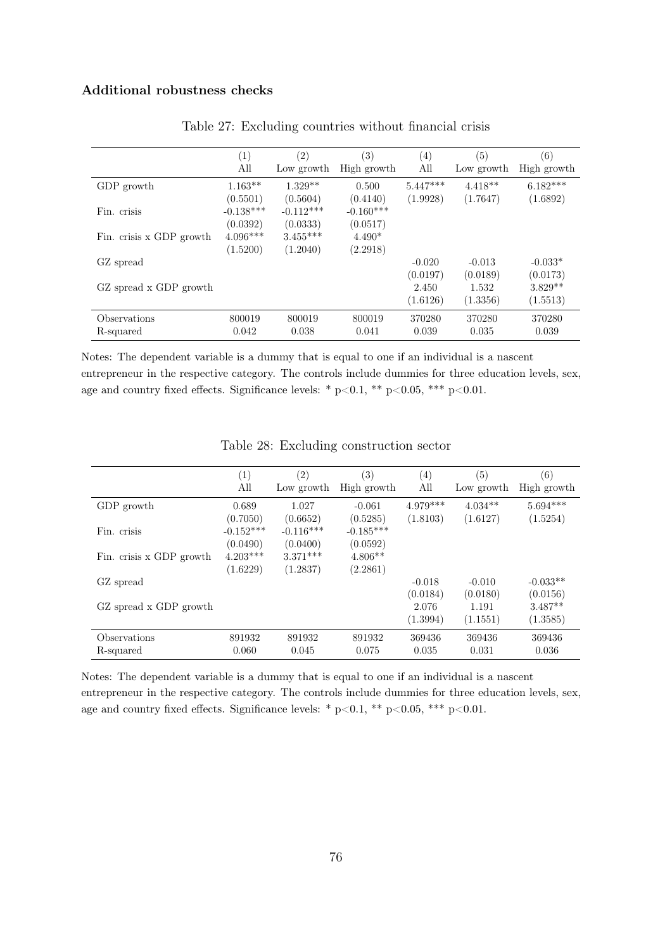## Additional robustness checks

|                          | (1)         | (2)         | (3)         | (4)        | (5)        | (6)         |
|--------------------------|-------------|-------------|-------------|------------|------------|-------------|
|                          | All         | Low growth  | High growth | All        | Low growth | High growth |
| GDP growth               | $1.163**$   | $1.329**$   | 0.500       | $5.447***$ | $4.418**$  | $6.182***$  |
|                          | (0.5501)    | (0.5604)    | (0.4140)    | (1.9928)   | (1.7647)   | (1.6892)    |
| Fin. crisis              | $-0.138***$ | $-0.112***$ | $-0.160***$ |            |            |             |
|                          | (0.0392)    | (0.0333)    | (0.0517)    |            |            |             |
| Fin. crisis x GDP growth | $4.096***$  | $3.455***$  | $4.490*$    |            |            |             |
|                          | (1.5200)    | (1.2040)    | (2.2918)    |            |            |             |
| GZ spread                |             |             |             | $-0.020$   | $-0.013$   | $-0.033*$   |
|                          |             |             |             | (0.0197)   | (0.0189)   | (0.0173)    |
| GZ spread x GDP growth   |             |             |             | 2.450      | 1.532      | $3.829**$   |
|                          |             |             |             | (1.6126)   | (1.3356)   | (1.5513)    |
| Observations             | 800019      | 800019      | 800019      | 370280     | 370280     | 370280      |
| R-squared                | 0.042       | 0.038       | 0.041       | 0.039      | 0.035      | 0.039       |

Table 27: Excluding countries without financial crisis

Notes: The dependent variable is a dummy that is equal to one if an individual is a nascent entrepreneur in the respective category. The controls include dummies for three education levels, sex, age and country fixed effects. Significance levels: \*  $p<0.1$ , \*\*  $p<0.05$ , \*\*\*  $p<0.01$ .

|                           | (1)<br>All                          | $\left( 2\right)$<br>Low growth     | (3)<br>High growth                  | (4)<br>All           | (5)<br>Low growth             | (6)<br>High growth                |
|---------------------------|-------------------------------------|-------------------------------------|-------------------------------------|----------------------|-------------------------------|-----------------------------------|
| GDP growth                | 0.689                               | 1.027                               | $-0.061$                            | $4.979***$           | $4.034**$                     | $5.694***$                        |
| Fin. crisis               | (0.7050)<br>$-0.152***$<br>(0.0490) | (0.6652)<br>$-0.116***$<br>(0.0400) | (0.5285)<br>$-0.185***$<br>(0.0592) | (1.8103)             | (1.6127)                      | (1.5254)                          |
| Fin. crisis x GDP growth  | $4.203***$<br>(1.6229)              | $3.371***$<br>(1.2837)              | $4.806**$<br>(2.2861)               |                      |                               |                                   |
| GZ spread                 |                                     |                                     |                                     | $-0.018$<br>(0.0184) | $-0.010$                      | $-0.033**$                        |
| GZ spread x GDP growth    |                                     |                                     |                                     | 2.076<br>(1.3994)    | (0.0180)<br>1.191<br>(1.1551) | (0.0156)<br>$3.487**$<br>(1.3585) |
| Observations<br>R-squared | 891932<br>0.060                     | 891932<br>0.045                     | 891932<br>0.075                     | 369436<br>0.035      | 369436<br>0.031               | 369436<br>0.036                   |

Table 28: Excluding construction sector

Notes: The dependent variable is a dummy that is equal to one if an individual is a nascent entrepreneur in the respective category. The controls include dummies for three education levels, sex, age and country fixed effects. Significance levels: \* p<0.1, \*\* p<0.05, \*\*\* p<0.01.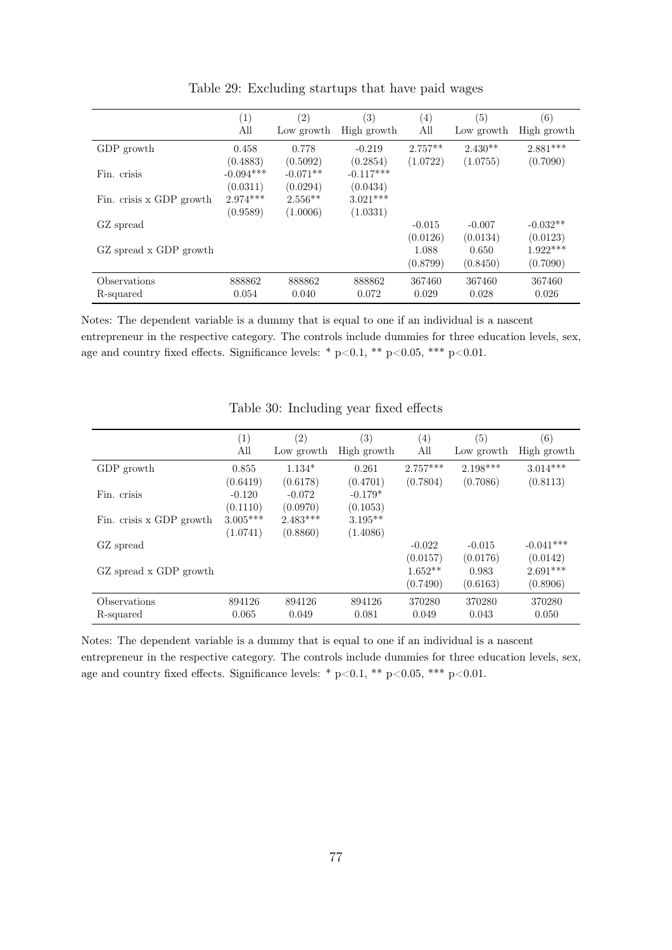|                           | (1)<br>All              | $\left( 2\right)$<br>Low growth | (3)<br>High growth      | (4)<br>All            | (5)<br>Low growth     | (6)<br>High growth     |
|---------------------------|-------------------------|---------------------------------|-------------------------|-----------------------|-----------------------|------------------------|
| GDP growth                | 0.458<br>(0.4883)       | 0.778<br>(0.5092)               | $-0.219$<br>(0.2854)    | $2.757**$<br>(1.0722) | $2.430**$<br>(1.0755) | $2.881***$<br>(0.7090) |
| Fin. crisis               | $-0.094***$<br>(0.0311) | $-0.071**$<br>(0.0294)          | $-0.117***$<br>(0.0434) |                       |                       |                        |
| Fin. crisis x GDP growth  | $2.974***$<br>(0.9589)  | $2.556**$<br>(1.0006)           | $3.021***$<br>(1.0331)  |                       |                       |                        |
| GZ spread                 |                         |                                 |                         | $-0.015$<br>(0.0126)  | $-0.007$<br>(0.0134)  | $-0.032**$<br>(0.0123) |
| GZ spread x GDP growth    |                         |                                 |                         | 1.088<br>(0.8799)     | 0.650<br>(0.8450)     | $1.922***$<br>(0.7090) |
| Observations<br>R-squared | 888862<br>0.054         | 888862<br>0.040                 | 888862<br>0.072         | 367460<br>0.029       | 367460<br>0.028       | 367460<br>0.026        |

Table 29: Excluding startups that have paid wages

Notes: The dependent variable is a dummy that is equal to one if an individual is a nascent entrepreneur in the respective category. The controls include dummies for three education levels, sex, age and country fixed effects. Significance levels: \*  $p<0.1$ , \*\*  $p<0.05$ , \*\*\*  $p<0.01$ .

|                          | $\left( 1\right)$ | $\left( 2\right)$ | $\left( 3\right)$ | $\left( 4\right)$ | (5)        | (6)         |
|--------------------------|-------------------|-------------------|-------------------|-------------------|------------|-------------|
|                          | All               | Low growth        | High growth       | All               | Low growth | High growth |
| GDP growth               | 0.855             | $1.134*$          | 0.261             | $2.757***$        | $2.198***$ | $3.014***$  |
|                          | (0.6419)          | (0.6178)          | (0.4701)          | (0.7804)          | (0.7086)   | (0.8113)    |
| Fin. crisis              | $-0.120$          | $-0.072$          | $-0.179*$         |                   |            |             |
|                          | (0.1110)          | (0.0970)          | (0.1053)          |                   |            |             |
| Fin. crisis x GDP growth | $3.005***$        | $2.483***$        | $3.195**$         |                   |            |             |
|                          | (1.0741)          | (0.8860)          | (1.4086)          |                   |            |             |
| GZ spread                |                   |                   |                   | $-0.022$          | $-0.015$   | $-0.041***$ |
|                          |                   |                   |                   | (0.0157)          | (0.0176)   | (0.0142)    |
| GZ spread x GDP growth   |                   |                   |                   | $1.652**$         | 0.983      | $2.691***$  |
|                          |                   |                   |                   | (0.7490)          | (0.6163)   | (0.8906)    |
| Observations             | 894126            | 894126            | 894126            | 370280            | 370280     | 370280      |
| R-squared                | 0.065             | 0.049             | 0.081             | 0.049             | 0.043      | 0.050       |

## Table 30: Including year fixed effects

Notes: The dependent variable is a dummy that is equal to one if an individual is a nascent entrepreneur in the respective category. The controls include dummies for three education levels, sex, age and country fixed effects. Significance levels: \*  $p<0.1$ , \*\*  $p<0.05$ , \*\*\*  $p<0.01$ .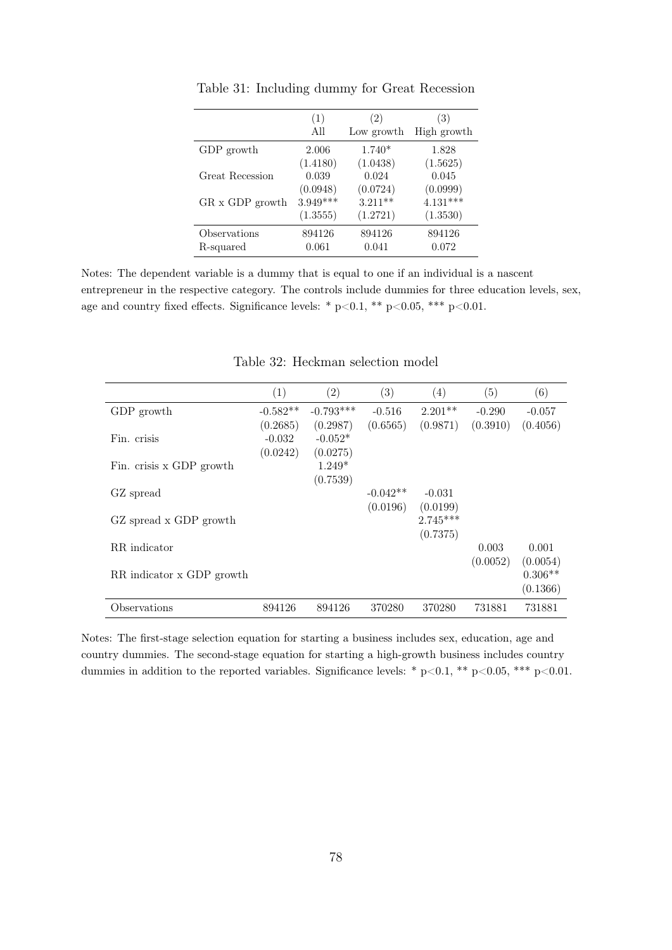|                 | (1)        | $\left( 2\right)$ | (3)         |
|-----------------|------------|-------------------|-------------|
|                 | All        | Low growth        | High growth |
| GDP growth      | 2.006      | $1.740*$          | 1.828       |
|                 | (1.4180)   | (1.0438)          | (1.5625)    |
| Great Recession | 0.039      | 0.024             | 0.045       |
| GR x GDP growth | (0.0948)   | (0.0724)          | (0.0999)    |
|                 | $3.949***$ | $3.211**$         | $4.131***$  |
|                 | (1.3555)   | (1.2721)          | (1.3530)    |
| Observations    | 894126     | 894126            | 894126      |
| R-squared       | 0.061      | 0.041             | 0.072       |

Table 31: Including dummy for Great Recession

Notes: The dependent variable is a dummy that is equal to one if an individual is a nascent entrepreneur in the respective category. The controls include dummies for three education levels, sex, age and country fixed effects. Significance levels: \* p<0.1, \*\* p<0.05, \*\*\* p<0.01.

|                           | (1)        | (2)         | (3)        | (4)        | (5)      | (6)       |
|---------------------------|------------|-------------|------------|------------|----------|-----------|
| GDP growth                | $-0.582**$ | $-0.793***$ | $-0.516$   | $2.201**$  | $-0.290$ | $-0.057$  |
|                           | (0.2685)   | (0.2987)    | (0.6565)   | (0.9871)   | (0.3910) | (0.4056)  |
| Fin. crisis               | $-0.032$   | $-0.052*$   |            |            |          |           |
|                           | (0.0242)   | (0.0275)    |            |            |          |           |
| Fin. crisis x GDP growth  |            | $1.249*$    |            |            |          |           |
|                           |            | (0.7539)    |            |            |          |           |
| GZ spread                 |            |             | $-0.042**$ | $-0.031$   |          |           |
|                           |            |             | (0.0196)   | (0.0199)   |          |           |
| GZ spread x GDP growth    |            |             |            | $2.745***$ |          |           |
|                           |            |             |            | (0.7375)   |          |           |
| RR indicator              |            |             |            |            | 0.003    | 0.001     |
|                           |            |             |            |            | (0.0052) | (0.0054)  |
| RR indicator x GDP growth |            |             |            |            |          | $0.306**$ |
|                           |            |             |            |            |          | (0.1366)  |
| Observations              | 894126     | 894126      | 370280     | 370280     | 731881   | 731881    |

Table 32: Heckman selection model

Notes: The first-stage selection equation for starting a business includes sex, education, age and country dummies. The second-stage equation for starting a high-growth business includes country dummies in addition to the reported variables. Significance levels: \* p<0.1, \*\* p<0.05, \*\*\* p<0.01.